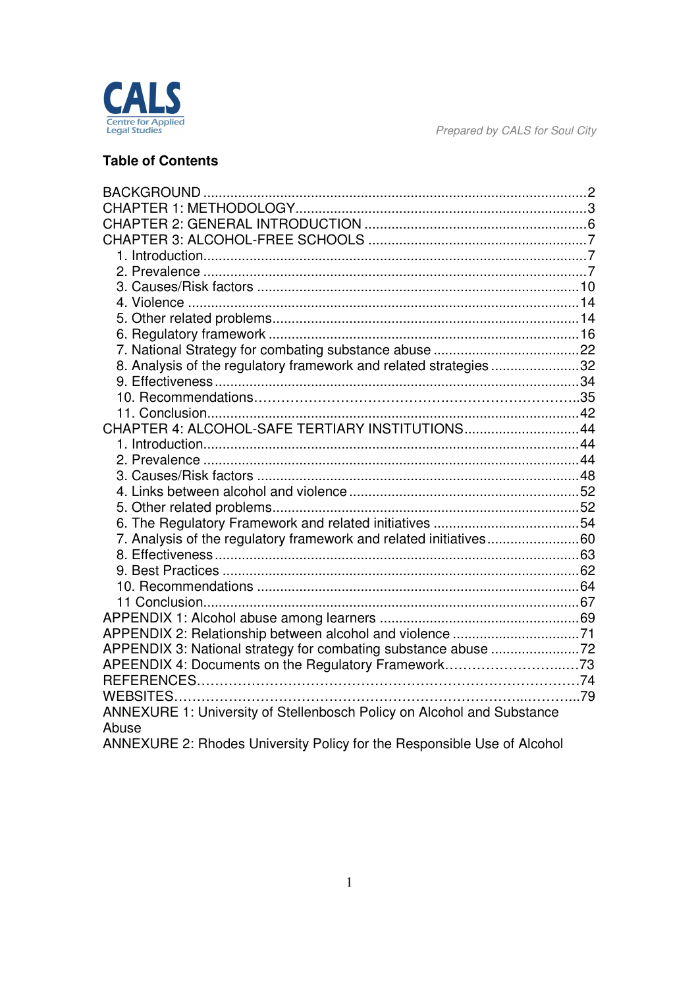

### **Table of Contents**

| 8. Analysis of the regulatory framework and related strategies 32       |  |
|-------------------------------------------------------------------------|--|
|                                                                         |  |
|                                                                         |  |
|                                                                         |  |
| CHAPTER 4: ALCOHOL-SAFE TERTIARY INSTITUTIONS44                         |  |
|                                                                         |  |
|                                                                         |  |
|                                                                         |  |
|                                                                         |  |
|                                                                         |  |
|                                                                         |  |
| 7. Analysis of the regulatory framework and related initiatives60       |  |
|                                                                         |  |
|                                                                         |  |
|                                                                         |  |
|                                                                         |  |
|                                                                         |  |
| APPENDIX 3: National strategy for combating substance abuse 72          |  |
|                                                                         |  |
|                                                                         |  |
|                                                                         |  |
| ANNEXURE 1: University of Stellenbosch Policy on Alcohol and Substance  |  |
| Abuse                                                                   |  |
| ANNEXURE 2: Rhodes University Policy for the Responsible Use of Alcohol |  |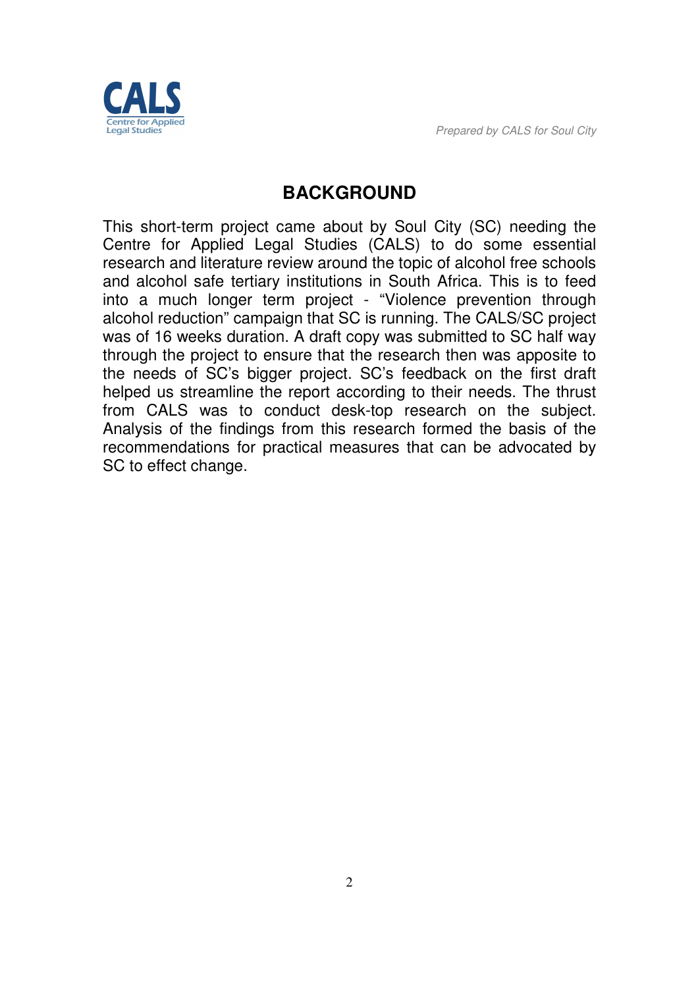

# **BACKGROUND**

This short-term project came about by Soul City (SC) needing the Centre for Applied Legal Studies (CALS) to do some essential research and literature review around the topic of alcohol free schools and alcohol safe tertiary institutions in South Africa. This is to feed into a much longer term project - "Violence prevention through alcohol reduction" campaign that SC is running. The CALS/SC project was of 16 weeks duration. A draft copy was submitted to SC half way through the project to ensure that the research then was apposite to the needs of SC's bigger project. SC's feedback on the first draft helped us streamline the report according to their needs. The thrust from CALS was to conduct desk-top research on the subject. Analysis of the findings from this research formed the basis of the recommendations for practical measures that can be advocated by SC to effect change.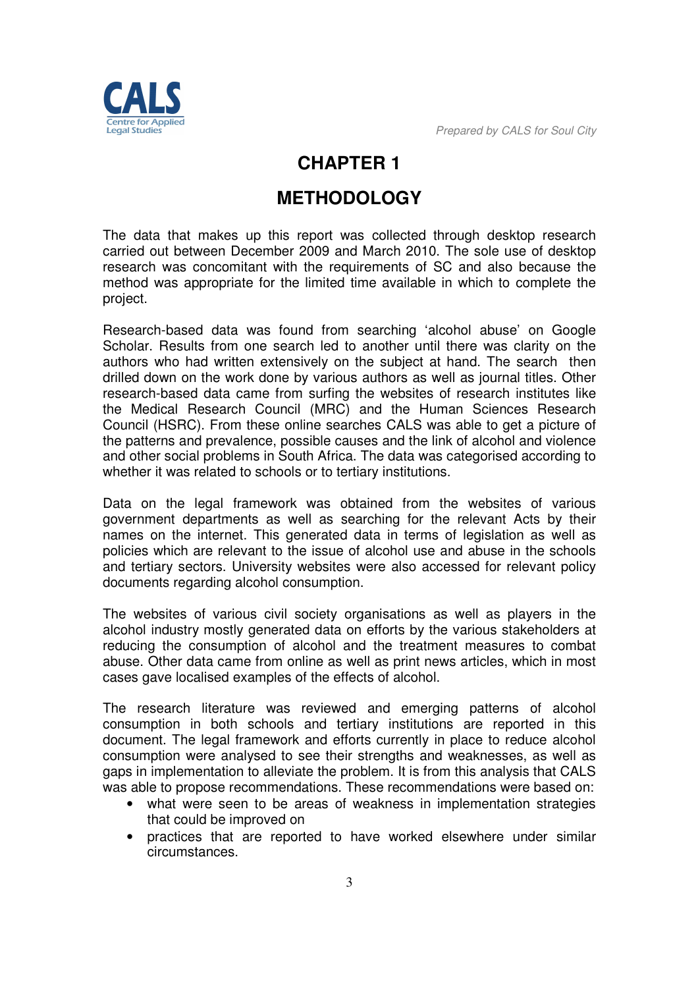

# **CHAPTER 1**

# **METHODOLOGY**

The data that makes up this report was collected through desktop research carried out between December 2009 and March 2010. The sole use of desktop research was concomitant with the requirements of SC and also because the method was appropriate for the limited time available in which to complete the project.

Research-based data was found from searching 'alcohol abuse' on Google Scholar. Results from one search led to another until there was clarity on the authors who had written extensively on the subject at hand. The search then drilled down on the work done by various authors as well as journal titles. Other research-based data came from surfing the websites of research institutes like the Medical Research Council (MRC) and the Human Sciences Research Council (HSRC). From these online searches CALS was able to get a picture of the patterns and prevalence, possible causes and the link of alcohol and violence and other social problems in South Africa. The data was categorised according to whether it was related to schools or to tertiary institutions.

Data on the legal framework was obtained from the websites of various government departments as well as searching for the relevant Acts by their names on the internet. This generated data in terms of legislation as well as policies which are relevant to the issue of alcohol use and abuse in the schools and tertiary sectors. University websites were also accessed for relevant policy documents regarding alcohol consumption.

The websites of various civil society organisations as well as players in the alcohol industry mostly generated data on efforts by the various stakeholders at reducing the consumption of alcohol and the treatment measures to combat abuse. Other data came from online as well as print news articles, which in most cases gave localised examples of the effects of alcohol.

The research literature was reviewed and emerging patterns of alcohol consumption in both schools and tertiary institutions are reported in this document. The legal framework and efforts currently in place to reduce alcohol consumption were analysed to see their strengths and weaknesses, as well as gaps in implementation to alleviate the problem. It is from this analysis that CALS was able to propose recommendations. These recommendations were based on:

- what were seen to be areas of weakness in implementation strategies that could be improved on
- practices that are reported to have worked elsewhere under similar circumstances.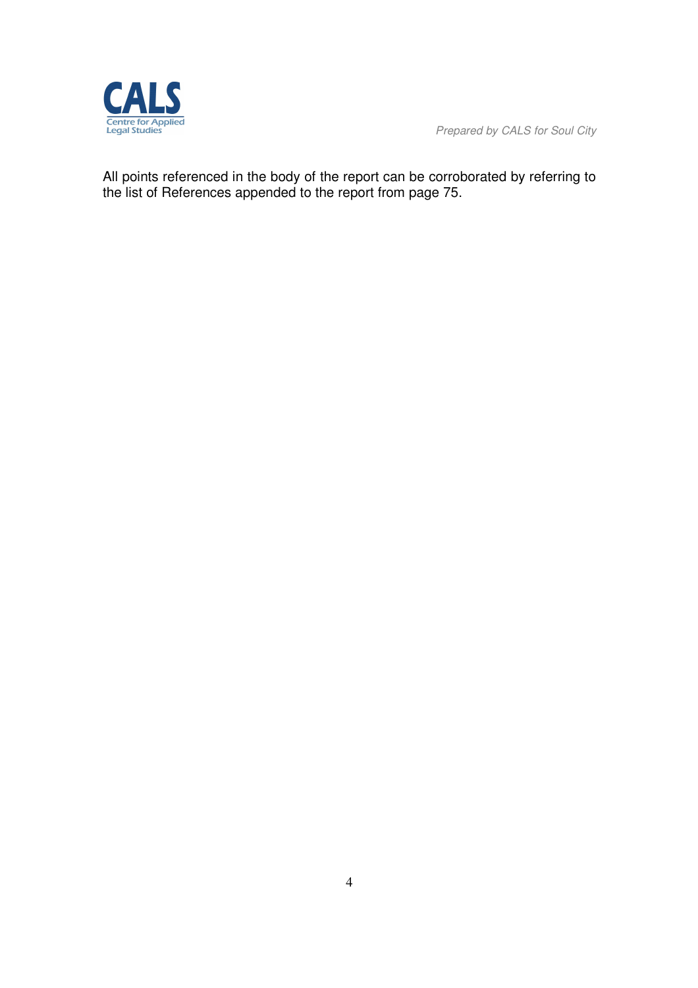

All points referenced in the body of the report can be corroborated by referring to the list of References appended to the report from page 75.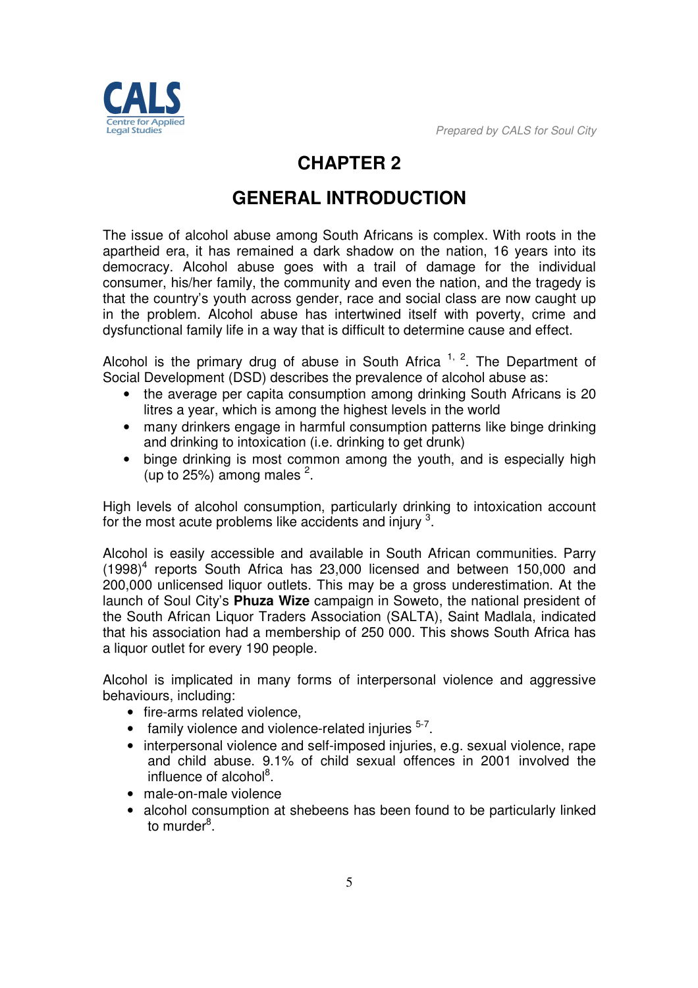

# **CHAPTER 2**

# **GENERAL INTRODUCTION**

The issue of alcohol abuse among South Africans is complex. With roots in the apartheid era, it has remained a dark shadow on the nation, 16 years into its democracy. Alcohol abuse goes with a trail of damage for the individual consumer, his/her family, the community and even the nation, and the tragedy is that the country's youth across gender, race and social class are now caught up in the problem. Alcohol abuse has intertwined itself with poverty, crime and dysfunctional family life in a way that is difficult to determine cause and effect.

Alcohol is the primary drug of abuse in South Africa  $1, 2$ . The Department of Social Development (DSD) describes the prevalence of alcohol abuse as:

- the average per capita consumption among drinking South Africans is 20 litres a year, which is among the highest levels in the world
- many drinkers engage in harmful consumption patterns like binge drinking and drinking to intoxication (i.e. drinking to get drunk)
- binge drinking is most common among the youth, and is especially high (up to 25%) among males  $2$ .

High levels of alcohol consumption, particularly drinking to intoxication account for the most acute problems like accidents and injury  $3$ .

Alcohol is easily accessible and available in South African communities. Parry (1998)<sup>4</sup> reports South Africa has 23,000 licensed and between 150,000 and 200,000 unlicensed liquor outlets. This may be a gross underestimation. At the launch of Soul City's **Phuza Wize** campaign in Soweto, the national president of the South African Liquor Traders Association (SALTA), Saint Madlala, indicated that his association had a membership of 250 000. This shows South Africa has a liquor outlet for every 190 people.

Alcohol is implicated in many forms of interpersonal violence and aggressive behaviours, including:

- fire-arms related violence,
- $\bullet$  family violence and violence-related injuries  $5-7$ .
- interpersonal violence and self-imposed injuries, e.g. sexual violence, rape and child abuse. 9.1% of child sexual offences in 2001 involved the influence of alcohol<sup>8</sup>.
- male-on-male violence
- alcohol consumption at shebeens has been found to be particularly linked to murder<sup>8</sup>.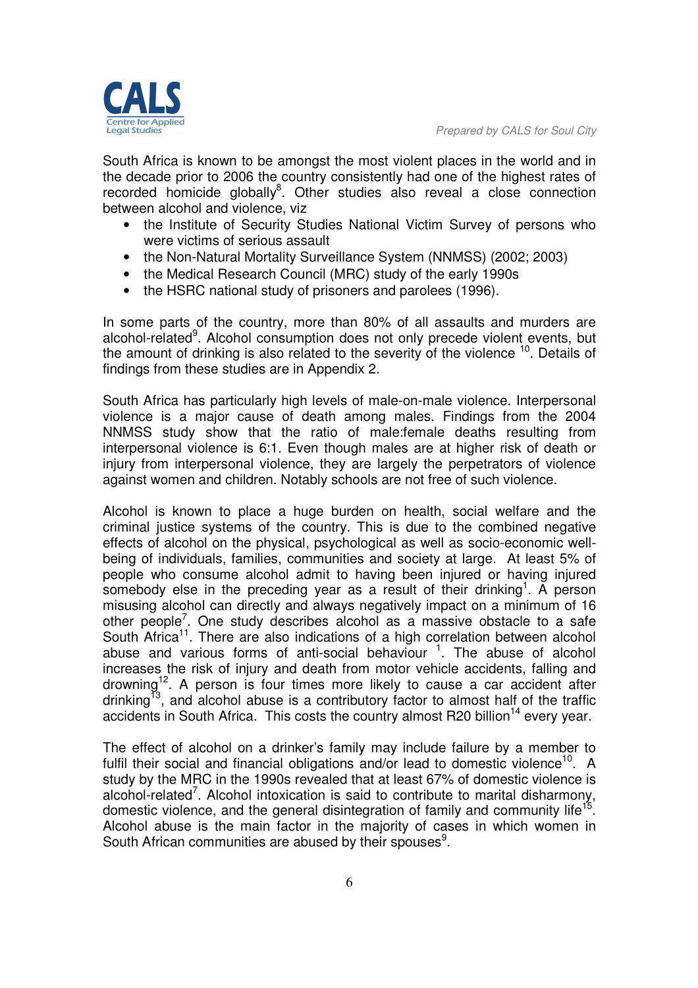South Africa is known to be amongst the most violent places in the world and in the decade prior to 2006 the country consistently had one of the highest rates of recorded homicide globally<sup>8</sup>. Other studies also reveal a close connection between alcohol and violence, viz

- the Institute of Security Studies National Victim Survey of persons who were victims of serious assault
- the Non-Natural Mortality Surveillance System (NNMSS) (2002; 2003)
- the Medical Research Council (MRC) study of the early 1990s
- the HSRC national study of prisoners and parolees (1996).

In some parts of the country, more than 80% of all assaults and murders are alcohol-related<sup>9</sup>. Alcohol consumption does not only precede violent events, but the amount of drinking is also related to the severity of the violence  $10$ . Details of findings from these studies are in Appendix 2.

South Africa has particularly high levels of male-on-male violence. Interpersonal violence is a major cause of death among males. Findings from the 2004 NNMSS study show that the ratio of male:female deaths resulting from interpersonal violence is 6:1. Even though males are at higher risk of death or injury from interpersonal violence, they are largely the perpetrators of violence against women and children. Notably schools are not free of such violence.

Alcohol is known to place a huge burden on health, social welfare and the criminal justice systems of the country. This is due to the combined negative effects of alcohol on the physical, psychological as well as socio-economic wellbeing of individuals, families, communities and society at large. At least 5% of people who consume alcohol admit to having been injured or having injured somebody else in the preceding year as a result of their drinking<sup>1</sup>. A person misusing alcohol can directly and always negatively impact on a minimum of 16 other people<sup>7</sup>. One study describes alcohol as a massive obstacle to a safe South Africa<sup>11</sup>. There are also indications of a high correlation between alcohol abuse and various forms of anti-social behaviour  $1$ . The abuse of alcohol increases the risk of injury and death from motor vehicle accidents, falling and drowning<sup>12</sup>. A person is four times more likely to cause a car accident after drinking<sup>13</sup>, and alcohol abuse is a contributory factor to almost half of the traffic accidents in South Africa. This costs the country almost R20 billion<sup>14</sup> every year.

The effect of alcohol on a drinker's family may include failure by a member to fulfil their social and financial obligations and/or lead to domestic violence<sup>10</sup>. A study by the MRC in the 1990s revealed that at least 67% of domestic violence is alcohol-related<sup>7</sup>. Alcohol intoxication is said to contribute to marital disharmony, domestic violence, and the general disintegration of family and community life<sup>15</sup>. Alcohol abuse is the main factor in the majority of cases in which women in South African communities are abused by their spouses<sup>9</sup>.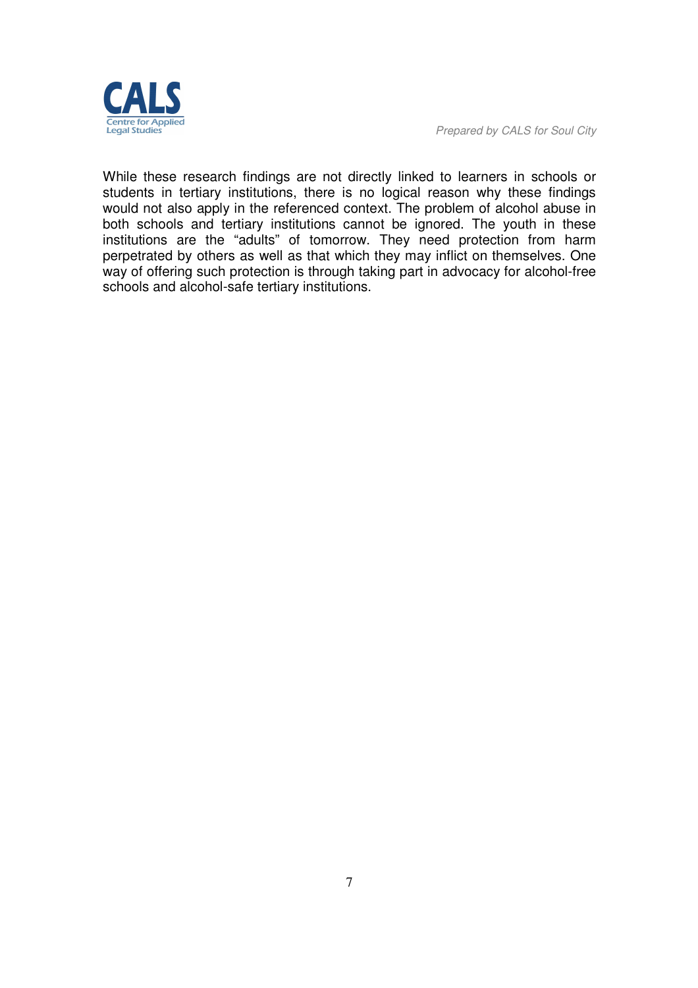

While these research findings are not directly linked to learners in schools or students in tertiary institutions, there is no logical reason why these findings would not also apply in the referenced context. The problem of alcohol abuse in both schools and tertiary institutions cannot be ignored. The youth in these institutions are the "adults" of tomorrow. They need protection from harm perpetrated by others as well as that which they may inflict on themselves. One way of offering such protection is through taking part in advocacy for alcohol-free schools and alcohol-safe tertiary institutions.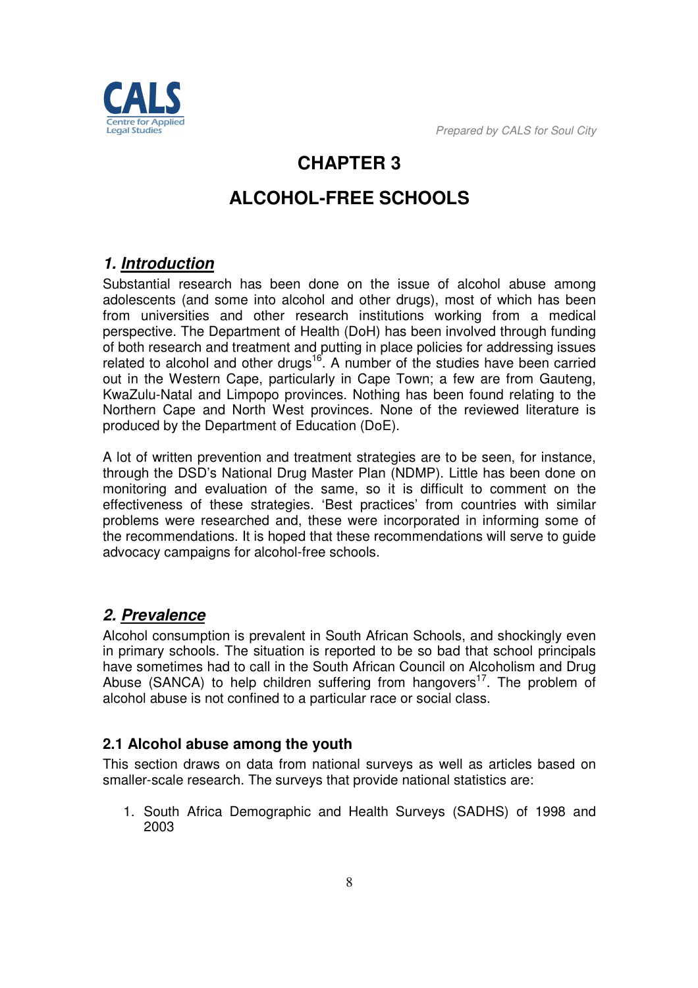

# **CHAPTER 3**

# **ALCOHOL-FREE SCHOOLS**

# *1. Introduction*

Substantial research has been done on the issue of alcohol abuse among adolescents (and some into alcohol and other drugs), most of which has been from universities and other research institutions working from a medical perspective. The Department of Health (DoH) has been involved through funding of both research and treatment and putting in place policies for addressing issues related to alcohol and other drugs<sup>16</sup>. A number of the studies have been carried out in the Western Cape, particularly in Cape Town; a few are from Gauteng, KwaZulu-Natal and Limpopo provinces. Nothing has been found relating to the Northern Cape and North West provinces. None of the reviewed literature is produced by the Department of Education (DoE).

A lot of written prevention and treatment strategies are to be seen, for instance, through the DSD's National Drug Master Plan (NDMP). Little has been done on monitoring and evaluation of the same, so it is difficult to comment on the effectiveness of these strategies. 'Best practices' from countries with similar problems were researched and, these were incorporated in informing some of the recommendations. It is hoped that these recommendations will serve to guide advocacy campaigns for alcohol-free schools.

# *2. Prevalence*

Alcohol consumption is prevalent in South African Schools, and shockingly even in primary schools. The situation is reported to be so bad that school principals have sometimes had to call in the South African Council on Alcoholism and Drug Abuse (SANCA) to help children suffering from hangovers<sup>17</sup>. The problem of alcohol abuse is not confined to a particular race or social class.

# **2.1 Alcohol abuse among the youth**

This section draws on data from national surveys as well as articles based on smaller-scale research. The surveys that provide national statistics are:

1. South Africa Demographic and Health Surveys (SADHS) of 1998 and 2003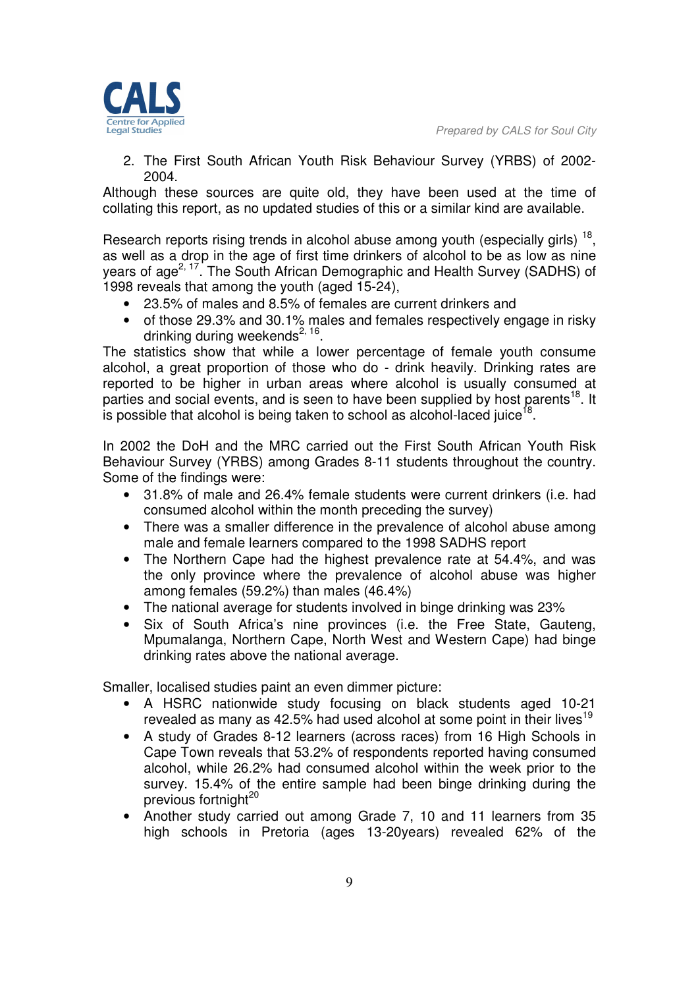

2. The First South African Youth Risk Behaviour Survey (YRBS) of 2002- 2004.

Although these sources are quite old, they have been used at the time of collating this report, as no updated studies of this or a similar kind are available.

Research reports rising trends in alcohol abuse among youth (especially girls)  $^{18}$ , as well as a drop in the age of first time drinkers of alcohol to be as low as nine years of age<sup>2, 17</sup>. The South African Demographic and Health Survey (SADHS) of 1998 reveals that among the youth (aged 15-24),

- 23.5% of males and 8.5% of females are current drinkers and
- of those 29.3% and 30.1% males and females respectively engage in risky drinking during weekends<sup>2, 16</sup>.

The statistics show that while a lower percentage of female youth consume alcohol, a great proportion of those who do - drink heavily. Drinking rates are reported to be higher in urban areas where alcohol is usually consumed at parties and social events, and is seen to have been supplied by host parents<sup>18</sup>. It is possible that alcohol is being taken to school as alcohol-laced juice<sup>18</sup>.

In 2002 the DoH and the MRC carried out the First South African Youth Risk Behaviour Survey (YRBS) among Grades 8-11 students throughout the country. Some of the findings were:

- 31.8% of male and 26.4% female students were current drinkers (i.e. had consumed alcohol within the month preceding the survey)
- There was a smaller difference in the prevalence of alcohol abuse among male and female learners compared to the 1998 SADHS report
- The Northern Cape had the highest prevalence rate at 54.4%, and was the only province where the prevalence of alcohol abuse was higher among females (59.2%) than males (46.4%)
- The national average for students involved in binge drinking was 23%
- Six of South Africa's nine provinces (i.e. the Free State, Gauteng, Mpumalanga, Northern Cape, North West and Western Cape) had binge drinking rates above the national average.

Smaller, localised studies paint an even dimmer picture:

- A HSRC nationwide study focusing on black students aged 10-21 revealed as many as 42.5% had used alcohol at some point in their lives<sup>19</sup>
- A study of Grades 8-12 learners (across races) from 16 High Schools in Cape Town reveals that 53.2% of respondents reported having consumed alcohol, while 26.2% had consumed alcohol within the week prior to the survey. 15.4% of the entire sample had been binge drinking during the previous fortnight $^{20}$
- Another study carried out among Grade 7, 10 and 11 learners from 35 high schools in Pretoria (ages 13-20years) revealed 62% of the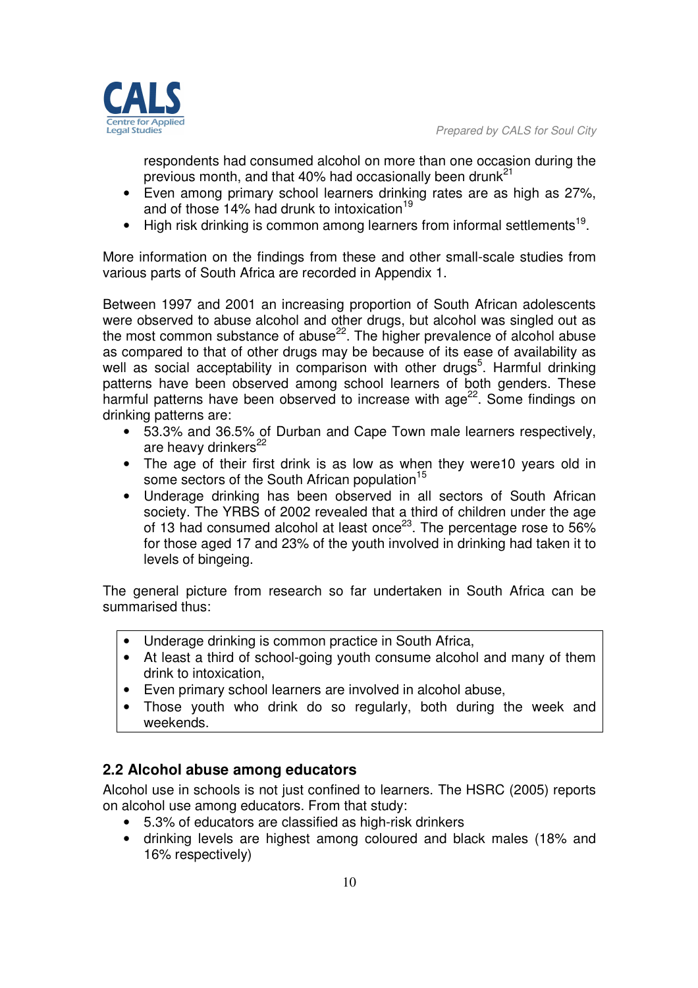

respondents had consumed alcohol on more than one occasion during the previous month, and that 40% had occasionally been drunk<sup>21</sup>

- Even among primary school learners drinking rates are as high as 27%, and of those 14% had drunk to intoxication<sup>19</sup>
- $\bullet$  High risk drinking is common among learners from informal settlements<sup>19</sup>.

More information on the findings from these and other small-scale studies from various parts of South Africa are recorded in Appendix 1.

Between 1997 and 2001 an increasing proportion of South African adolescents were observed to abuse alcohol and other drugs, but alcohol was singled out as the most common substance of abuse<sup>22</sup>. The higher prevalence of alcohol abuse as compared to that of other drugs may be because of its ease of availability as well as social acceptability in comparison with other drugs<sup>5</sup>. Harmful drinking patterns have been observed among school learners of both genders. These harmful patterns have been observed to increase with age<sup>22</sup>. Some findings on drinking patterns are:

- 53.3% and 36.5% of Durban and Cape Town male learners respectively, are heavy drinkers<sup>22</sup>
- The age of their first drink is as low as when they were10 years old in some sectors of the South African population<sup>15</sup>
- Underage drinking has been observed in all sectors of South African society. The YRBS of 2002 revealed that a third of children under the age of 13 had consumed alcohol at least once<sup>23</sup>. The percentage rose to 56% for those aged 17 and 23% of the youth involved in drinking had taken it to levels of bingeing.

The general picture from research so far undertaken in South Africa can be summarised thus:

- Underage drinking is common practice in South Africa,
- At least a third of school-going youth consume alcohol and many of them drink to intoxication,
- Even primary school learners are involved in alcohol abuse,
- Those youth who drink do so regularly, both during the week and weekends.

# **2.2 Alcohol abuse among educators**

Alcohol use in schools is not just confined to learners. The HSRC (2005) reports on alcohol use among educators. From that study:

- 5.3% of educators are classified as high-risk drinkers
- drinking levels are highest among coloured and black males (18% and 16% respectively)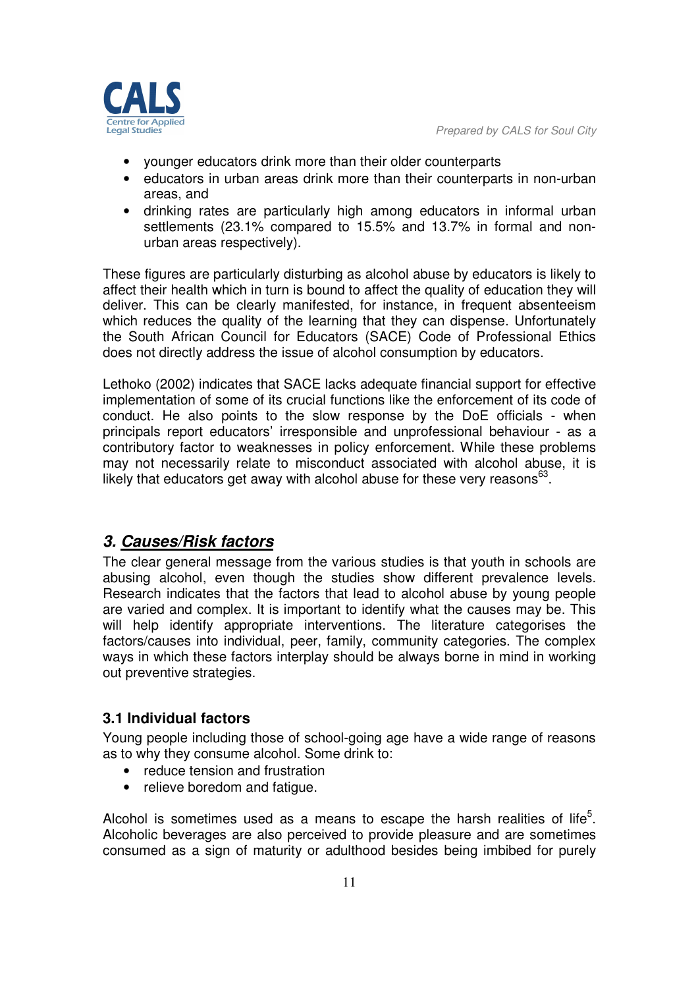- younger educators drink more than their older counterparts
- educators in urban areas drink more than their counterparts in non-urban areas, and
- drinking rates are particularly high among educators in informal urban settlements (23.1% compared to 15.5% and 13.7% in formal and nonurban areas respectively).

These figures are particularly disturbing as alcohol abuse by educators is likely to affect their health which in turn is bound to affect the quality of education they will deliver. This can be clearly manifested, for instance, in frequent absenteeism which reduces the quality of the learning that they can dispense. Unfortunately the South African Council for Educators (SACE) Code of Professional Ethics does not directly address the issue of alcohol consumption by educators.

Lethoko (2002) indicates that SACE lacks adequate financial support for effective implementation of some of its crucial functions like the enforcement of its code of conduct. He also points to the slow response by the DoE officials - when principals report educators' irresponsible and unprofessional behaviour - as a contributory factor to weaknesses in policy enforcement. While these problems may not necessarily relate to misconduct associated with alcohol abuse, it is likely that educators get away with alcohol abuse for these very reasons $^{63}$ .

# *3. Causes/Risk factors*

The clear general message from the various studies is that youth in schools are abusing alcohol, even though the studies show different prevalence levels. Research indicates that the factors that lead to alcohol abuse by young people are varied and complex. It is important to identify what the causes may be. This will help identify appropriate interventions. The literature categorises the factors/causes into individual, peer, family, community categories. The complex ways in which these factors interplay should be always borne in mind in working out preventive strategies.

# **3.1 Individual factors**

Young people including those of school-going age have a wide range of reasons as to why they consume alcohol. Some drink to:

- reduce tension and frustration
- relieve boredom and fatique.

Alcohol is sometimes used as a means to escape the harsh realities of life<sup>5</sup>. Alcoholic beverages are also perceived to provide pleasure and are sometimes consumed as a sign of maturity or adulthood besides being imbibed for purely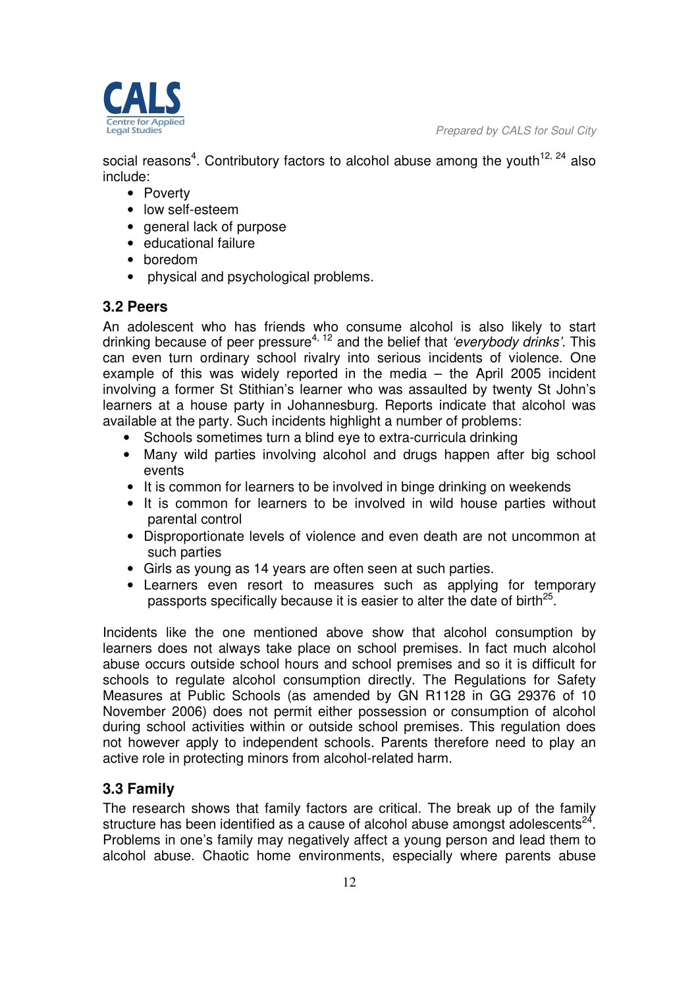

social reasons<sup>4</sup>. Contributory factors to alcohol abuse among the youth<sup>12, 24</sup> also include:

- Poverty
- low self-esteem
- general lack of purpose
- educational failure
- boredom
- physical and psychological problems.

# **3.2 Peers**

An adolescent who has friends who consume alcohol is also likely to start drinking because of peer pressure4, 12 and the belief that *'everybody drinks'*. This can even turn ordinary school rivalry into serious incidents of violence. One example of this was widely reported in the media – the April 2005 incident involving a former St Stithian's learner who was assaulted by twenty St John's learners at a house party in Johannesburg. Reports indicate that alcohol was available at the party. Such incidents highlight a number of problems:

- Schools sometimes turn a blind eye to extra-curricula drinking
- Many wild parties involving alcohol and drugs happen after big school events
- It is common for learners to be involved in binge drinking on weekends
- It is common for learners to be involved in wild house parties without parental control
- Disproportionate levels of violence and even death are not uncommon at such parties
- Girls as young as 14 years are often seen at such parties.
- Learners even resort to measures such as applying for temporary passports specifically because it is easier to alter the date of birth<sup>25</sup>.

Incidents like the one mentioned above show that alcohol consumption by learners does not always take place on school premises. In fact much alcohol abuse occurs outside school hours and school premises and so it is difficult for schools to regulate alcohol consumption directly. The Regulations for Safety Measures at Public Schools (as amended by GN R1128 in GG 29376 of 10 November 2006) does not permit either possession or consumption of alcohol during school activities within or outside school premises. This regulation does not however apply to independent schools. Parents therefore need to play an active role in protecting minors from alcohol-related harm.

# **3.3 Family**

The research shows that family factors are critical. The break up of the family structure has been identified as a cause of alcohol abuse amongst adolescents $^{24}$ . Problems in one's family may negatively affect a young person and lead them to alcohol abuse. Chaotic home environments, especially where parents abuse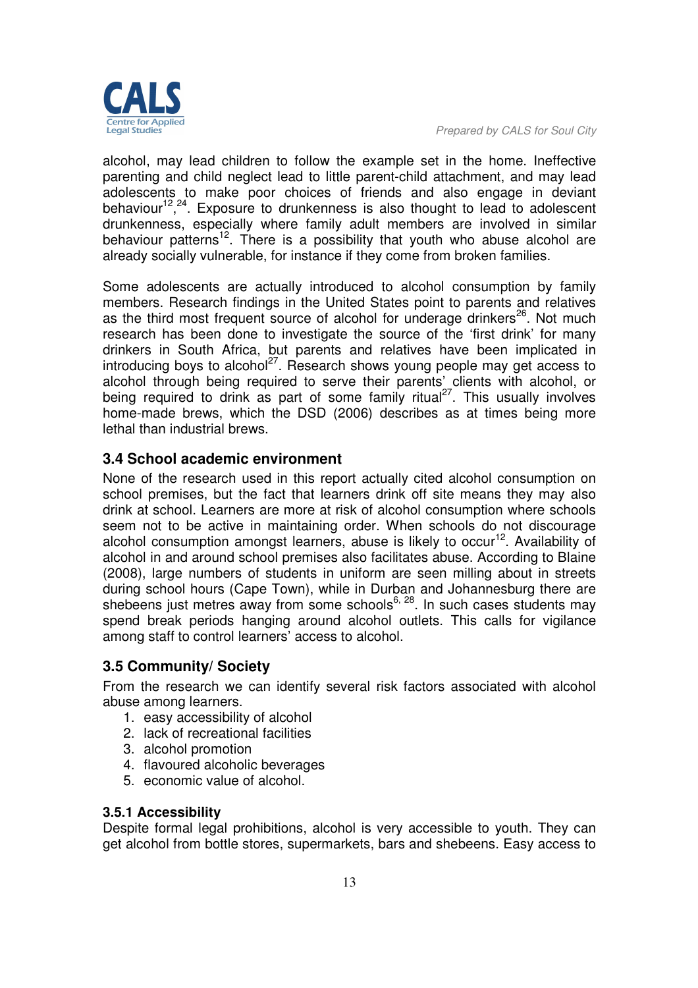

alcohol, may lead children to follow the example set in the home. Ineffective parenting and child neglect lead to little parent-child attachment, and may lead adolescents to make poor choices of friends and also engage in deviant behaviour<sup>12</sup>,<sup>24</sup>. Exposure to drunkenness is also thought to lead to adolescent drunkenness, especially where family adult members are involved in similar behaviour patterns<sup>12</sup>. There is a possibility that youth who abuse alcohol are already socially vulnerable, for instance if they come from broken families.

Some adolescents are actually introduced to alcohol consumption by family members. Research findings in the United States point to parents and relatives as the third most frequent source of alcohol for underage drinkers $26$ . Not much research has been done to investigate the source of the 'first drink' for many drinkers in South Africa, but parents and relatives have been implicated in introducing boys to alcohol<sup>27</sup>. Research shows young people may get access to alcohol through being required to serve their parents' clients with alcohol, or being required to drink as part of some family ritual<sup>27</sup>. This usually involves home-made brews, which the DSD (2006) describes as at times being more lethal than industrial brews.

# **3.4 School academic environment**

None of the research used in this report actually cited alcohol consumption on school premises, but the fact that learners drink off site means they may also drink at school. Learners are more at risk of alcohol consumption where schools seem not to be active in maintaining order. When schools do not discourage alcohol consumption amongst learners, abuse is likely to occur<sup>12</sup>. Availability of alcohol in and around school premises also facilitates abuse. According to Blaine (2008), large numbers of students in uniform are seen milling about in streets during school hours (Cape Town), while in Durban and Johannesburg there are shebeens just metres away from some schools<sup>6, 28</sup>. In such cases students may spend break periods hanging around alcohol outlets. This calls for vigilance among staff to control learners' access to alcohol.

# **3.5 Community/ Society**

From the research we can identify several risk factors associated with alcohol abuse among learners.

- 1. easy accessibility of alcohol
- 2. lack of recreational facilities
- 3. alcohol promotion
- 4. flavoured alcoholic beverages
- 5. economic value of alcohol.

#### **3.5.1 Accessibility**

Despite formal legal prohibitions, alcohol is very accessible to youth. They can get alcohol from bottle stores, supermarkets, bars and shebeens. Easy access to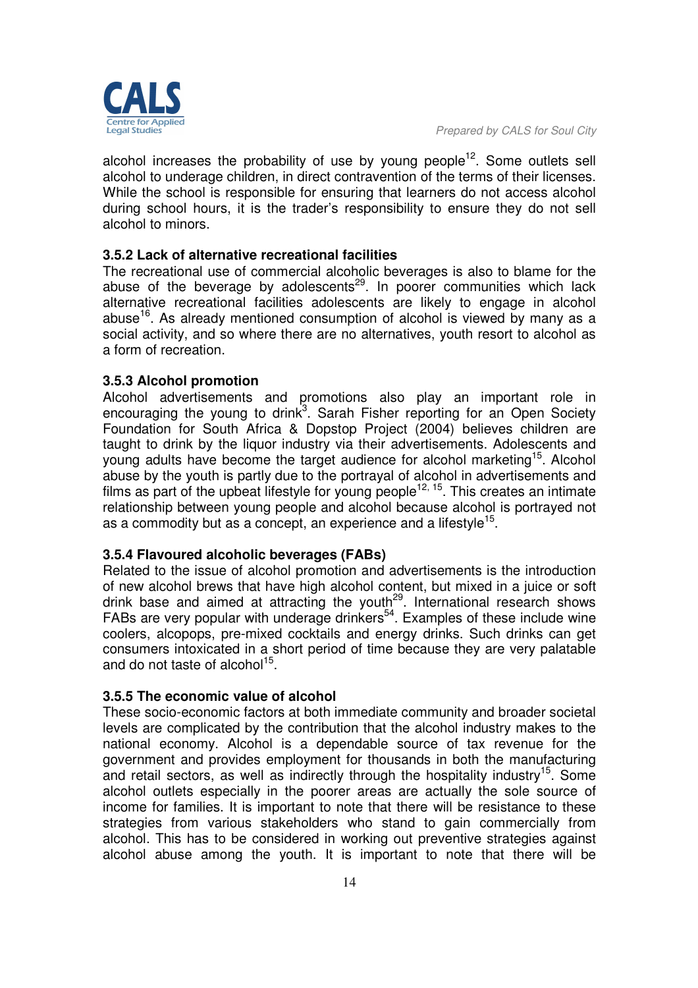alcohol increases the probability of use by young people<sup>12</sup>. Some outlets sell alcohol to underage children, in direct contravention of the terms of their licenses. While the school is responsible for ensuring that learners do not access alcohol during school hours, it is the trader's responsibility to ensure they do not sell alcohol to minors.

# **3.5.2 Lack of alternative recreational facilities**

The recreational use of commercial alcoholic beverages is also to blame for the abuse of the beverage by adolescents<sup>29</sup>. In poorer communities which lack alternative recreational facilities adolescents are likely to engage in alcohol abuse<sup>16</sup>. As already mentioned consumption of alcohol is viewed by many as a social activity, and so where there are no alternatives, youth resort to alcohol as a form of recreation.

#### **3.5.3 Alcohol promotion**

Alcohol advertisements and promotions also play an important role in encouraging the young to drink<sup>3</sup>. Sarah Fisher reporting for an Open Society Foundation for South Africa & Dopstop Project (2004) believes children are taught to drink by the liquor industry via their advertisements. Adolescents and young adults have become the target audience for alcohol marketing<sup>15</sup>. Alcohol abuse by the youth is partly due to the portrayal of alcohol in advertisements and films as part of the upbeat lifestyle for young people<sup>12, 15</sup>. This creates an intimate relationship between young people and alcohol because alcohol is portrayed not as a commodity but as a concept, an experience and a lifestyle<sup>15</sup>.

#### **3.5.4 Flavoured alcoholic beverages (FABs)**

Related to the issue of alcohol promotion and advertisements is the introduction of new alcohol brews that have high alcohol content, but mixed in a juice or soft drink base and aimed at attracting the youth<sup>29</sup>. International research shows FABs are very popular with underage drinkers<sup>54</sup>. Examples of these include wine coolers, alcopops, pre-mixed cocktails and energy drinks. Such drinks can get consumers intoxicated in a short period of time because they are very palatable and do not taste of alcohol<sup>15</sup>.

# **3.5.5 The economic value of alcohol**

These socio-economic factors at both immediate community and broader societal levels are complicated by the contribution that the alcohol industry makes to the national economy. Alcohol is a dependable source of tax revenue for the government and provides employment for thousands in both the manufacturing and retail sectors, as well as indirectly through the hospitality industry<sup>15</sup>. Some alcohol outlets especially in the poorer areas are actually the sole source of income for families. It is important to note that there will be resistance to these strategies from various stakeholders who stand to gain commercially from alcohol. This has to be considered in working out preventive strategies against alcohol abuse among the youth. It is important to note that there will be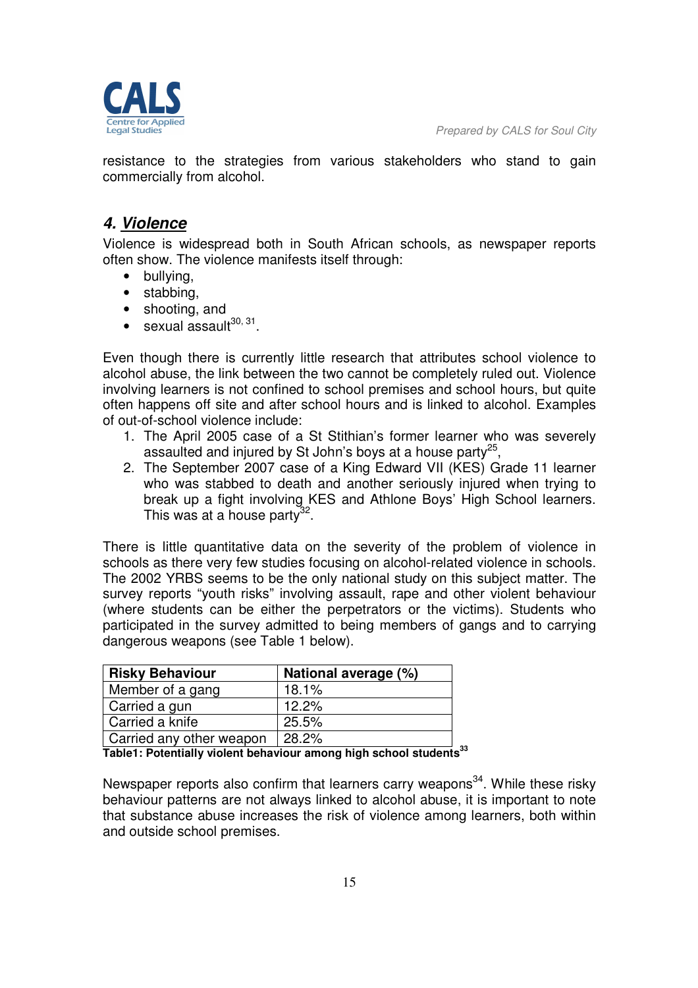

resistance to the strategies from various stakeholders who stand to gain commercially from alcohol.

# *4. Violence*

Violence is widespread both in South African schools, as newspaper reports often show. The violence manifests itself through:

- bullying,
- stabbing,
- shooting, and
- $\bullet$  sexual assault<sup>30, 31</sup>.

Even though there is currently little research that attributes school violence to alcohol abuse, the link between the two cannot be completely ruled out. Violence involving learners is not confined to school premises and school hours, but quite often happens off site and after school hours and is linked to alcohol. Examples of out-of-school violence include:

- 1. The April 2005 case of a St Stithian's former learner who was severely assaulted and injured by St John's boys at a house party<sup>25</sup>,
- 2. The September 2007 case of a King Edward VII (KES) Grade 11 learner who was stabbed to death and another seriously injured when trying to break up a fight involving KES and Athlone Boys' High School learners. This was at a house party<sup>32</sup>.

There is little quantitative data on the severity of the problem of violence in schools as there very few studies focusing on alcohol-related violence in schools. The 2002 YRBS seems to be the only national study on this subject matter. The survey reports "youth risks" involving assault, rape and other violent behaviour (where students can be either the perpetrators or the victims). Students who participated in the survey admitted to being members of gangs and to carrying dangerous weapons (see Table 1 below).

| <b>Risky Behaviour</b>   | National average (%) |
|--------------------------|----------------------|
| Member of a gang         | 18.1%                |
| Carried a gun            | 12.2%                |
| Carried a knife          | 25.5%                |
| Carried any other weapon | 28.2%                |

**Table1: Potentially violent behaviour among high school students<sup>33</sup>** 

Newspaper reports also confirm that learners carry weapons<sup>34</sup>. While these risky behaviour patterns are not always linked to alcohol abuse, it is important to note that substance abuse increases the risk of violence among learners, both within and outside school premises.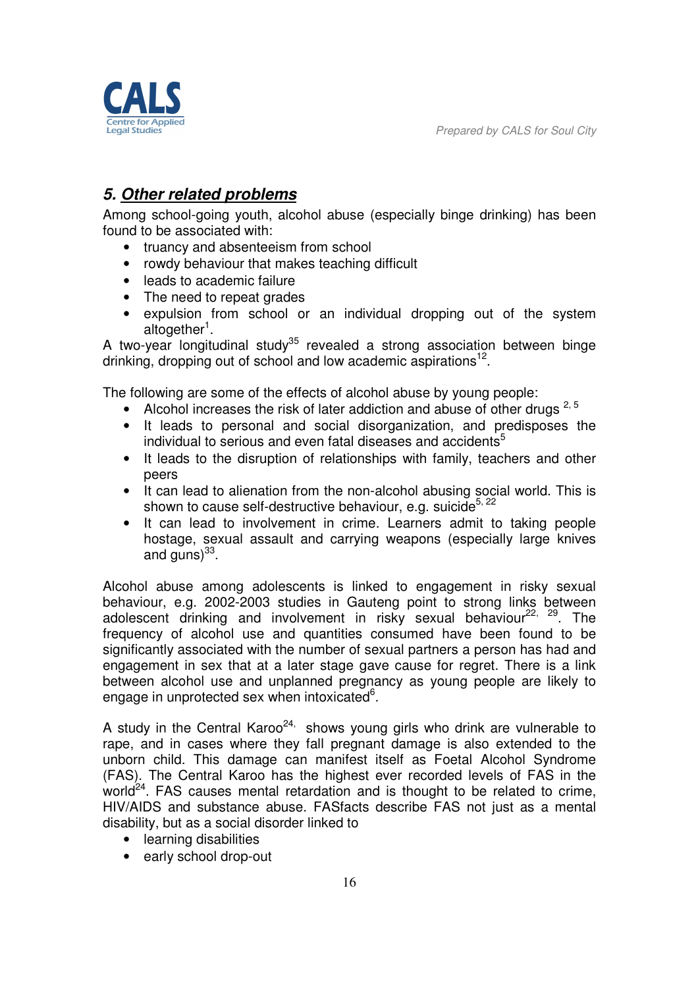

# *5. Other related problems*

Among school-going youth, alcohol abuse (especially binge drinking) has been found to be associated with:

- truancy and absenteeism from school
- rowdy behaviour that makes teaching difficult
- leads to academic failure
- The need to repeat grades
- expulsion from school or an individual dropping out of the system altogether<sup>1</sup>.

A two-year longitudinal study<sup>35</sup> revealed a strong association between binge drinking, dropping out of school and low academic aspirations<sup>12</sup>.

The following are some of the effects of alcohol abuse by young people:

- Alcohol increases the risk of later addiction and abuse of other drugs  $^{2, 5}$
- It leads to personal and social disorganization, and predisposes the individual to serious and even fatal diseases and accidents<sup>5</sup>
- It leads to the disruption of relationships with family, teachers and other peers
- It can lead to alienation from the non-alcohol abusing social world. This is shown to cause self-destructive behaviour, e.g. suicide<sup>5, 22</sup>
- It can lead to involvement in crime. Learners admit to taking people hostage, sexual assault and carrying weapons (especially large knives and guns) $^{33}$ .

Alcohol abuse among adolescents is linked to engagement in risky sexual behaviour, e.g. 2002-2003 studies in Gauteng point to strong links between adolescent drinking and involvement in risky sexual behaviour<sup>22, 29</sup>. The frequency of alcohol use and quantities consumed have been found to be significantly associated with the number of sexual partners a person has had and engagement in sex that at a later stage gave cause for regret. There is a link between alcohol use and unplanned pregnancy as young people are likely to engage in unprotected sex when intoxicated<sup>6</sup>.

A study in the Central Karoo<sup>24,</sup> shows young girls who drink are vulnerable to rape, and in cases where they fall pregnant damage is also extended to the unborn child. This damage can manifest itself as Foetal Alcohol Syndrome (FAS). The Central Karoo has the highest ever recorded levels of FAS in the world $24$ . FAS causes mental retardation and is thought to be related to crime, HIV/AIDS and substance abuse. FASfacts describe FAS not just as a mental disability, but as a social disorder linked to

- learning disabilities
- early school drop-out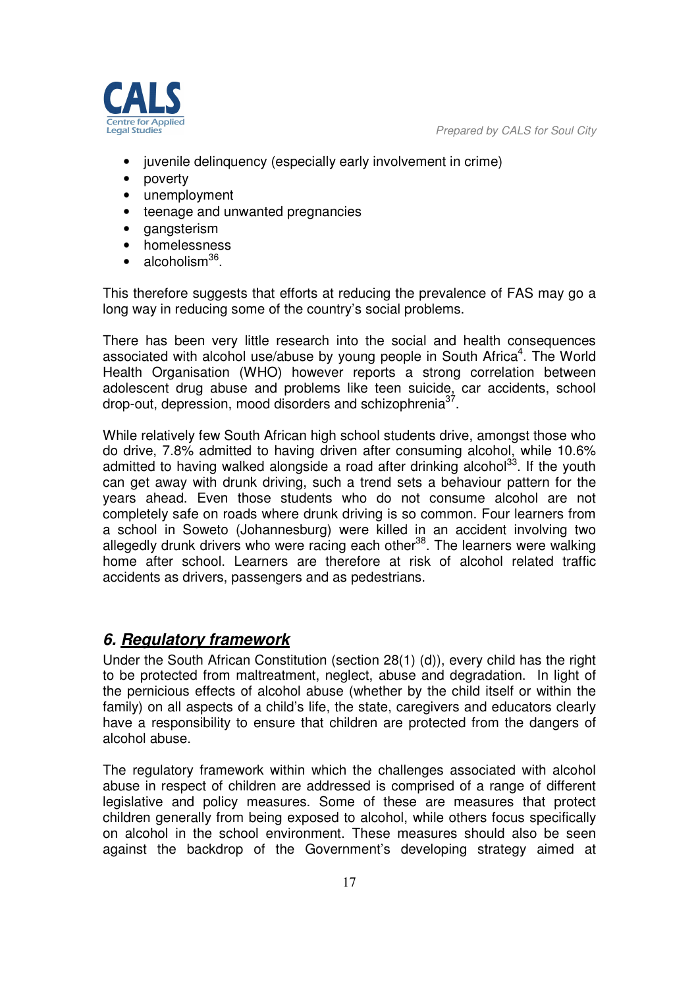

- iuvenile delinquency (especially early involvement in crime)
- poverty
- unemployment
- teenage and unwanted pregnancies
- gangsterism
- homelessness
- $\bullet$  alcoholism<sup>36</sup>.

This therefore suggests that efforts at reducing the prevalence of FAS may go a long way in reducing some of the country's social problems.

There has been very little research into the social and health consequences associated with alcohol use/abuse by young people in South Africa<sup>4</sup>. The World Health Organisation (WHO) however reports a strong correlation between adolescent drug abuse and problems like teen suicide, car accidents, school drop-out, depression, mood disorders and schizophrenia<sup>37</sup>.

While relatively few South African high school students drive, amongst those who do drive, 7.8% admitted to having driven after consuming alcohol, while 10.6% admitted to having walked alongside a road after drinking alcohol<sup>33</sup>. If the youth can get away with drunk driving, such a trend sets a behaviour pattern for the years ahead. Even those students who do not consume alcohol are not completely safe on roads where drunk driving is so common. Four learners from a school in Soweto (Johannesburg) were killed in an accident involving two allegedly drunk drivers who were racing each other<sup>38</sup>. The learners were walking home after school. Learners are therefore at risk of alcohol related traffic accidents as drivers, passengers and as pedestrians.

# *6. Regulatory framework*

Under the South African Constitution (section 28(1) (d)), every child has the right to be protected from maltreatment, neglect, abuse and degradation. In light of the pernicious effects of alcohol abuse (whether by the child itself or within the family) on all aspects of a child's life, the state, caregivers and educators clearly have a responsibility to ensure that children are protected from the dangers of alcohol abuse.

The regulatory framework within which the challenges associated with alcohol abuse in respect of children are addressed is comprised of a range of different legislative and policy measures. Some of these are measures that protect children generally from being exposed to alcohol, while others focus specifically on alcohol in the school environment. These measures should also be seen against the backdrop of the Government's developing strategy aimed at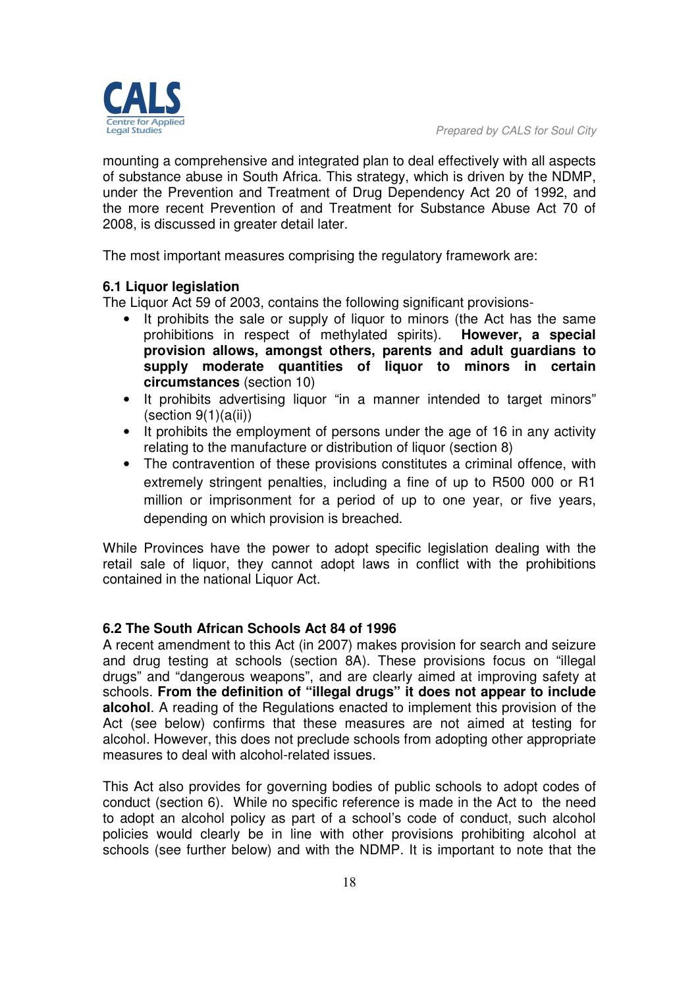

mounting a comprehensive and integrated plan to deal effectively with all aspects of substance abuse in South Africa. This strategy, which is driven by the NDMP, under the Prevention and Treatment of Drug Dependency Act 20 of 1992, and the more recent Prevention of and Treatment for Substance Abuse Act 70 of 2008, is discussed in greater detail later.

The most important measures comprising the regulatory framework are:

#### **6.1 Liquor legislation**

The Liquor Act 59 of 2003, contains the following significant provisions-

- It prohibits the sale or supply of liquor to minors (the Act has the same prohibitions in respect of methylated spirits). **However, a special provision allows, amongst others, parents and adult guardians to supply moderate quantities of liquor to minors in certain circumstances** (section 10)
- It prohibits advertising liquor "in a manner intended to target minors"  $(section 9(1)(a(ii))$
- It prohibits the employment of persons under the age of 16 in any activity relating to the manufacture or distribution of liquor (section 8)
- The contravention of these provisions constitutes a criminal offence, with extremely stringent penalties, including a fine of up to R500 000 or R1 million or imprisonment for a period of up to one year, or five years, depending on which provision is breached.

While Provinces have the power to adopt specific legislation dealing with the retail sale of liquor, they cannot adopt laws in conflict with the prohibitions contained in the national Liquor Act.

#### **6.2 The South African Schools Act 84 of 1996**

A recent amendment to this Act (in 2007) makes provision for search and seizure and drug testing at schools (section 8A). These provisions focus on "illegal drugs" and "dangerous weapons", and are clearly aimed at improving safety at schools. **From the definition of "illegal drugs" it does not appear to include alcohol**. A reading of the Regulations enacted to implement this provision of the Act (see below) confirms that these measures are not aimed at testing for alcohol. However, this does not preclude schools from adopting other appropriate measures to deal with alcohol-related issues.

This Act also provides for governing bodies of public schools to adopt codes of conduct (section 6). While no specific reference is made in the Act to the need to adopt an alcohol policy as part of a school's code of conduct, such alcohol policies would clearly be in line with other provisions prohibiting alcohol at schools (see further below) and with the NDMP. It is important to note that the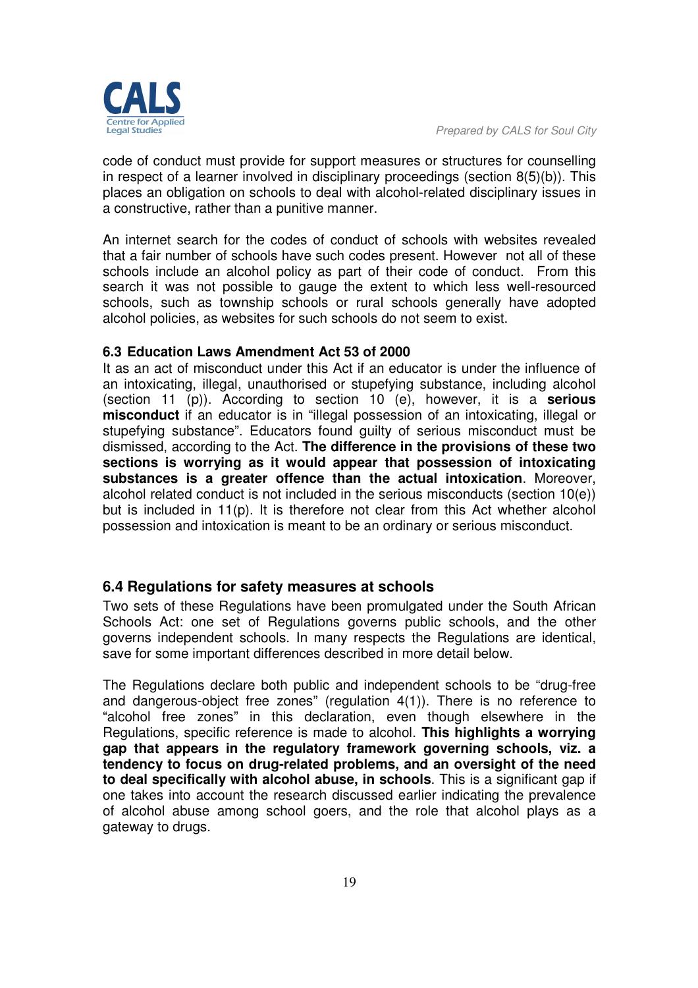code of conduct must provide for support measures or structures for counselling in respect of a learner involved in disciplinary proceedings (section 8(5)(b)). This places an obligation on schools to deal with alcohol-related disciplinary issues in a constructive, rather than a punitive manner.

An internet search for the codes of conduct of schools with websites revealed that a fair number of schools have such codes present. However not all of these schools include an alcohol policy as part of their code of conduct. From this search it was not possible to gauge the extent to which less well-resourced schools, such as township schools or rural schools generally have adopted alcohol policies, as websites for such schools do not seem to exist.

#### **6.3 Education Laws Amendment Act 53 of 2000**

It as an act of misconduct under this Act if an educator is under the influence of an intoxicating, illegal, unauthorised or stupefying substance, including alcohol (section 11 (p)). According to section 10 (e), however, it is a **serious misconduct** if an educator is in "illegal possession of an intoxicating, illegal or stupefying substance". Educators found guilty of serious misconduct must be dismissed, according to the Act. **The difference in the provisions of these two sections is worrying as it would appear that possession of intoxicating substances is a greater offence than the actual intoxication**. Moreover, alcohol related conduct is not included in the serious misconducts (section 10(e)) but is included in 11(p). It is therefore not clear from this Act whether alcohol possession and intoxication is meant to be an ordinary or serious misconduct.

# **6.4 Regulations for safety measures at schools**

Two sets of these Regulations have been promulgated under the South African Schools Act: one set of Regulations governs public schools, and the other governs independent schools. In many respects the Regulations are identical, save for some important differences described in more detail below.

The Regulations declare both public and independent schools to be "drug-free and dangerous-object free zones" (regulation 4(1)). There is no reference to "alcohol free zones" in this declaration, even though elsewhere in the Regulations, specific reference is made to alcohol. **This highlights a worrying gap that appears in the regulatory framework governing schools, viz. a tendency to focus on drug-related problems, and an oversight of the need to deal specifically with alcohol abuse, in schools**. This is a significant gap if one takes into account the research discussed earlier indicating the prevalence of alcohol abuse among school goers, and the role that alcohol plays as a gateway to drugs.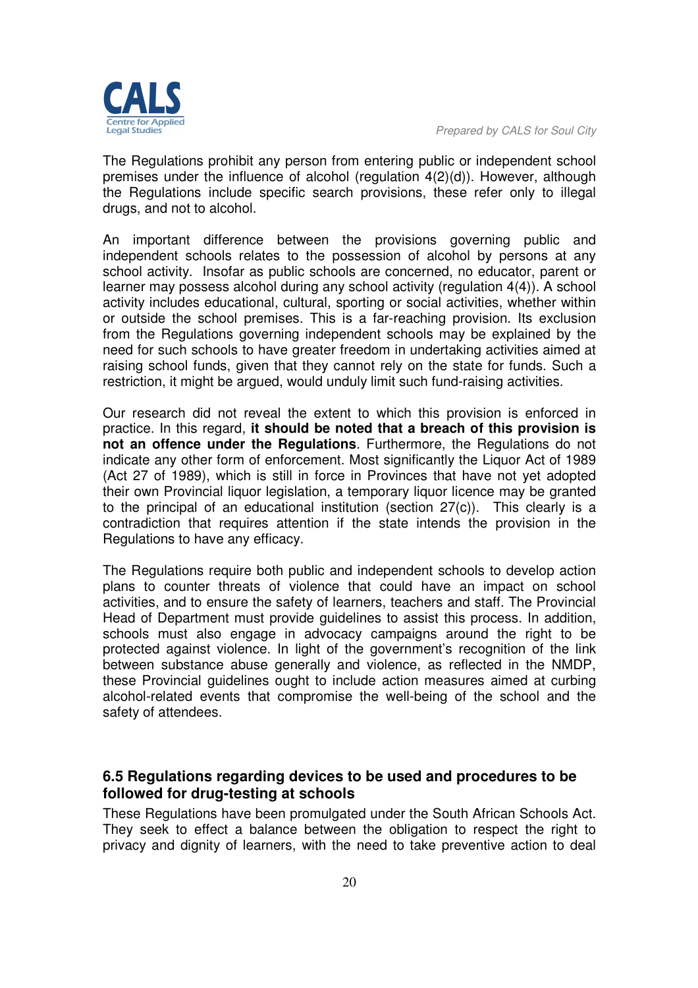The Regulations prohibit any person from entering public or independent school premises under the influence of alcohol (regulation 4(2)(d)). However, although the Regulations include specific search provisions, these refer only to illegal drugs, and not to alcohol.

An important difference between the provisions governing public and independent schools relates to the possession of alcohol by persons at any school activity. Insofar as public schools are concerned, no educator, parent or learner may possess alcohol during any school activity (regulation 4(4)). A school activity includes educational, cultural, sporting or social activities, whether within or outside the school premises. This is a far-reaching provision. Its exclusion from the Regulations governing independent schools may be explained by the need for such schools to have greater freedom in undertaking activities aimed at raising school funds, given that they cannot rely on the state for funds. Such a restriction, it might be argued, would unduly limit such fund-raising activities.

Our research did not reveal the extent to which this provision is enforced in practice. In this regard, **it should be noted that a breach of this provision is not an offence under the Regulations**. Furthermore, the Regulations do not indicate any other form of enforcement. Most significantly the Liquor Act of 1989 (Act 27 of 1989), which is still in force in Provinces that have not yet adopted their own Provincial liquor legislation, a temporary liquor licence may be granted to the principal of an educational institution (section 27(c)). This clearly is a contradiction that requires attention if the state intends the provision in the Regulations to have any efficacy.

The Regulations require both public and independent schools to develop action plans to counter threats of violence that could have an impact on school activities, and to ensure the safety of learners, teachers and staff. The Provincial Head of Department must provide guidelines to assist this process. In addition, schools must also engage in advocacy campaigns around the right to be protected against violence. In light of the government's recognition of the link between substance abuse generally and violence, as reflected in the NMDP, these Provincial guidelines ought to include action measures aimed at curbing alcohol-related events that compromise the well-being of the school and the safety of attendees.

# **6.5 Regulations regarding devices to be used and procedures to be followed for drug-testing at schools**

These Regulations have been promulgated under the South African Schools Act. They seek to effect a balance between the obligation to respect the right to privacy and dignity of learners, with the need to take preventive action to deal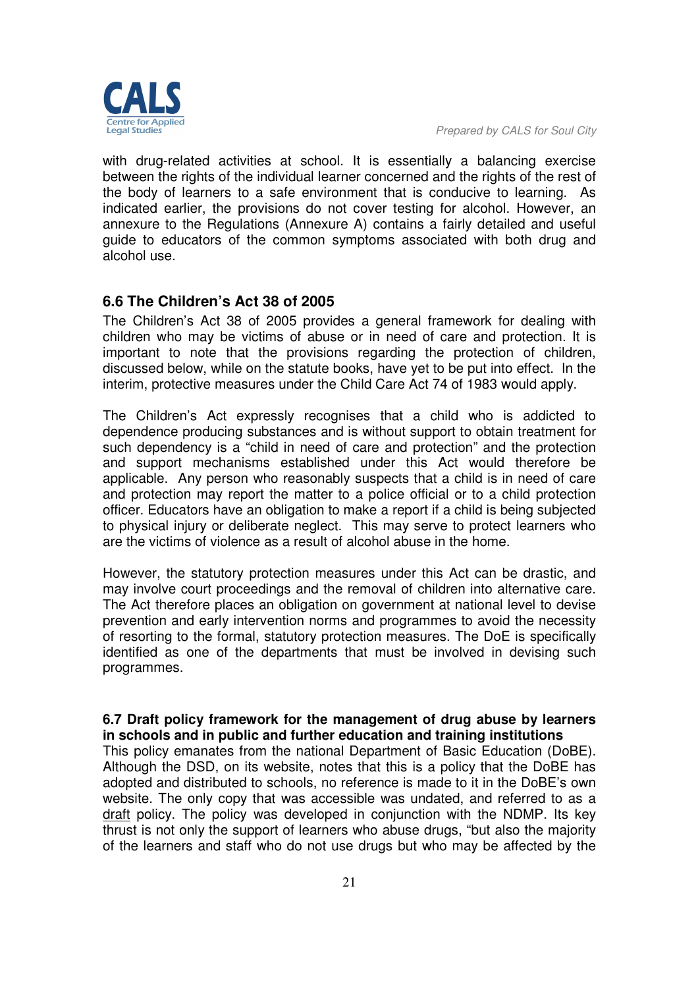

with drug-related activities at school. It is essentially a balancing exercise between the rights of the individual learner concerned and the rights of the rest of the body of learners to a safe environment that is conducive to learning. As indicated earlier, the provisions do not cover testing for alcohol. However, an annexure to the Regulations (Annexure A) contains a fairly detailed and useful guide to educators of the common symptoms associated with both drug and alcohol use.

# **6.6 The Children's Act 38 of 2005**

The Children's Act 38 of 2005 provides a general framework for dealing with children who may be victims of abuse or in need of care and protection. It is important to note that the provisions regarding the protection of children, discussed below, while on the statute books, have yet to be put into effect. In the interim, protective measures under the Child Care Act 74 of 1983 would apply.

The Children's Act expressly recognises that a child who is addicted to dependence producing substances and is without support to obtain treatment for such dependency is a "child in need of care and protection" and the protection and support mechanisms established under this Act would therefore be applicable. Any person who reasonably suspects that a child is in need of care and protection may report the matter to a police official or to a child protection officer. Educators have an obligation to make a report if a child is being subjected to physical injury or deliberate neglect. This may serve to protect learners who are the victims of violence as a result of alcohol abuse in the home.

However, the statutory protection measures under this Act can be drastic, and may involve court proceedings and the removal of children into alternative care. The Act therefore places an obligation on government at national level to devise prevention and early intervention norms and programmes to avoid the necessity of resorting to the formal, statutory protection measures. The DoE is specifically identified as one of the departments that must be involved in devising such programmes.

#### **6.7 Draft policy framework for the management of drug abuse by learners in schools and in public and further education and training institutions**

This policy emanates from the national Department of Basic Education (DoBE). Although the DSD, on its website, notes that this is a policy that the DoBE has adopted and distributed to schools, no reference is made to it in the DoBE's own website. The only copy that was accessible was undated, and referred to as a draft policy. The policy was developed in conjunction with the NDMP. Its key thrust is not only the support of learners who abuse drugs, "but also the majority of the learners and staff who do not use drugs but who may be affected by the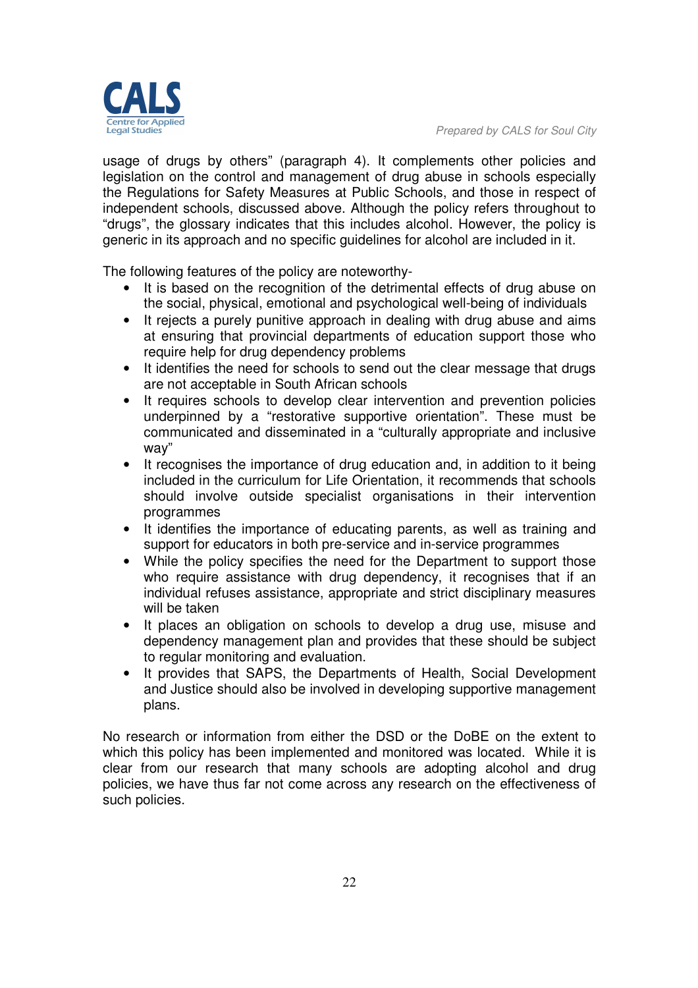

usage of drugs by others" (paragraph 4). It complements other policies and legislation on the control and management of drug abuse in schools especially the Regulations for Safety Measures at Public Schools, and those in respect of independent schools, discussed above. Although the policy refers throughout to "drugs", the glossary indicates that this includes alcohol. However, the policy is generic in its approach and no specific guidelines for alcohol are included in it.

The following features of the policy are noteworthy-

- It is based on the recognition of the detrimental effects of drug abuse on the social, physical, emotional and psychological well-being of individuals
- It rejects a purely punitive approach in dealing with drug abuse and aims at ensuring that provincial departments of education support those who require help for drug dependency problems
- It identifies the need for schools to send out the clear message that drugs are not acceptable in South African schools
- It requires schools to develop clear intervention and prevention policies underpinned by a "restorative supportive orientation". These must be communicated and disseminated in a "culturally appropriate and inclusive way"
- It recognises the importance of drug education and, in addition to it being included in the curriculum for Life Orientation, it recommends that schools should involve outside specialist organisations in their intervention programmes
- It identifies the importance of educating parents, as well as training and support for educators in both pre-service and in-service programmes
- While the policy specifies the need for the Department to support those who require assistance with drug dependency, it recognises that if an individual refuses assistance, appropriate and strict disciplinary measures will be taken
- It places an obligation on schools to develop a drug use, misuse and dependency management plan and provides that these should be subject to regular monitoring and evaluation.
- It provides that SAPS, the Departments of Health, Social Development and Justice should also be involved in developing supportive management plans.

No research or information from either the DSD or the DoBE on the extent to which this policy has been implemented and monitored was located. While it is clear from our research that many schools are adopting alcohol and drug policies, we have thus far not come across any research on the effectiveness of such policies.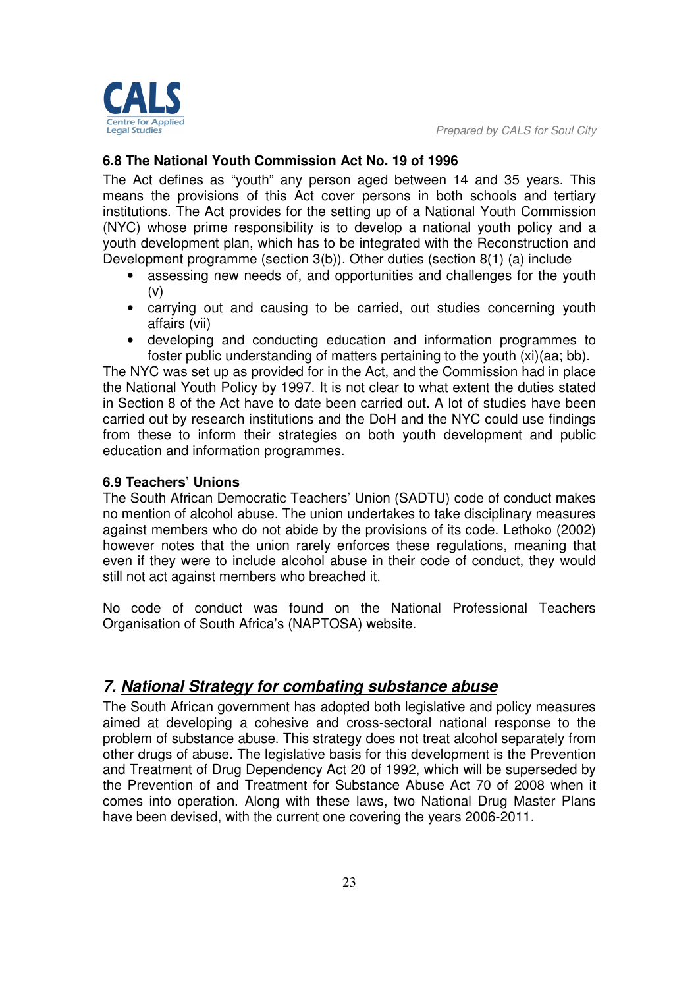

### **6.8 The National Youth Commission Act No. 19 of 1996**

The Act defines as "youth" any person aged between 14 and 35 years. This means the provisions of this Act cover persons in both schools and tertiary institutions. The Act provides for the setting up of a National Youth Commission (NYC) whose prime responsibility is to develop a national youth policy and a youth development plan, which has to be integrated with the Reconstruction and Development programme (section 3(b)). Other duties (section 8(1) (a) include

- assessing new needs of, and opportunities and challenges for the youth  $(v)$
- carrying out and causing to be carried, out studies concerning youth affairs (vii)
- developing and conducting education and information programmes to foster public understanding of matters pertaining to the youth (xi)(aa; bb).

The NYC was set up as provided for in the Act, and the Commission had in place the National Youth Policy by 1997. It is not clear to what extent the duties stated in Section 8 of the Act have to date been carried out. A lot of studies have been carried out by research institutions and the DoH and the NYC could use findings from these to inform their strategies on both youth development and public education and information programmes.

#### **6.9 Teachers' Unions**

The South African Democratic Teachers' Union (SADTU) code of conduct makes no mention of alcohol abuse. The union undertakes to take disciplinary measures against members who do not abide by the provisions of its code. Lethoko (2002) however notes that the union rarely enforces these regulations, meaning that even if they were to include alcohol abuse in their code of conduct, they would still not act against members who breached it.

No code of conduct was found on the National Professional Teachers Organisation of South Africa's (NAPTOSA) website.

# *7. National Strategy for combating substance abuse*

The South African government has adopted both legislative and policy measures aimed at developing a cohesive and cross-sectoral national response to the problem of substance abuse. This strategy does not treat alcohol separately from other drugs of abuse. The legislative basis for this development is the Prevention and Treatment of Drug Dependency Act 20 of 1992, which will be superseded by the Prevention of and Treatment for Substance Abuse Act 70 of 2008 when it comes into operation. Along with these laws, two National Drug Master Plans have been devised, with the current one covering the years 2006-2011.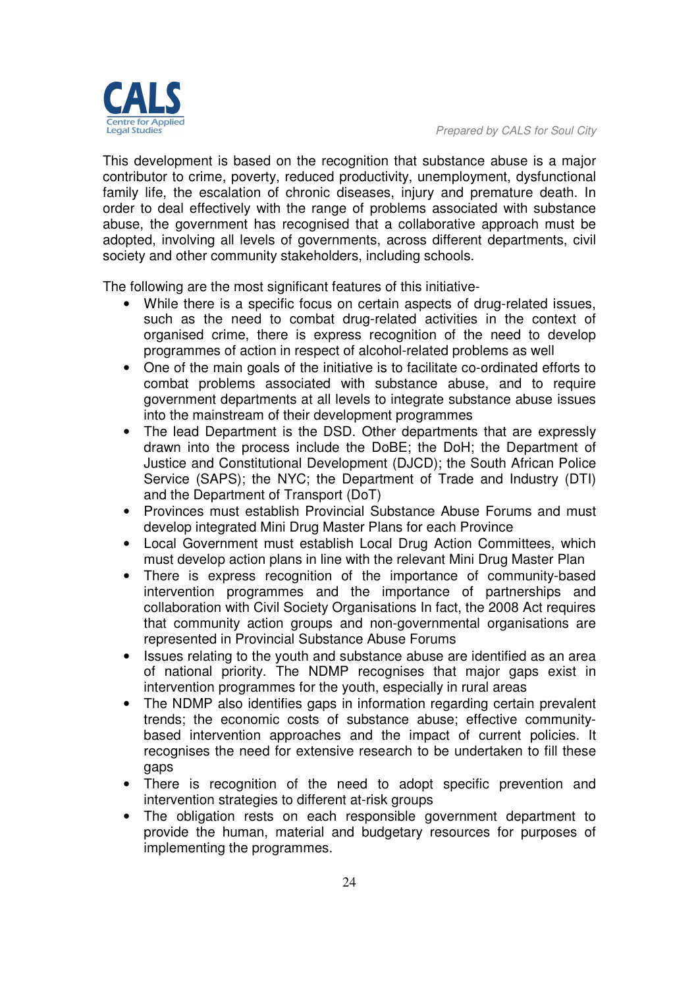This development is based on the recognition that substance abuse is a major contributor to crime, poverty, reduced productivity, unemployment, dysfunctional family life, the escalation of chronic diseases, injury and premature death. In order to deal effectively with the range of problems associated with substance abuse, the government has recognised that a collaborative approach must be adopted, involving all levels of governments, across different departments, civil society and other community stakeholders, including schools.

The following are the most significant features of this initiative-

- While there is a specific focus on certain aspects of drug-related issues, such as the need to combat drug-related activities in the context of organised crime, there is express recognition of the need to develop programmes of action in respect of alcohol-related problems as well
- One of the main goals of the initiative is to facilitate co-ordinated efforts to combat problems associated with substance abuse, and to require government departments at all levels to integrate substance abuse issues into the mainstream of their development programmes
- The lead Department is the DSD. Other departments that are expressly drawn into the process include the DoBE; the DoH; the Department of Justice and Constitutional Development (DJCD); the South African Police Service (SAPS); the NYC; the Department of Trade and Industry (DTI) and the Department of Transport (DoT)
- Provinces must establish Provincial Substance Abuse Forums and must develop integrated Mini Drug Master Plans for each Province
- Local Government must establish Local Drug Action Committees, which must develop action plans in line with the relevant Mini Drug Master Plan
- There is express recognition of the importance of community-based intervention programmes and the importance of partnerships and collaboration with Civil Society Organisations In fact, the 2008 Act requires that community action groups and non-governmental organisations are represented in Provincial Substance Abuse Forums
- Issues relating to the youth and substance abuse are identified as an area of national priority. The NDMP recognises that major gaps exist in intervention programmes for the youth, especially in rural areas
- The NDMP also identifies gaps in information regarding certain prevalent trends; the economic costs of substance abuse; effective communitybased intervention approaches and the impact of current policies. It recognises the need for extensive research to be undertaken to fill these gaps
- There is recognition of the need to adopt specific prevention and intervention strategies to different at-risk groups
- The obligation rests on each responsible government department to provide the human, material and budgetary resources for purposes of implementing the programmes.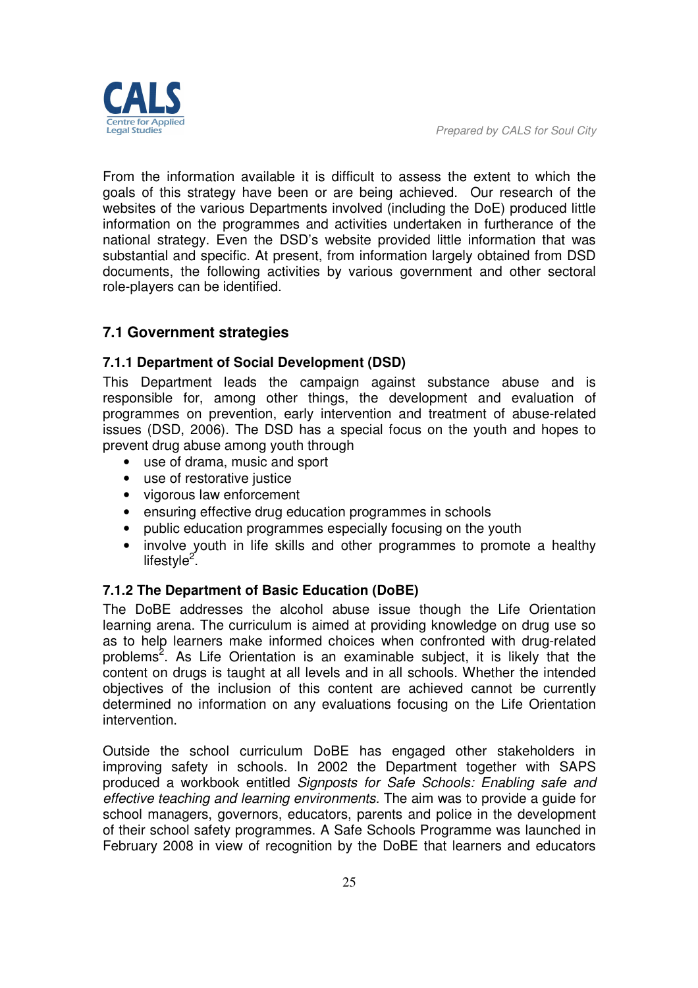

From the information available it is difficult to assess the extent to which the goals of this strategy have been or are being achieved. Our research of the websites of the various Departments involved (including the DoE) produced little information on the programmes and activities undertaken in furtherance of the national strategy. Even the DSD's website provided little information that was substantial and specific. At present, from information largely obtained from DSD documents, the following activities by various government and other sectoral role-players can be identified.

# **7.1 Government strategies**

#### **7.1.1 Department of Social Development (DSD)**

This Department leads the campaign against substance abuse and is responsible for, among other things, the development and evaluation of programmes on prevention, early intervention and treatment of abuse-related issues (DSD, 2006). The DSD has a special focus on the youth and hopes to prevent drug abuse among youth through

- use of drama, music and sport
- use of restorative justice
- vigorous law enforcement
- ensuring effective drug education programmes in schools
- public education programmes especially focusing on the youth
- involve youth in life skills and other programmes to promote a healthy lifestyle<sup>2</sup>.

#### **7.1.2 The Department of Basic Education (DoBE)**

The DoBE addresses the alcohol abuse issue though the Life Orientation learning arena. The curriculum is aimed at providing knowledge on drug use so as to help learners make informed choices when confronted with drug-related problems<sup>2</sup>. As Life Orientation is an examinable subject, it is likely that the content on drugs is taught at all levels and in all schools. Whether the intended objectives of the inclusion of this content are achieved cannot be currently determined no information on any evaluations focusing on the Life Orientation intervention.

Outside the school curriculum DoBE has engaged other stakeholders in improving safety in schools. In 2002 the Department together with SAPS produced a workbook entitled *Signposts for Safe Schools: Enabling safe and effective teaching and learning environments.* The aim was to provide a guide for school managers, governors, educators, parents and police in the development of their school safety programmes. A Safe Schools Programme was launched in February 2008 in view of recognition by the DoBE that learners and educators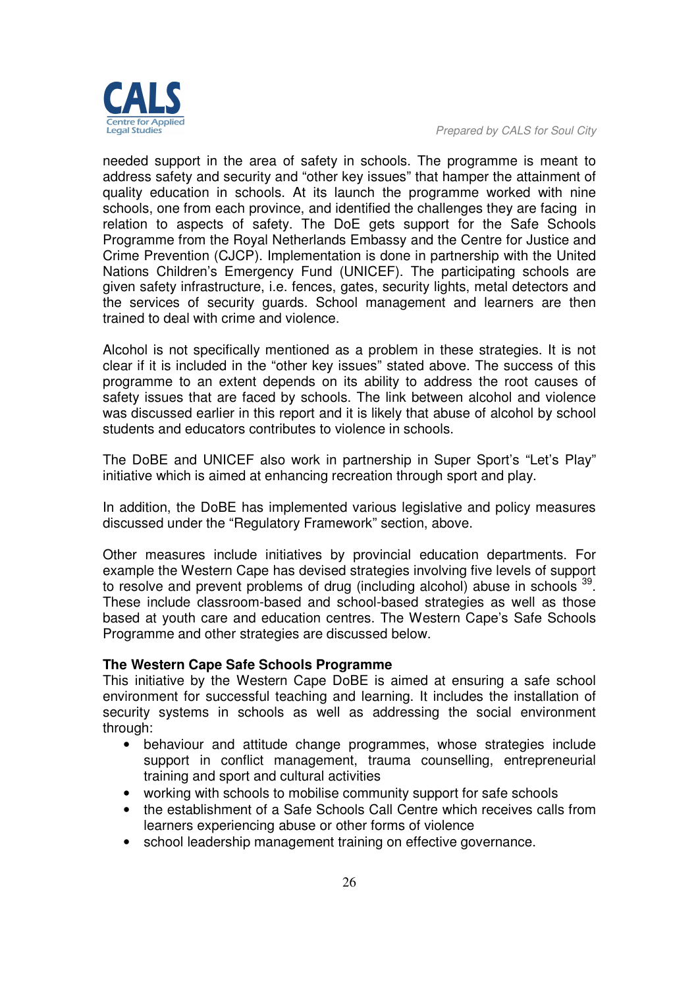

needed support in the area of safety in schools. The programme is meant to address safety and security and "other key issues" that hamper the attainment of quality education in schools. At its launch the programme worked with nine schools, one from each province, and identified the challenges they are facing in relation to aspects of safety. The DoE gets support for the Safe Schools Programme from the Royal Netherlands Embassy and the Centre for Justice and Crime Prevention (CJCP). Implementation is done in partnership with the United Nations Children's Emergency Fund (UNICEF). The participating schools are given safety infrastructure, i.e. fences, gates, security lights, metal detectors and the services of security guards. School management and learners are then trained to deal with crime and violence.

Alcohol is not specifically mentioned as a problem in these strategies. It is not clear if it is included in the "other key issues" stated above. The success of this programme to an extent depends on its ability to address the root causes of safety issues that are faced by schools. The link between alcohol and violence was discussed earlier in this report and it is likely that abuse of alcohol by school students and educators contributes to violence in schools.

The DoBE and UNICEF also work in partnership in Super Sport's "Let's Play" initiative which is aimed at enhancing recreation through sport and play.

In addition, the DoBE has implemented various legislative and policy measures discussed under the "Regulatory Framework" section, above.

Other measures include initiatives by provincial education departments. For example the Western Cape has devised strategies involving five levels of support to resolve and prevent problems of drug (including alcohol) abuse in schools <sup>39</sup>. These include classroom-based and school-based strategies as well as those based at youth care and education centres. The Western Cape's Safe Schools Programme and other strategies are discussed below.

#### **The Western Cape Safe Schools Programme**

This initiative by the Western Cape DoBE is aimed at ensuring a safe school environment for successful teaching and learning. It includes the installation of security systems in schools as well as addressing the social environment through:

- behaviour and attitude change programmes, whose strategies include support in conflict management, trauma counselling, entrepreneurial training and sport and cultural activities
- working with schools to mobilise community support for safe schools
- the establishment of a Safe Schools Call Centre which receives calls from learners experiencing abuse or other forms of violence
- school leadership management training on effective governance.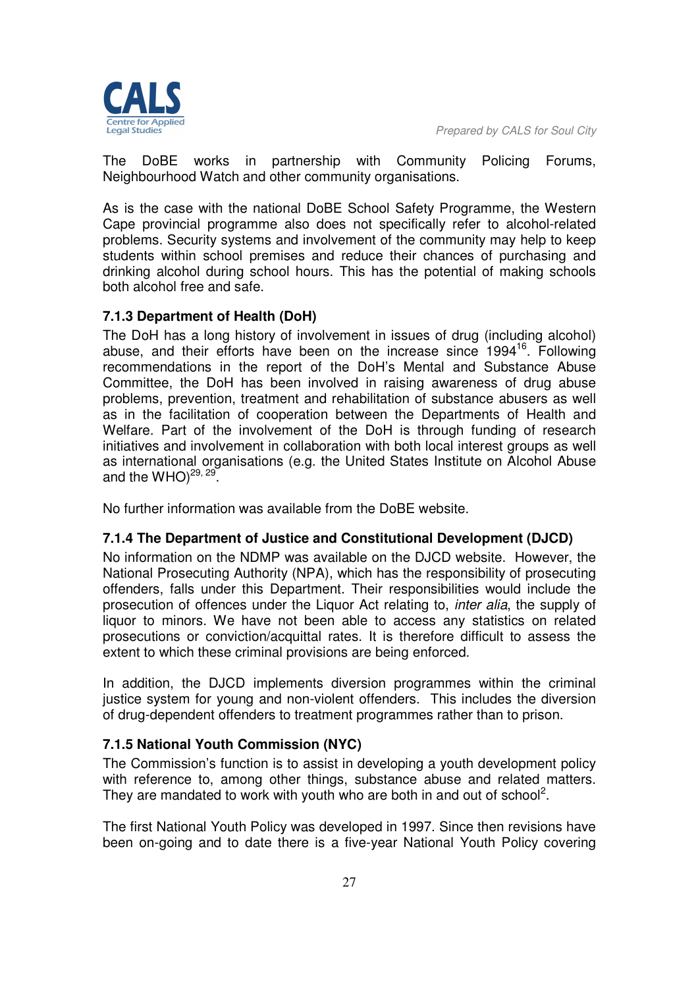

The DoBE works in partnership with Community Policing Forums, Neighbourhood Watch and other community organisations.

As is the case with the national DoBE School Safety Programme, the Western Cape provincial programme also does not specifically refer to alcohol-related problems. Security systems and involvement of the community may help to keep students within school premises and reduce their chances of purchasing and drinking alcohol during school hours. This has the potential of making schools both alcohol free and safe.

#### **7.1.3 Department of Health (DoH)**

The DoH has a long history of involvement in issues of drug (including alcohol) abuse, and their efforts have been on the increase since  $1994<sup>16</sup>$ . Following recommendations in the report of the DoH's Mental and Substance Abuse Committee, the DoH has been involved in raising awareness of drug abuse problems, prevention, treatment and rehabilitation of substance abusers as well as in the facilitation of cooperation between the Departments of Health and Welfare. Part of the involvement of the DoH is through funding of research initiatives and involvement in collaboration with both local interest groups as well as international organisations (e.g. the United States Institute on Alcohol Abuse and the WHO) $^{29, 29}$ .

No further information was available from the DoBE website.

#### **7.1.4 The Department of Justice and Constitutional Development (DJCD)**

No information on the NDMP was available on the DJCD website. However, the National Prosecuting Authority (NPA), which has the responsibility of prosecuting offenders, falls under this Department. Their responsibilities would include the prosecution of offences under the Liquor Act relating to, *inter alia*, the supply of liquor to minors. We have not been able to access any statistics on related prosecutions or conviction/acquittal rates. It is therefore difficult to assess the extent to which these criminal provisions are being enforced.

In addition, the DJCD implements diversion programmes within the criminal justice system for young and non-violent offenders. This includes the diversion of drug-dependent offenders to treatment programmes rather than to prison.

#### **7.1.5 National Youth Commission (NYC)**

The Commission's function is to assist in developing a youth development policy with reference to, among other things, substance abuse and related matters. They are mandated to work with youth who are both in and out of school<sup>2</sup>.

The first National Youth Policy was developed in 1997. Since then revisions have been on-going and to date there is a five-year National Youth Policy covering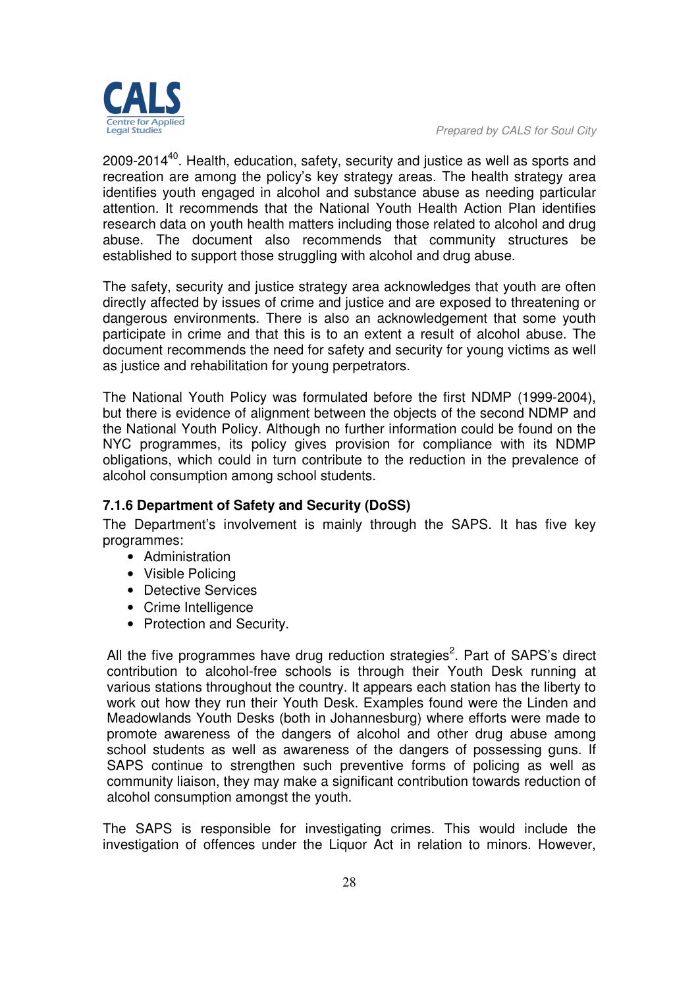

2009-2014<sup>40</sup>. Health, education, safety, security and justice as well as sports and recreation are among the policy's key strategy areas. The health strategy area identifies youth engaged in alcohol and substance abuse as needing particular attention. It recommends that the National Youth Health Action Plan identifies research data on youth health matters including those related to alcohol and drug abuse. The document also recommends that community structures be established to support those struggling with alcohol and drug abuse.

The safety, security and justice strategy area acknowledges that youth are often directly affected by issues of crime and justice and are exposed to threatening or dangerous environments. There is also an acknowledgement that some youth participate in crime and that this is to an extent a result of alcohol abuse. The document recommends the need for safety and security for young victims as well as justice and rehabilitation for young perpetrators.

The National Youth Policy was formulated before the first NDMP (1999-2004), but there is evidence of alignment between the objects of the second NDMP and the National Youth Policy. Although no further information could be found on the NYC programmes, its policy gives provision for compliance with its NDMP obligations, which could in turn contribute to the reduction in the prevalence of alcohol consumption among school students.

# **7.1.6 Department of Safety and Security (DoSS)**

The Department's involvement is mainly through the SAPS. It has five key programmes:

- Administration
- Visible Policing
- Detective Services
- Crime Intelligence
- Protection and Security.

All the five programmes have drug reduction strategies<sup>2</sup>. Part of SAPS's direct contribution to alcohol-free schools is through their Youth Desk running at various stations throughout the country. It appears each station has the liberty to work out how they run their Youth Desk. Examples found were the Linden and Meadowlands Youth Desks (both in Johannesburg) where efforts were made to promote awareness of the dangers of alcohol and other drug abuse among school students as well as awareness of the dangers of possessing guns. If SAPS continue to strengthen such preventive forms of policing as well as community liaison, they may make a significant contribution towards reduction of alcohol consumption amongst the youth.

The SAPS is responsible for investigating crimes. This would include the investigation of offences under the Liquor Act in relation to minors. However,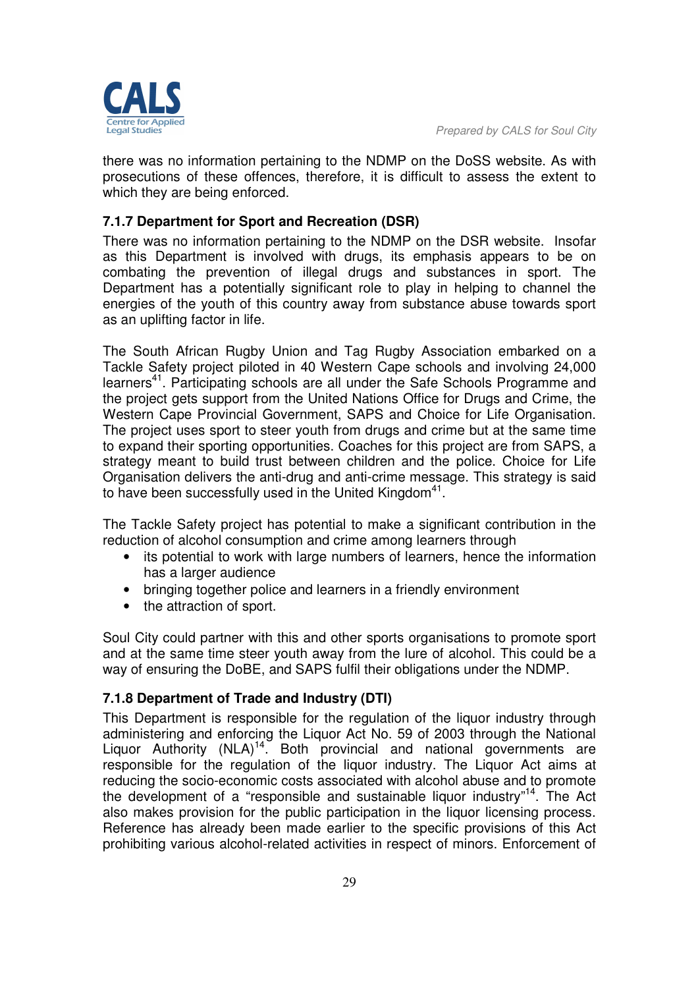there was no information pertaining to the NDMP on the DoSS website. As with prosecutions of these offences, therefore, it is difficult to assess the extent to which they are being enforced.

# **7.1.7 Department for Sport and Recreation (DSR)**

There was no information pertaining to the NDMP on the DSR website. Insofar as this Department is involved with drugs, its emphasis appears to be on combating the prevention of illegal drugs and substances in sport. The Department has a potentially significant role to play in helping to channel the energies of the youth of this country away from substance abuse towards sport as an uplifting factor in life.

The South African Rugby Union and Tag Rugby Association embarked on a Tackle Safety project piloted in 40 Western Cape schools and involving 24,000 learners<sup>41</sup>. Participating schools are all under the Safe Schools Programme and the project gets support from the United Nations Office for Drugs and Crime, the Western Cape Provincial Government, SAPS and Choice for Life Organisation. The project uses sport to steer youth from drugs and crime but at the same time to expand their sporting opportunities. Coaches for this project are from SAPS, a strategy meant to build trust between children and the police. Choice for Life Organisation delivers the anti-drug and anti-crime message. This strategy is said to have been successfully used in the United Kingdom<sup>41</sup>.

The Tackle Safety project has potential to make a significant contribution in the reduction of alcohol consumption and crime among learners through

- its potential to work with large numbers of learners, hence the information has a larger audience
- bringing together police and learners in a friendly environment
- the attraction of sport.

Soul City could partner with this and other sports organisations to promote sport and at the same time steer youth away from the lure of alcohol. This could be a way of ensuring the DoBE, and SAPS fulfil their obligations under the NDMP.

# **7.1.8 Department of Trade and Industry (DTI)**

This Department is responsible for the regulation of the liquor industry through administering and enforcing the Liquor Act No. 59 of 2003 through the National Liquor Authority  $(NLA)^{14}$ . Both provincial and national governments are responsible for the regulation of the liquor industry. The Liquor Act aims at reducing the socio-economic costs associated with alcohol abuse and to promote the development of a "responsible and sustainable liquor industry"<sup>14</sup>. The Act also makes provision for the public participation in the liquor licensing process. Reference has already been made earlier to the specific provisions of this Act prohibiting various alcohol-related activities in respect of minors. Enforcement of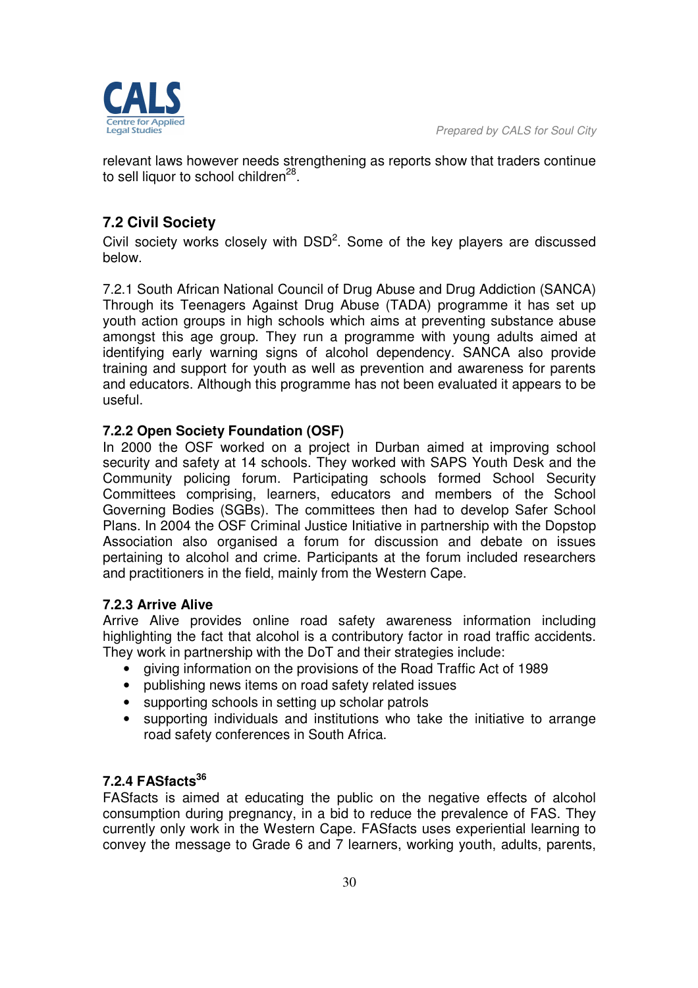

relevant laws however needs strengthening as reports show that traders continue to sell liquor to school children<sup>28</sup>.

# **7.2 Civil Society**

Civil society works closely with  $\text{DSD}^2$ . Some of the key players are discussed below.

7.2.1 South African National Council of Drug Abuse and Drug Addiction (SANCA) Through its Teenagers Against Drug Abuse (TADA) programme it has set up youth action groups in high schools which aims at preventing substance abuse amongst this age group. They run a programme with young adults aimed at identifying early warning signs of alcohol dependency. SANCA also provide training and support for youth as well as prevention and awareness for parents and educators. Although this programme has not been evaluated it appears to be useful.

#### **7.2.2 Open Society Foundation (OSF)**

In 2000 the OSF worked on a project in Durban aimed at improving school security and safety at 14 schools. They worked with SAPS Youth Desk and the Community policing forum. Participating schools formed School Security Committees comprising, learners, educators and members of the School Governing Bodies (SGBs). The committees then had to develop Safer School Plans. In 2004 the OSF Criminal Justice Initiative in partnership with the Dopstop Association also organised a forum for discussion and debate on issues pertaining to alcohol and crime. Participants at the forum included researchers and practitioners in the field, mainly from the Western Cape.

#### **7.2.3 Arrive Alive**

Arrive Alive provides online road safety awareness information including highlighting the fact that alcohol is a contributory factor in road traffic accidents. They work in partnership with the DoT and their strategies include:

- giving information on the provisions of the Road Traffic Act of 1989
- publishing news items on road safety related issues
- supporting schools in setting up scholar patrols
- supporting individuals and institutions who take the initiative to arrange road safety conferences in South Africa.

# **7.2.4 FASfacts<sup>36</sup>**

FASfacts is aimed at educating the public on the negative effects of alcohol consumption during pregnancy, in a bid to reduce the prevalence of FAS. They currently only work in the Western Cape. FASfacts uses experiential learning to convey the message to Grade 6 and 7 learners, working youth, adults, parents,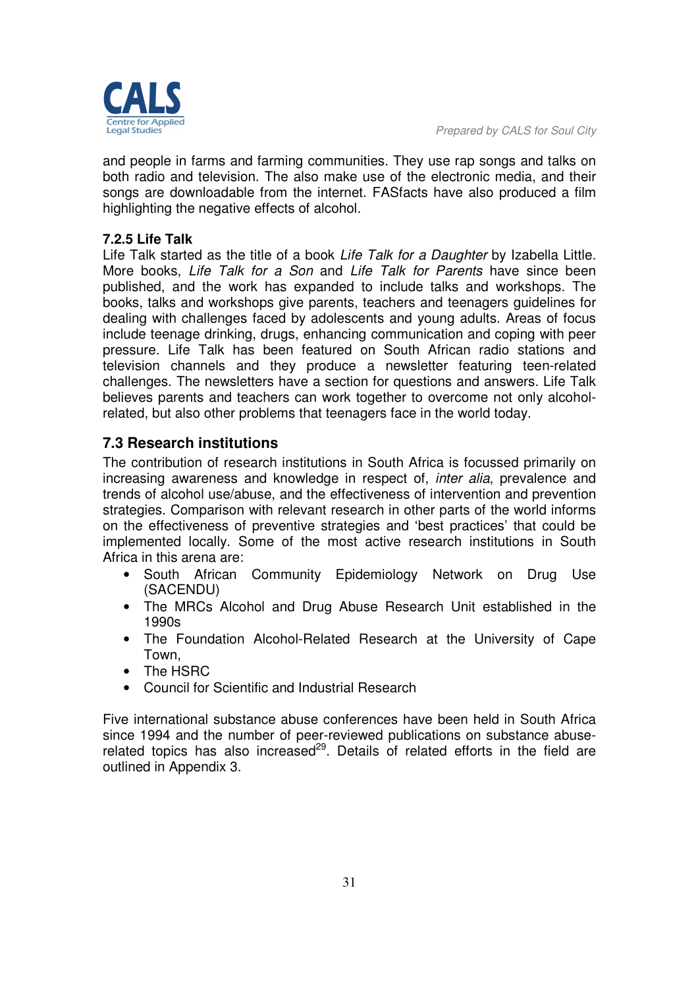

and people in farms and farming communities. They use rap songs and talks on both radio and television. The also make use of the electronic media, and their songs are downloadable from the internet. FASfacts have also produced a film highlighting the negative effects of alcohol.

#### **7.2.5 Life Talk**

Life Talk started as the title of a book *Life Talk for a Daughter* by Izabella Little. More books, *Life Talk for a Son* and *Life Talk for Parents* have since been published, and the work has expanded to include talks and workshops. The books, talks and workshops give parents, teachers and teenagers guidelines for dealing with challenges faced by adolescents and young adults. Areas of focus include teenage drinking, drugs, enhancing communication and coping with peer pressure. Life Talk has been featured on South African radio stations and television channels and they produce a newsletter featuring teen-related challenges. The newsletters have a section for questions and answers. Life Talk believes parents and teachers can work together to overcome not only alcoholrelated, but also other problems that teenagers face in the world today.

# **7.3 Research institutions**

The contribution of research institutions in South Africa is focussed primarily on increasing awareness and knowledge in respect of, *inter alia*, prevalence and trends of alcohol use/abuse, and the effectiveness of intervention and prevention strategies. Comparison with relevant research in other parts of the world informs on the effectiveness of preventive strategies and 'best practices' that could be implemented locally. Some of the most active research institutions in South Africa in this arena are:

- South African Community Epidemiology Network on Drug Use (SACENDU)
- The MRCs Alcohol and Drug Abuse Research Unit established in the 1990s
- The Foundation Alcohol-Related Research at the University of Cape Town,
- The HSRC
- Council for Scientific and Industrial Research

Five international substance abuse conferences have been held in South Africa since 1994 and the number of peer-reviewed publications on substance abuserelated topics has also increased<sup>29</sup>. Details of related efforts in the field are outlined in Appendix 3.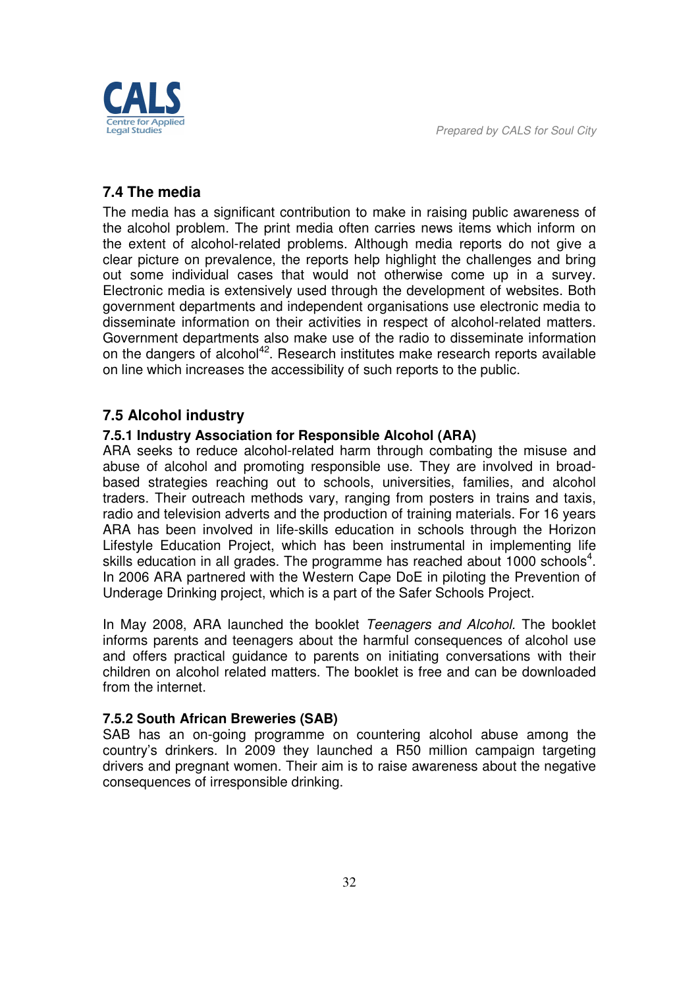

# **7.4 The media**

The media has a significant contribution to make in raising public awareness of the alcohol problem. The print media often carries news items which inform on the extent of alcohol-related problems. Although media reports do not give a clear picture on prevalence, the reports help highlight the challenges and bring out some individual cases that would not otherwise come up in a survey. Electronic media is extensively used through the development of websites. Both government departments and independent organisations use electronic media to disseminate information on their activities in respect of alcohol-related matters. Government departments also make use of the radio to disseminate information on the dangers of alcohol<sup>42</sup>. Research institutes make research reports available on line which increases the accessibility of such reports to the public.

#### **7.5 Alcohol industry**

#### **7.5.1 Industry Association for Responsible Alcohol (ARA)**

ARA seeks to reduce alcohol-related harm through combating the misuse and abuse of alcohol and promoting responsible use. They are involved in broadbased strategies reaching out to schools, universities, families, and alcohol traders. Their outreach methods vary, ranging from posters in trains and taxis, radio and television adverts and the production of training materials. For 16 years ARA has been involved in life-skills education in schools through the Horizon Lifestyle Education Project, which has been instrumental in implementing life skills education in all grades. The programme has reached about 1000 schools<sup>4</sup>. In 2006 ARA partnered with the Western Cape DoE in piloting the Prevention of Underage Drinking project, which is a part of the Safer Schools Project.

In May 2008, ARA launched the booklet *Teenagers and Alcohol.* The booklet informs parents and teenagers about the harmful consequences of alcohol use and offers practical guidance to parents on initiating conversations with their children on alcohol related matters. The booklet is free and can be downloaded from the internet.

#### **7.5.2 South African Breweries (SAB)**

SAB has an on-going programme on countering alcohol abuse among the country's drinkers. In 2009 they launched a R50 million campaign targeting drivers and pregnant women. Their aim is to raise awareness about the negative consequences of irresponsible drinking.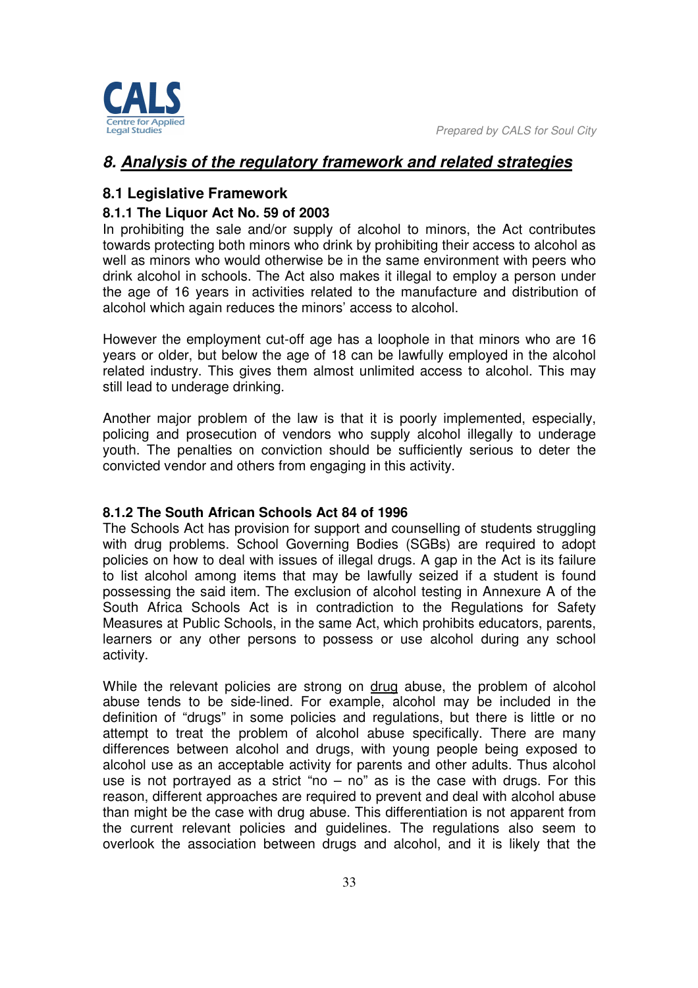

# *8. Analysis of the regulatory framework and related strategies*

# **8.1 Legislative Framework**

#### **8.1.1 The Liquor Act No. 59 of 2003**

In prohibiting the sale and/or supply of alcohol to minors, the Act contributes towards protecting both minors who drink by prohibiting their access to alcohol as well as minors who would otherwise be in the same environment with peers who drink alcohol in schools. The Act also makes it illegal to employ a person under the age of 16 years in activities related to the manufacture and distribution of alcohol which again reduces the minors' access to alcohol.

However the employment cut-off age has a loophole in that minors who are 16 years or older, but below the age of 18 can be lawfully employed in the alcohol related industry. This gives them almost unlimited access to alcohol. This may still lead to underage drinking.

Another major problem of the law is that it is poorly implemented, especially, policing and prosecution of vendors who supply alcohol illegally to underage youth. The penalties on conviction should be sufficiently serious to deter the convicted vendor and others from engaging in this activity.

#### **8.1.2 The South African Schools Act 84 of 1996**

The Schools Act has provision for support and counselling of students struggling with drug problems. School Governing Bodies (SGBs) are required to adopt policies on how to deal with issues of illegal drugs. A gap in the Act is its failure to list alcohol among items that may be lawfully seized if a student is found possessing the said item. The exclusion of alcohol testing in Annexure A of the South Africa Schools Act is in contradiction to the Regulations for Safety Measures at Public Schools, in the same Act, which prohibits educators, parents, learners or any other persons to possess or use alcohol during any school activity.

While the relevant policies are strong on drug abuse, the problem of alcohol abuse tends to be side-lined. For example, alcohol may be included in the definition of "drugs" in some policies and regulations, but there is little or no attempt to treat the problem of alcohol abuse specifically. There are many differences between alcohol and drugs, with young people being exposed to alcohol use as an acceptable activity for parents and other adults. Thus alcohol use is not portrayed as a strict "no  $-$  no" as is the case with drugs. For this reason, different approaches are required to prevent and deal with alcohol abuse than might be the case with drug abuse. This differentiation is not apparent from the current relevant policies and guidelines. The regulations also seem to overlook the association between drugs and alcohol, and it is likely that the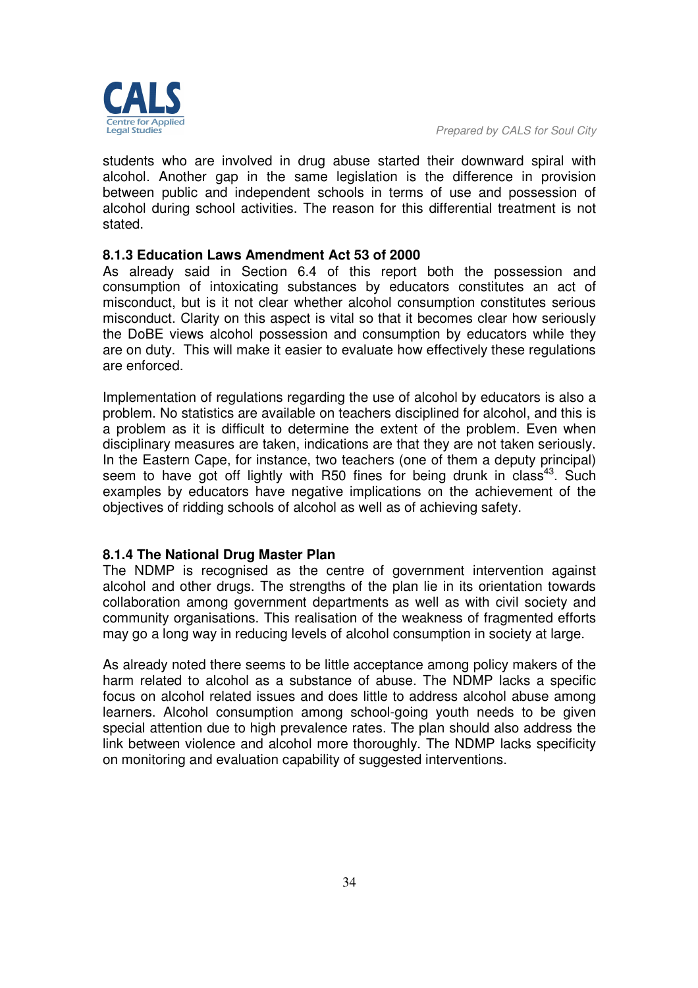students who are involved in drug abuse started their downward spiral with alcohol. Another gap in the same legislation is the difference in provision between public and independent schools in terms of use and possession of alcohol during school activities. The reason for this differential treatment is not stated.

#### **8.1.3 Education Laws Amendment Act 53 of 2000**

As already said in Section 6.4 of this report both the possession and consumption of intoxicating substances by educators constitutes an act of misconduct, but is it not clear whether alcohol consumption constitutes serious misconduct. Clarity on this aspect is vital so that it becomes clear how seriously the DoBE views alcohol possession and consumption by educators while they are on duty. This will make it easier to evaluate how effectively these regulations are enforced.

Implementation of regulations regarding the use of alcohol by educators is also a problem. No statistics are available on teachers disciplined for alcohol, and this is a problem as it is difficult to determine the extent of the problem. Even when disciplinary measures are taken, indications are that they are not taken seriously. In the Eastern Cape, for instance, two teachers (one of them a deputy principal) seem to have got off lightly with R50 fines for being drunk in class<sup>43</sup>. Such examples by educators have negative implications on the achievement of the objectives of ridding schools of alcohol as well as of achieving safety.

#### **8.1.4 The National Drug Master Plan**

The NDMP is recognised as the centre of government intervention against alcohol and other drugs. The strengths of the plan lie in its orientation towards collaboration among government departments as well as with civil society and community organisations. This realisation of the weakness of fragmented efforts may go a long way in reducing levels of alcohol consumption in society at large.

As already noted there seems to be little acceptance among policy makers of the harm related to alcohol as a substance of abuse. The NDMP lacks a specific focus on alcohol related issues and does little to address alcohol abuse among learners. Alcohol consumption among school-going youth needs to be given special attention due to high prevalence rates. The plan should also address the link between violence and alcohol more thoroughly. The NDMP lacks specificity on monitoring and evaluation capability of suggested interventions.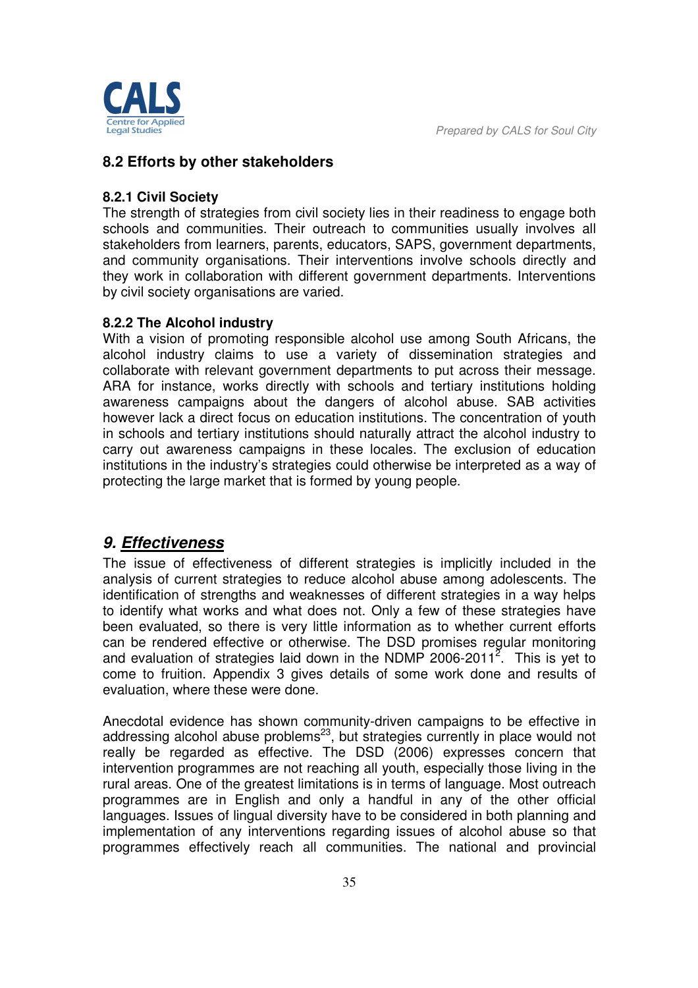

# **8.2 Efforts by other stakeholders**

#### **8.2.1 Civil Society**

The strength of strategies from civil society lies in their readiness to engage both schools and communities. Their outreach to communities usually involves all stakeholders from learners, parents, educators, SAPS, government departments, and community organisations. Their interventions involve schools directly and they work in collaboration with different government departments. Interventions by civil society organisations are varied.

#### **8.2.2 The Alcohol industry**

With a vision of promoting responsible alcohol use among South Africans, the alcohol industry claims to use a variety of dissemination strategies and collaborate with relevant government departments to put across their message. ARA for instance, works directly with schools and tertiary institutions holding awareness campaigns about the dangers of alcohol abuse. SAB activities however lack a direct focus on education institutions. The concentration of youth in schools and tertiary institutions should naturally attract the alcohol industry to carry out awareness campaigns in these locales. The exclusion of education institutions in the industry's strategies could otherwise be interpreted as a way of protecting the large market that is formed by young people.

# *9. Effectiveness*

The issue of effectiveness of different strategies is implicitly included in the analysis of current strategies to reduce alcohol abuse among adolescents. The identification of strengths and weaknesses of different strategies in a way helps to identify what works and what does not. Only a few of these strategies have been evaluated, so there is very little information as to whether current efforts can be rendered effective or otherwise. The DSD promises regular monitoring and evaluation of strategies laid down in the NDMP 2006-2011<sup>2</sup>. This is yet to come to fruition. Appendix 3 gives details of some work done and results of evaluation, where these were done.

Anecdotal evidence has shown community-driven campaigns to be effective in addressing alcohol abuse problems $^{23}$ , but strategies currently in place would not really be regarded as effective. The DSD (2006) expresses concern that intervention programmes are not reaching all youth, especially those living in the rural areas. One of the greatest limitations is in terms of language. Most outreach programmes are in English and only a handful in any of the other official languages. Issues of lingual diversity have to be considered in both planning and implementation of any interventions regarding issues of alcohol abuse so that programmes effectively reach all communities. The national and provincial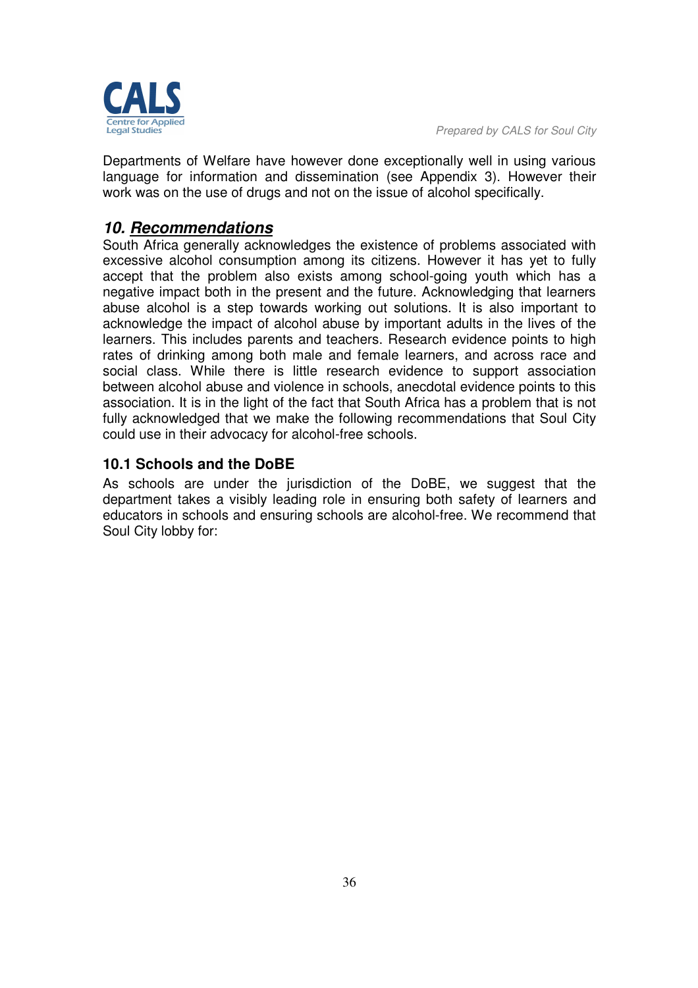

Departments of Welfare have however done exceptionally well in using various language for information and dissemination (see Appendix 3). However their work was on the use of drugs and not on the issue of alcohol specifically.

# *10. Recommendations*

South Africa generally acknowledges the existence of problems associated with excessive alcohol consumption among its citizens. However it has yet to fully accept that the problem also exists among school-going youth which has a negative impact both in the present and the future. Acknowledging that learners abuse alcohol is a step towards working out solutions. It is also important to acknowledge the impact of alcohol abuse by important adults in the lives of the learners. This includes parents and teachers. Research evidence points to high rates of drinking among both male and female learners, and across race and social class. While there is little research evidence to support association between alcohol abuse and violence in schools, anecdotal evidence points to this association. It is in the light of the fact that South Africa has a problem that is not fully acknowledged that we make the following recommendations that Soul City could use in their advocacy for alcohol-free schools.

# **10.1 Schools and the DoBE**

As schools are under the jurisdiction of the DoBE, we suggest that the department takes a visibly leading role in ensuring both safety of learners and educators in schools and ensuring schools are alcohol-free. We recommend that Soul City lobby for: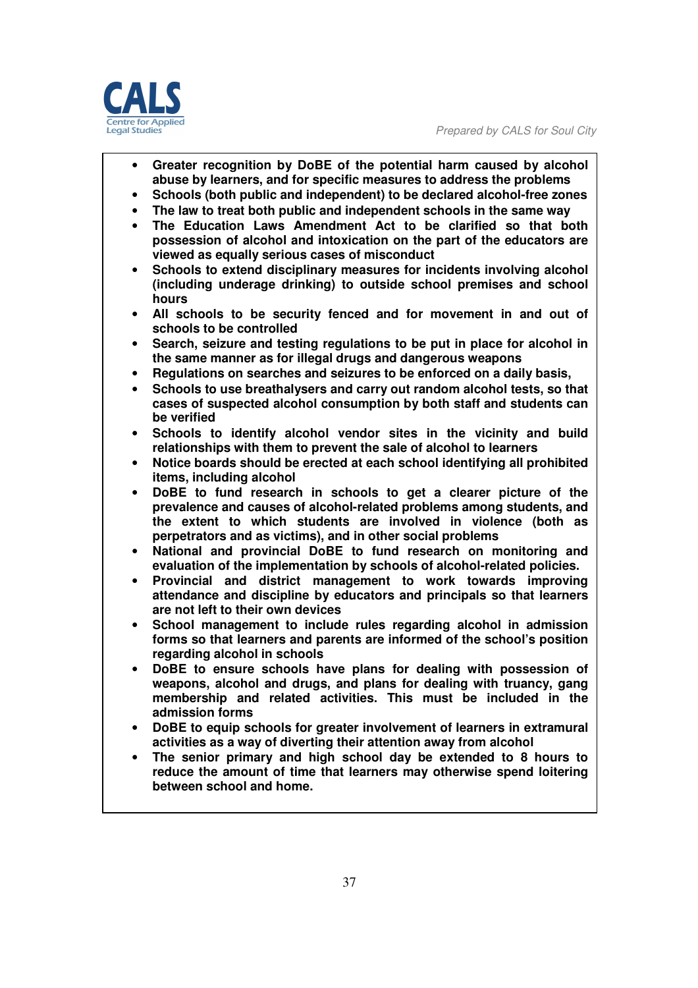

- **Greater recognition by DoBE of the potential harm caused by alcohol abuse by learners, and for specific measures to address the problems**
- **Schools (both public and independent) to be declared alcohol-free zones**
- **The law to treat both public and independent schools in the same way**
- **The Education Laws Amendment Act to be clarified so that both possession of alcohol and intoxication on the part of the educators are viewed as equally serious cases of misconduct**
- **Schools to extend disciplinary measures for incidents involving alcohol (including underage drinking) to outside school premises and school hours**
- **All schools to be security fenced and for movement in and out of schools to be controlled**
- **Search, seizure and testing regulations to be put in place for alcohol in the same manner as for illegal drugs and dangerous weapons**
- **Regulations on searches and seizures to be enforced on a daily basis,**
- **Schools to use breathalysers and carry out random alcohol tests, so that cases of suspected alcohol consumption by both staff and students can be verified**
- **Schools to identify alcohol vendor sites in the vicinity and build relationships with them to prevent the sale of alcohol to learners**
- **Notice boards should be erected at each school identifying all prohibited items, including alcohol**
- **DoBE to fund research in schools to get a clearer picture of the prevalence and causes of alcohol-related problems among students, and the extent to which students are involved in violence (both as perpetrators and as victims), and in other social problems**
- **National and provincial DoBE to fund research on monitoring and evaluation of the implementation by schools of alcohol-related policies.**
- **Provincial and district management to work towards improving attendance and discipline by educators and principals so that learners are not left to their own devices**
- **School management to include rules regarding alcohol in admission forms so that learners and parents are informed of the school's position regarding alcohol in schools**
- **DoBE to ensure schools have plans for dealing with possession of weapons, alcohol and drugs, and plans for dealing with truancy, gang membership and related activities. This must be included in the admission forms**
- **DoBE to equip schools for greater involvement of learners in extramural activities as a way of diverting their attention away from alcohol**
- **The senior primary and high school day be extended to 8 hours to reduce the amount of time that learners may otherwise spend loitering between school and home.**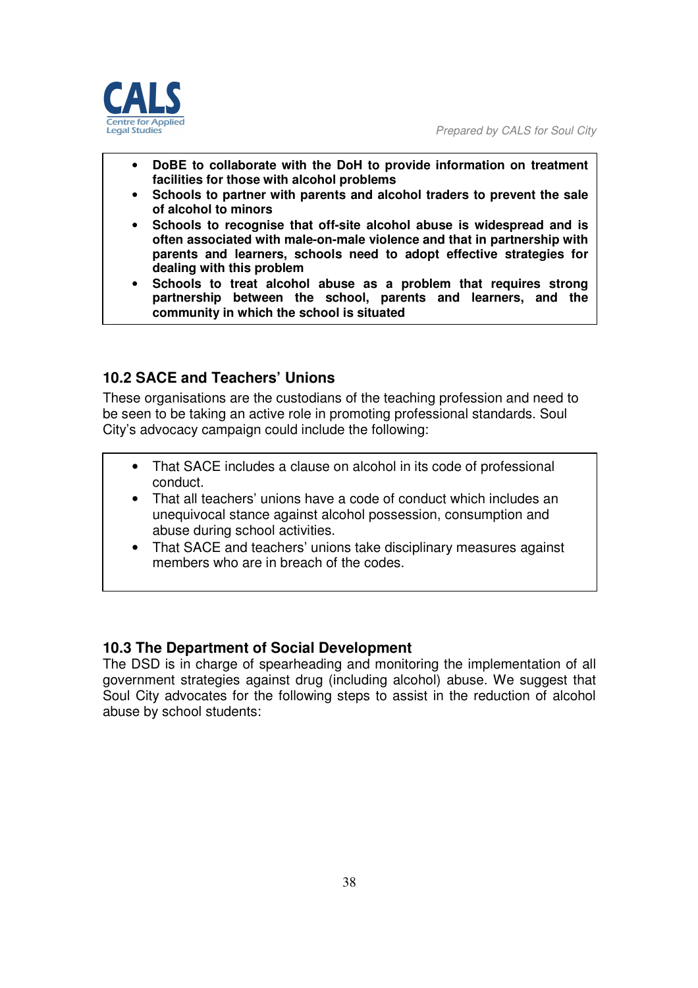

- **DoBE to collaborate with the DoH to provide information on treatment facilities for those with alcohol problems**
- **Schools to partner with parents and alcohol traders to prevent the sale of alcohol to minors**
- **Schools to recognise that off-site alcohol abuse is widespread and is often associated with male-on-male violence and that in partnership with parents and learners, schools need to adopt effective strategies for dealing with this problem**
- **Schools to treat alcohol abuse as a problem that requires strong partnership between the school, parents and learners, and the community in which the school is situated**

# **10.2 SACE and Teachers' Unions**

These organisations are the custodians of the teaching profession and need to be seen to be taking an active role in promoting professional standards. Soul City's advocacy campaign could include the following:

- That SACE includes a clause on alcohol in its code of professional conduct.
- That all teachers' unions have a code of conduct which includes an unequivocal stance against alcohol possession, consumption and abuse during school activities.
- That SACE and teachers' unions take disciplinary measures against members who are in breach of the codes.

#### **10.3 The Department of Social Development**

The DSD is in charge of spearheading and monitoring the implementation of all government strategies against drug (including alcohol) abuse. We suggest that Soul City advocates for the following steps to assist in the reduction of alcohol abuse by school students: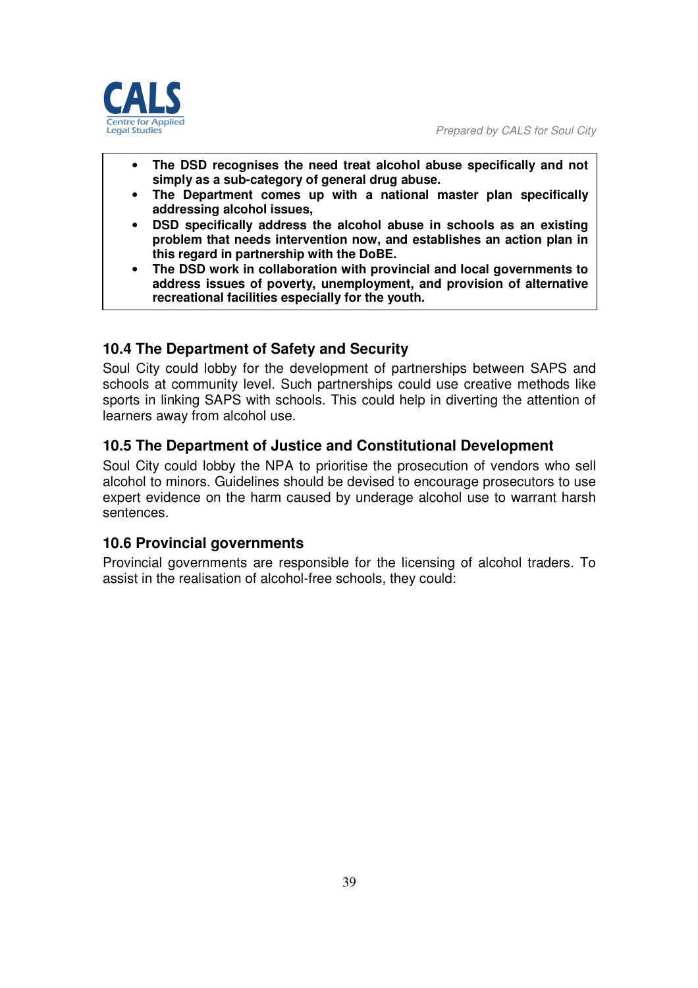

- **The DSD recognises the need treat alcohol abuse specifically and not simply as a sub-category of general drug abuse.**
- **The Department comes up with a national master plan specifically addressing alcohol issues,**
- **DSD specifically address the alcohol abuse in schools as an existing problem that needs intervention now, and establishes an action plan in this regard in partnership with the DoBE.**
- **The DSD work in collaboration with provincial and local governments to address issues of poverty, unemployment, and provision of alternative recreational facilities especially for the youth.**

# **10.4 The Department of Safety and Security**

Soul City could lobby for the development of partnerships between SAPS and schools at community level. Such partnerships could use creative methods like sports in linking SAPS with schools. This could help in diverting the attention of learners away from alcohol use.

### **10.5 The Department of Justice and Constitutional Development**

Soul City could lobby the NPA to prioritise the prosecution of vendors who sell alcohol to minors. Guidelines should be devised to encourage prosecutors to use expert evidence on the harm caused by underage alcohol use to warrant harsh sentences.

#### **10.6 Provincial governments**

Provincial governments are responsible for the licensing of alcohol traders. To assist in the realisation of alcohol-free schools, they could: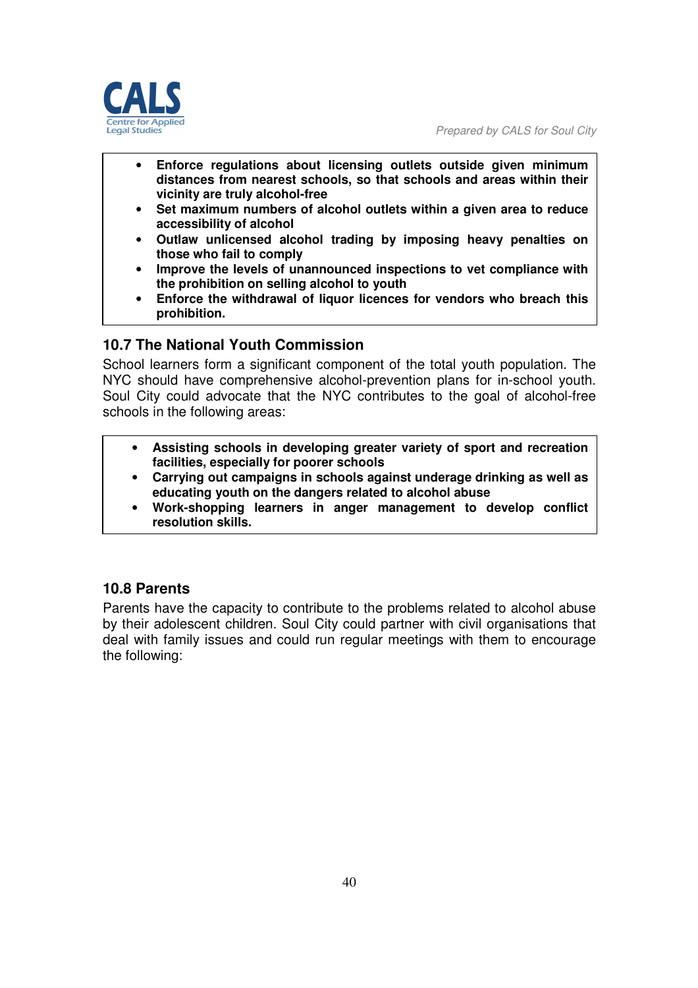

- **Enforce regulations about licensing outlets outside given minimum distances from nearest schools, so that schools and areas within their vicinity are truly alcohol-free**
- **Set maximum numbers of alcohol outlets within a given area to reduce accessibility of alcohol**
- **Outlaw unlicensed alcohol trading by imposing heavy penalties on those who fail to comply**
- **Improve the levels of unannounced inspections to vet compliance with the prohibition on selling alcohol to youth**
- **Enforce the withdrawal of liquor licences for vendors who breach this prohibition.**

### **10.7 The National Youth Commission**

School learners form a significant component of the total youth population. The NYC should have comprehensive alcohol-prevention plans for in-school youth. Soul City could advocate that the NYC contributes to the goal of alcohol-free schools in the following areas:

- **Assisting schools in developing greater variety of sport and recreation facilities, especially for poorer schools**
- **Carrying out campaigns in schools against underage drinking as well as educating youth on the dangers related to alcohol abuse**
- **Work-shopping learners in anger management to develop conflict resolution skills.**

### **10.8 Parents**

Parents have the capacity to contribute to the problems related to alcohol abuse by their adolescent children. Soul City could partner with civil organisations that deal with family issues and could run regular meetings with them to encourage the following: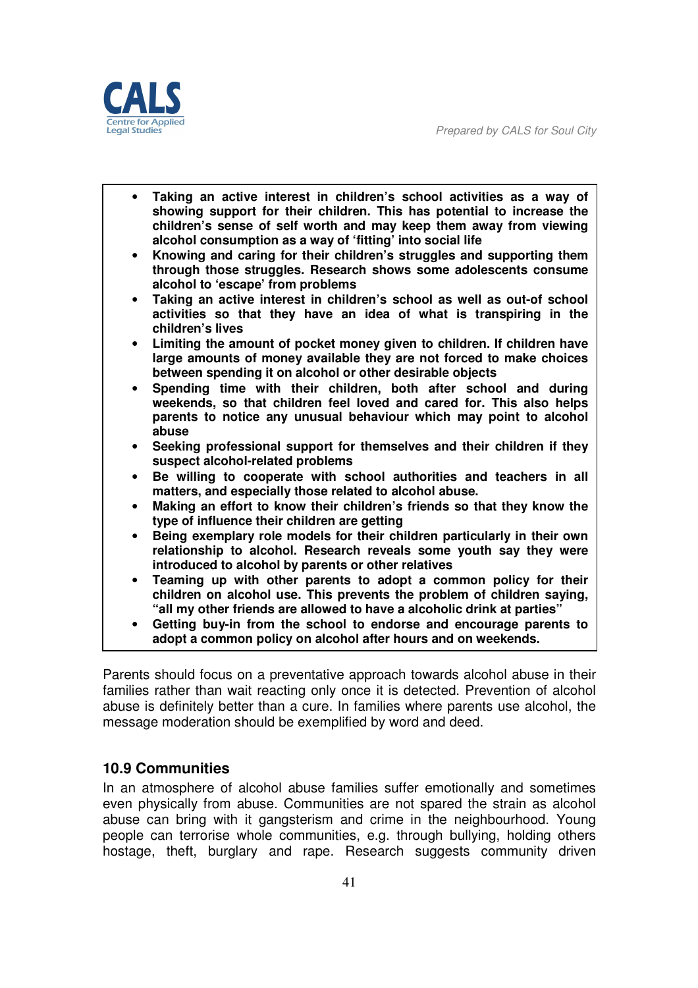*Prepared by CALS for Soul City* 



|           | Taking an active interest in children's school activities as a way of<br>showing support for their children. This has potential to increase the<br>children's sense of self worth and may keep them away from viewing<br>alcohol consumption as a way of 'fitting' into social life |
|-----------|-------------------------------------------------------------------------------------------------------------------------------------------------------------------------------------------------------------------------------------------------------------------------------------|
|           | Knowing and caring for their children's struggles and supporting them<br>through those struggles. Research shows some adolescents consume<br>alcohol to 'escape' from problems                                                                                                      |
| $\bullet$ | Taking an active interest in children's school as well as out-of school<br>activities so that they have an idea of what is transpiring in the<br>children's lives                                                                                                                   |
|           | Limiting the amount of pocket money given to children. If children have<br>large amounts of money available they are not forced to make choices<br>between spending it on alcohol or other desirable objects                                                                        |
|           | Spending time with their children, both after school and during<br>weekends, so that children feel loved and cared for. This also helps<br>parents to notice any unusual behaviour which may point to alcohol<br>abuse                                                              |
|           | Seeking professional support for themselves and their children if they<br>suspect alcohol-related problems                                                                                                                                                                          |
| ٠         | Be willing to cooperate with school authorities and teachers in all<br>matters, and especially those related to alcohol abuse.                                                                                                                                                      |
|           | Making an effort to know their children's friends so that they know the<br>type of influence their children are getting                                                                                                                                                             |
|           | Being exemplary role models for their children particularly in their own<br>relationship to alcohol. Research reveals some youth say they were<br>introduced to alcohol by parents or other relatives                                                                               |
|           | Teaming up with other parents to adopt a common policy for their<br>children on alcohol use. This prevents the problem of children saying,<br>"all my other friends are allowed to have a alcoholic drink at parties"                                                               |
|           | Getting buy-in from the school to endorse and encourage parents to<br>adopt a common policy on alcohol after hours and on weekends.                                                                                                                                                 |

Parents should focus on a preventative approach towards alcohol abuse in their families rather than wait reacting only once it is detected. Prevention of alcohol abuse is definitely better than a cure. In families where parents use alcohol, the message moderation should be exemplified by word and deed.

### **10.9 Communities**

In an atmosphere of alcohol abuse families suffer emotionally and sometimes even physically from abuse. Communities are not spared the strain as alcohol abuse can bring with it gangsterism and crime in the neighbourhood. Young people can terrorise whole communities, e.g. through bullying, holding others hostage, theft, burglary and rape. Research suggests community driven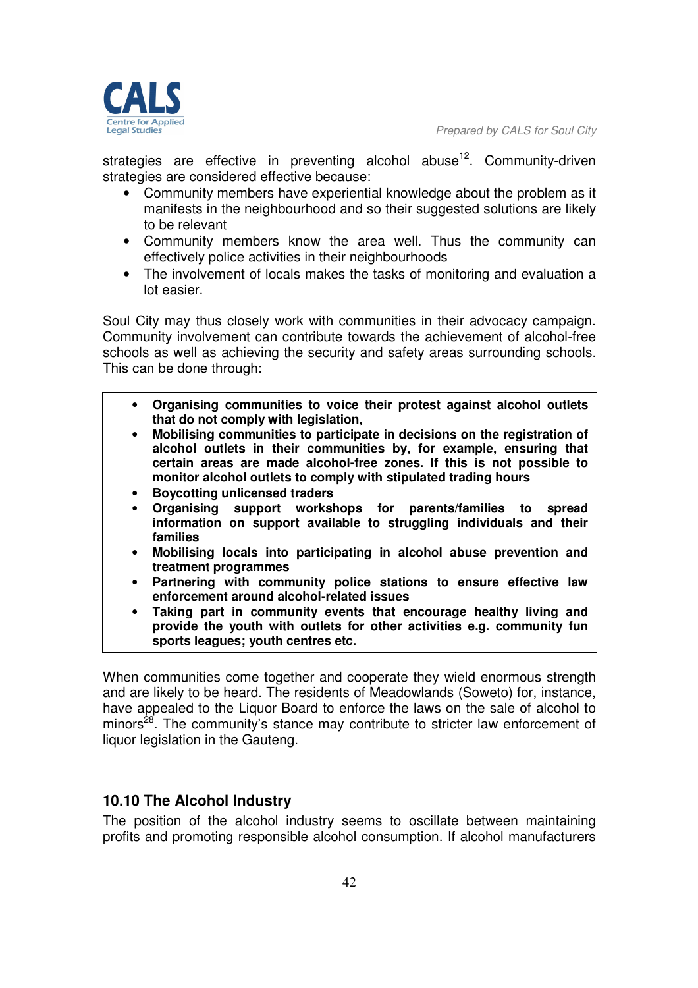

strategies are effective in preventing alcohol abuse<sup>12</sup>. Community-driven strategies are considered effective because:

- Community members have experiential knowledge about the problem as it manifests in the neighbourhood and so their suggested solutions are likely to be relevant
- Community members know the area well. Thus the community can effectively police activities in their neighbourhoods
- The involvement of locals makes the tasks of monitoring and evaluation a lot easier.

Soul City may thus closely work with communities in their advocacy campaign. Community involvement can contribute towards the achievement of alcohol-free schools as well as achieving the security and safety areas surrounding schools. This can be done through:

- **Organising communities to voice their protest against alcohol outlets that do not comply with legislation,**
- **Mobilising communities to participate in decisions on the registration of alcohol outlets in their communities by, for example, ensuring that certain areas are made alcohol-free zones. If this is not possible to monitor alcohol outlets to comply with stipulated trading hours**
- **Boycotting unlicensed traders**
- **Organising support workshops for parents/families to spread information on support available to struggling individuals and their families**
- **Mobilising locals into participating in alcohol abuse prevention and treatment programmes**
- **Partnering with community police stations to ensure effective law enforcement around alcohol-related issues**
- **Taking part in community events that encourage healthy living and provide the youth with outlets for other activities e.g. community fun sports leagues; youth centres etc.**

When communities come together and cooperate they wield enormous strength and are likely to be heard. The residents of Meadowlands (Soweto) for, instance, have appealed to the Liquor Board to enforce the laws on the sale of alcohol to minors<sup>28</sup>. The community's stance may contribute to stricter law enforcement of liquor legislation in the Gauteng.

# **10.10 The Alcohol Industry**

The position of the alcohol industry seems to oscillate between maintaining profits and promoting responsible alcohol consumption. If alcohol manufacturers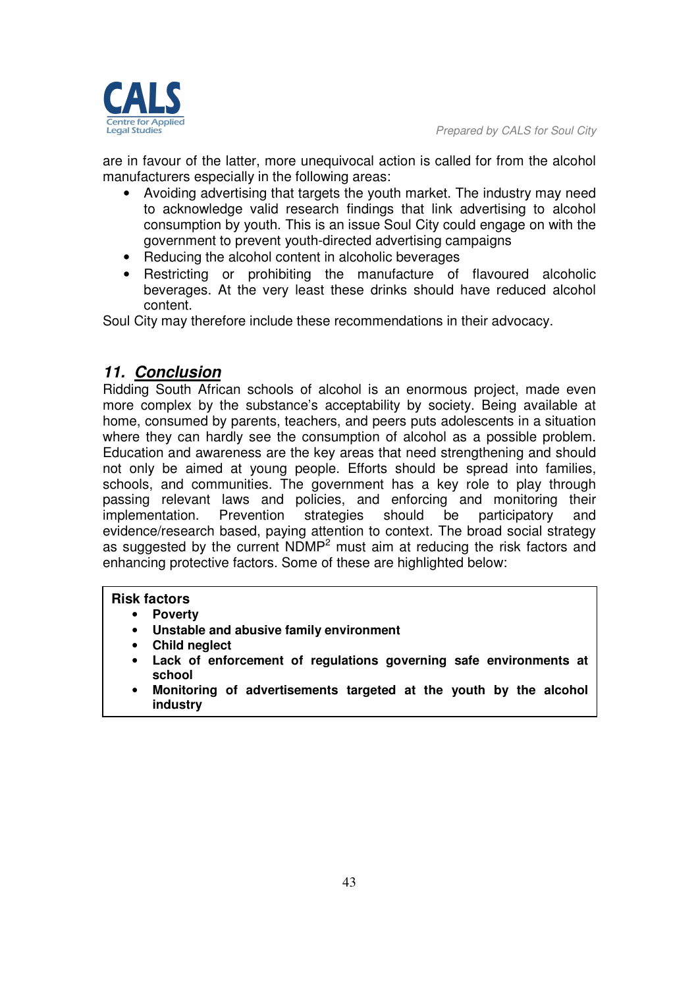

are in favour of the latter, more unequivocal action is called for from the alcohol manufacturers especially in the following areas:

- Avoiding advertising that targets the youth market. The industry may need to acknowledge valid research findings that link advertising to alcohol consumption by youth. This is an issue Soul City could engage on with the government to prevent youth-directed advertising campaigns
- Reducing the alcohol content in alcoholic beverages
- Restricting or prohibiting the manufacture of flavoured alcoholic beverages. At the very least these drinks should have reduced alcohol content.

Soul City may therefore include these recommendations in their advocacy.

# *11. Conclusion*

Ridding South African schools of alcohol is an enormous project, made even more complex by the substance's acceptability by society. Being available at home, consumed by parents, teachers, and peers puts adolescents in a situation where they can hardly see the consumption of alcohol as a possible problem. Education and awareness are the key areas that need strengthening and should not only be aimed at young people. Efforts should be spread into families, schools, and communities. The government has a key role to play through passing relevant laws and policies, and enforcing and monitoring their implementation. Prevention strategies should be participatory and evidence/research based, paying attention to context. The broad social strategy as suggested by the current  $NDMP<sup>2</sup>$  must aim at reducing the risk factors and enhancing protective factors. Some of these are highlighted below:

#### **Risk factors**

- **Poverty**
- **Unstable and abusive family environment**
- **Child neglect**
- **Lack of enforcement of regulations governing safe environments at school**
- **Monitoring of advertisements targeted at the youth by the alcohol industry**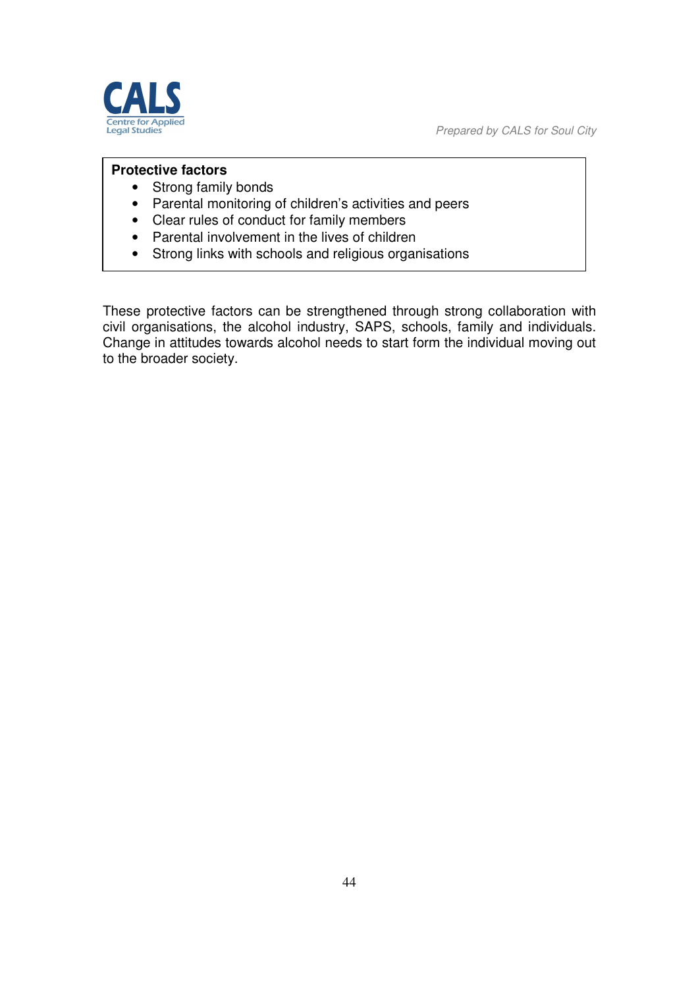*Prepared by CALS for Soul City* 



#### **Protective factors**

- Strong family bonds
- Parental monitoring of children's activities and peers
- Clear rules of conduct for family members
- Parental involvement in the lives of children
- Strong links with schools and religious organisations

These protective factors can be strengthened through strong collaboration with civil organisations, the alcohol industry, SAPS, schools, family and individuals. Change in attitudes towards alcohol needs to start form the individual moving out to the broader society.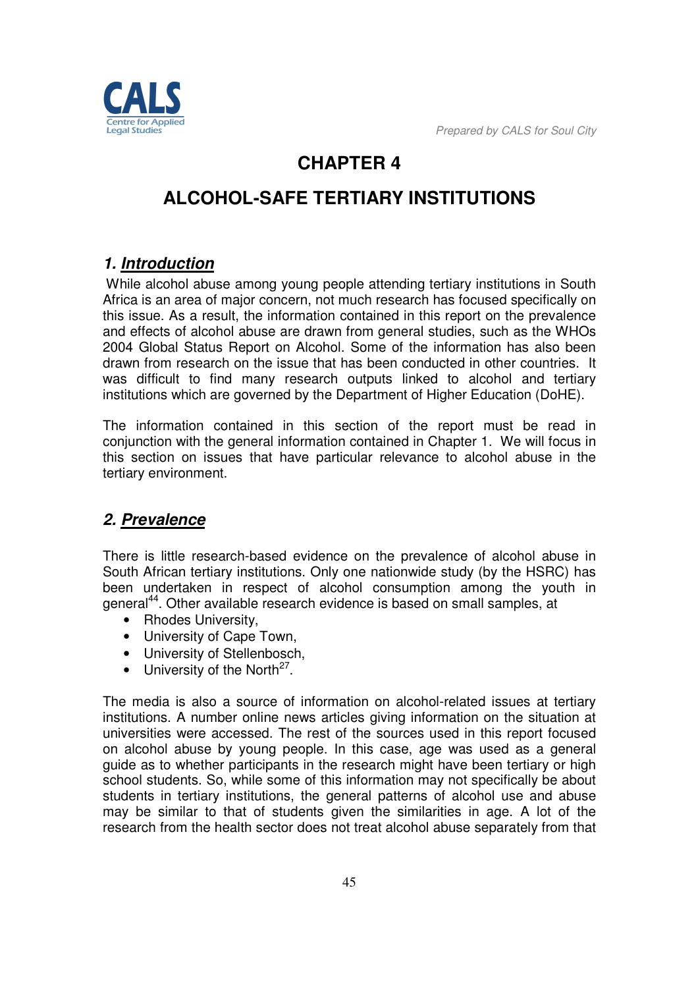

# **CHAPTER 4**

# **ALCOHOL-SAFE TERTIARY INSTITUTIONS**

# *1. Introduction*

 While alcohol abuse among young people attending tertiary institutions in South Africa is an area of major concern, not much research has focused specifically on this issue. As a result, the information contained in this report on the prevalence and effects of alcohol abuse are drawn from general studies, such as the WHOs 2004 Global Status Report on Alcohol. Some of the information has also been drawn from research on the issue that has been conducted in other countries. It was difficult to find many research outputs linked to alcohol and tertiary institutions which are governed by the Department of Higher Education (DoHE).

The information contained in this section of the report must be read in conjunction with the general information contained in Chapter 1. We will focus in this section on issues that have particular relevance to alcohol abuse in the tertiary environment.

# *2. Prevalence*

There is little research-based evidence on the prevalence of alcohol abuse in South African tertiary institutions. Only one nationwide study (by the HSRC) has been undertaken in respect of alcohol consumption among the youth in general<sup>44</sup>. Other available research evidence is based on small samples, at

- Rhodes University.
- University of Cape Town,
- University of Stellenbosch,
- $\bullet$  University of the North<sup>27</sup>.

The media is also a source of information on alcohol-related issues at tertiary institutions. A number online news articles giving information on the situation at universities were accessed. The rest of the sources used in this report focused on alcohol abuse by young people. In this case, age was used as a general guide as to whether participants in the research might have been tertiary or high school students. So, while some of this information may not specifically be about students in tertiary institutions, the general patterns of alcohol use and abuse may be similar to that of students given the similarities in age. A lot of the research from the health sector does not treat alcohol abuse separately from that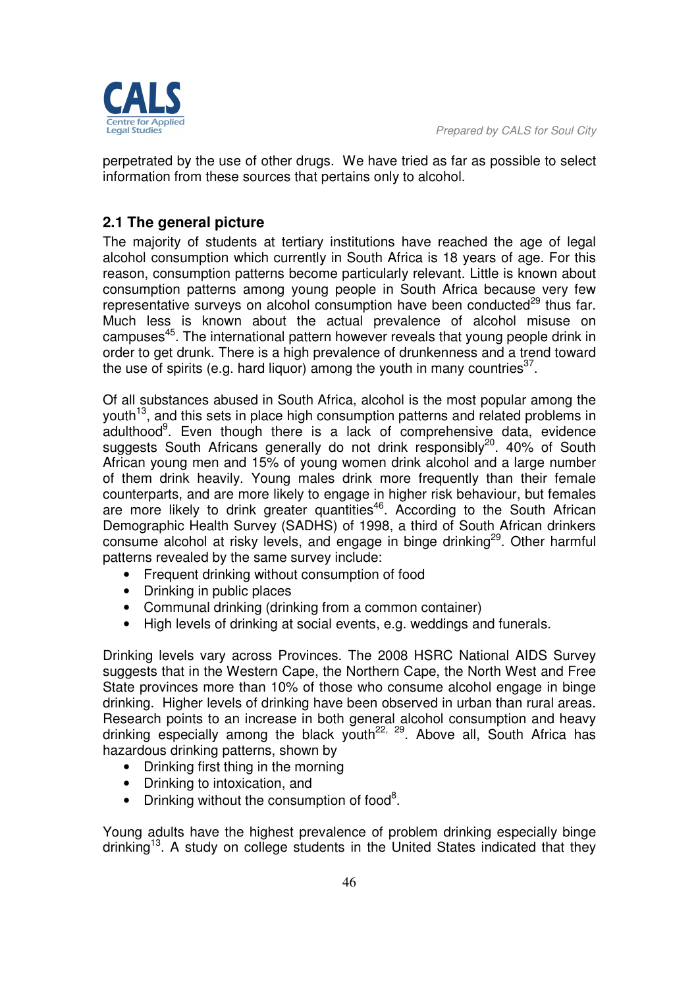

perpetrated by the use of other drugs. We have tried as far as possible to select information from these sources that pertains only to alcohol.

# **2.1 The general picture**

The majority of students at tertiary institutions have reached the age of legal alcohol consumption which currently in South Africa is 18 years of age. For this reason, consumption patterns become particularly relevant. Little is known about consumption patterns among young people in South Africa because very few representative surveys on alcohol consumption have been conducted $^{29}$  thus far. Much less is known about the actual prevalence of alcohol misuse on campuses<sup>45</sup>. The international pattern however reveals that young people drink in order to get drunk. There is a high prevalence of drunkenness and a trend toward the use of spirits (e.g. hard liquor) among the youth in many countries $^{37}$ .

Of all substances abused in South Africa, alcohol is the most popular among the youth<sup>13</sup>, and this sets in place high consumption patterns and related problems in adulthood<sup>9</sup>. Even though there is a lack of comprehensive data, evidence suggests South Africans generally do not drink responsibly<sup>20</sup>. 40% of South African young men and 15% of young women drink alcohol and a large number of them drink heavily. Young males drink more frequently than their female counterparts, and are more likely to engage in higher risk behaviour, but females are more likely to drink greater quantities<sup>46</sup>. According to the South African Demographic Health Survey (SADHS) of 1998, a third of South African drinkers consume alcohol at risky levels, and engage in binge drinking<sup>29</sup>. Other harmful patterns revealed by the same survey include:

- Frequent drinking without consumption of food
- Drinking in public places
- Communal drinking (drinking from a common container)
- High levels of drinking at social events, e.g. weddings and funerals.

Drinking levels vary across Provinces. The 2008 HSRC National AIDS Survey suggests that in the Western Cape, the Northern Cape, the North West and Free State provinces more than 10% of those who consume alcohol engage in binge drinking. Higher levels of drinking have been observed in urban than rural areas. Research points to an increase in both general alcohol consumption and heavy drinking especially among the black youth<sup>22, 29</sup>. Above all, South Africa has hazardous drinking patterns, shown by

- Drinking first thing in the morning
- Drinking to intoxication, and
- Drinking without the consumption of food<sup>8</sup>.

Young adults have the highest prevalence of problem drinking especially binge drinking<sup>13</sup>. A study on college students in the United States indicated that they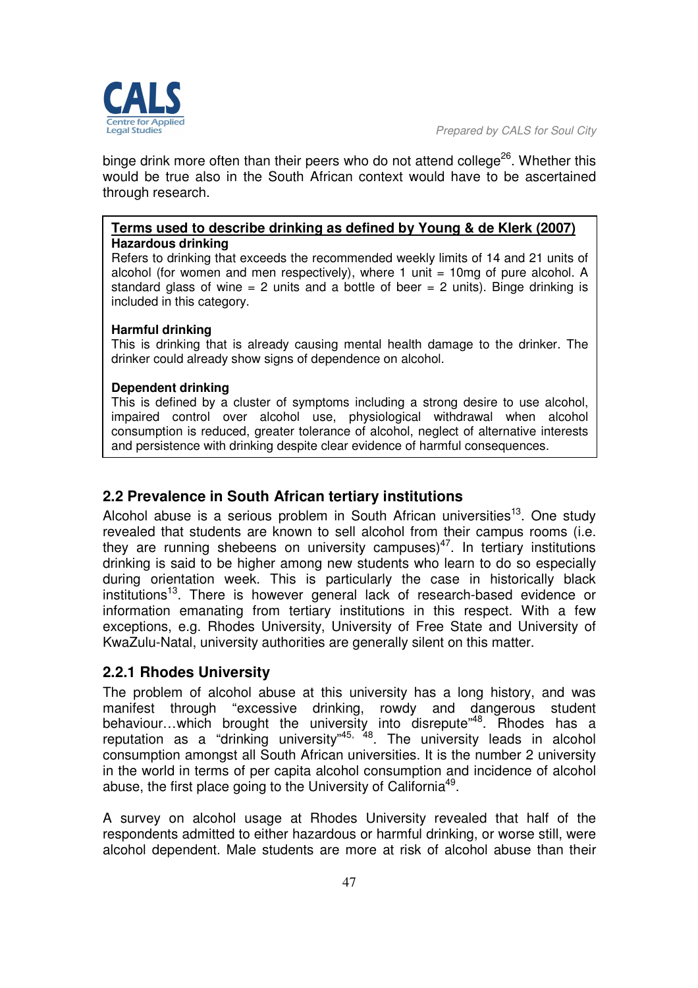edbut? lenal

*Prepared by CALS for Soul City* 

binge drink more often than their peers who do not attend college<sup>26</sup>. Whether this would be true also in the South African context would have to be ascertained through research.

#### **Terms used to describe drinking as defined by Young & de Klerk (2007) Hazardous drinking**

Refers to drinking that exceeds the recommended weekly limits of 14 and 21 units of alcohol (for women and men respectively), where 1 unit  $= 10$ mg of pure alcohol. A standard glass of wine  $= 2$  units and a bottle of beer  $= 2$  units). Binge drinking is included in this category.

#### **Harmful drinking**

This is drinking that is already causing mental health damage to the drinker. The drinker could already show signs of dependence on alcohol.

#### **Dependent drinking**

This is defined by a cluster of symptoms including a strong desire to use alcohol, impaired control over alcohol use, physiological withdrawal when alcohol consumption is reduced, greater tolerance of alcohol, neglect of alternative interests and persistence with drinking despite clear evidence of harmful consequences.

### **2.2 Prevalence in South African tertiary institutions**

Alcohol abuse is a serious problem in South African universities<sup>13</sup>. One study revealed that students are known to sell alcohol from their campus rooms (i.e. they are running shebeens on university campuses)<sup>47</sup>. In tertiary institutions drinking is said to be higher among new students who learn to do so especially during orientation week. This is particularly the case in historically black institutions<sup>13</sup>. There is however general lack of research-based evidence or information emanating from tertiary institutions in this respect. With a few exceptions, e.g. Rhodes University, University of Free State and University of KwaZulu-Natal, university authorities are generally silent on this matter.

### **2.2.1 Rhodes University**

The problem of alcohol abuse at this university has a long history, and was manifest through "excessive drinking, rowdy and dangerous student behaviour...which brought the university into disrepute<sup>"48</sup>. Rhodes has a reputation as a "drinking university"<sup>45, 48</sup>. The university leads in alcohol consumption amongst all South African universities. It is the number 2 university in the world in terms of per capita alcohol consumption and incidence of alcohol abuse, the first place going to the University of California<sup>49</sup>.

A survey on alcohol usage at Rhodes University revealed that half of the respondents admitted to either hazardous or harmful drinking, or worse still, were alcohol dependent. Male students are more at risk of alcohol abuse than their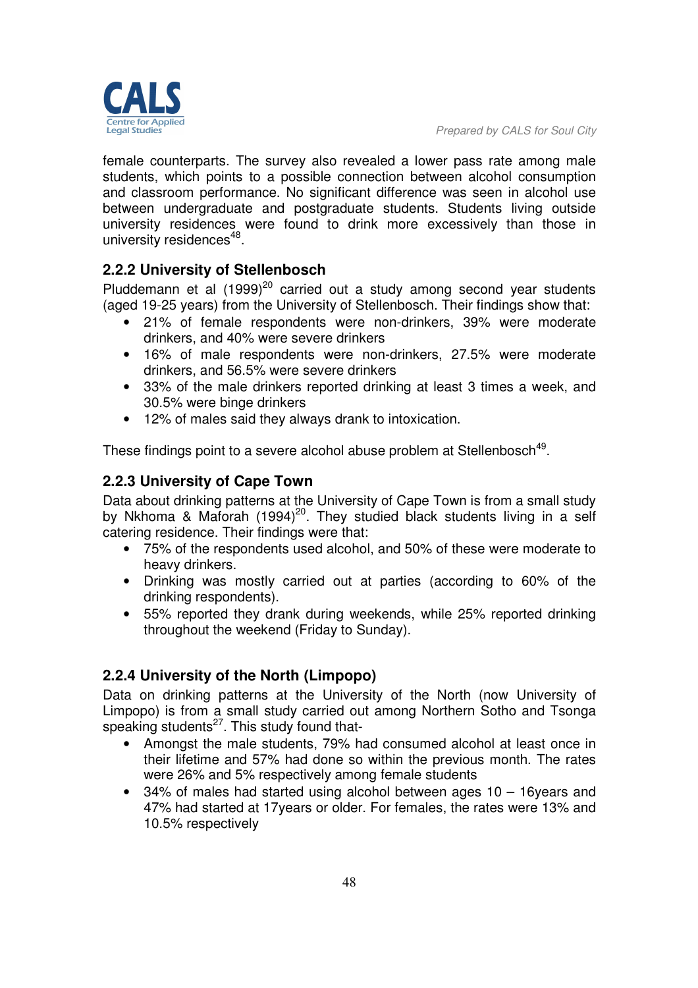

female counterparts. The survey also revealed a lower pass rate among male students, which points to a possible connection between alcohol consumption and classroom performance. No significant difference was seen in alcohol use between undergraduate and postgraduate students. Students living outside university residences were found to drink more excessively than those in university residences<sup>48</sup>.

# **2.2.2 University of Stellenbosch**

Pluddemann et al  $(1999)^{20}$  carried out a study among second year students (aged 19-25 years) from the University of Stellenbosch. Their findings show that:

- 21% of female respondents were non-drinkers, 39% were moderate drinkers, and 40% were severe drinkers
- 16% of male respondents were non-drinkers, 27.5% were moderate drinkers, and 56.5% were severe drinkers
- 33% of the male drinkers reported drinking at least 3 times a week, and 30.5% were binge drinkers
- 12% of males said they always drank to intoxication.

These findings point to a severe alcohol abuse problem at Stellenbosch<sup>49</sup>.

# **2.2.3 University of Cape Town**

Data about drinking patterns at the University of Cape Town is from a small study by Nkhoma & Maforah (1994)<sup>20</sup>. They studied black students living in a self catering residence. Their findings were that:

- 75% of the respondents used alcohol, and 50% of these were moderate to heavy drinkers.
- Drinking was mostly carried out at parties (according to 60% of the drinking respondents).
- 55% reported they drank during weekends, while 25% reported drinking throughout the weekend (Friday to Sunday).

### **2.2.4 University of the North (Limpopo)**

Data on drinking patterns at the University of the North (now University of Limpopo) is from a small study carried out among Northern Sotho and Tsonga speaking students $^{27}$ . This study found that-

- Amongst the male students, 79% had consumed alcohol at least once in their lifetime and 57% had done so within the previous month. The rates were 26% and 5% respectively among female students
- 34% of males had started using alcohol between ages 10 16years and 47% had started at 17years or older. For females, the rates were 13% and 10.5% respectively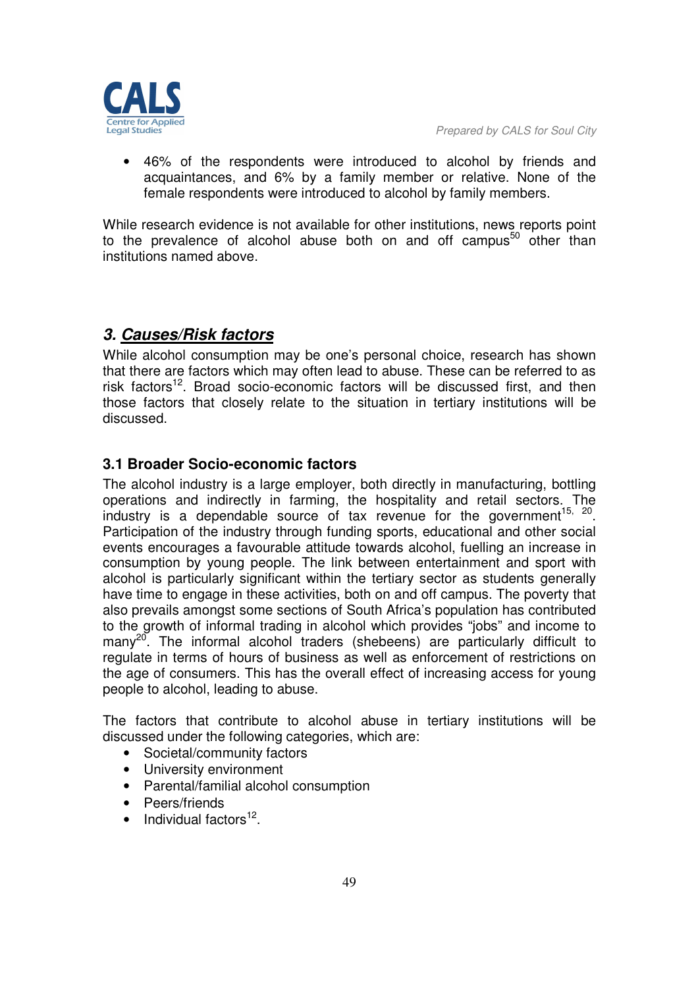

• 46% of the respondents were introduced to alcohol by friends and acquaintances, and 6% by a family member or relative. None of the female respondents were introduced to alcohol by family members.

While research evidence is not available for other institutions, news reports point to the prevalence of alcohol abuse both on and off campus<sup>50</sup> other than institutions named above.

# *3. Causes/Risk factors*

While alcohol consumption may be one's personal choice, research has shown that there are factors which may often lead to abuse. These can be referred to as risk factors<sup>12</sup>. Broad socio-economic factors will be discussed first, and then those factors that closely relate to the situation in tertiary institutions will be discussed.

# **3.1 Broader Socio-economic factors**

The alcohol industry is a large employer, both directly in manufacturing, bottling operations and indirectly in farming, the hospitality and retail sectors. The industry is a dependable source of tax revenue for the government<sup>15, 20</sup>. Participation of the industry through funding sports, educational and other social events encourages a favourable attitude towards alcohol, fuelling an increase in consumption by young people. The link between entertainment and sport with alcohol is particularly significant within the tertiary sector as students generally have time to engage in these activities, both on and off campus. The poverty that also prevails amongst some sections of South Africa's population has contributed to the growth of informal trading in alcohol which provides "jobs" and income to manv<sup>20</sup>. The informal alcohol traders (shebeens) are particularly difficult to regulate in terms of hours of business as well as enforcement of restrictions on the age of consumers. This has the overall effect of increasing access for young people to alcohol, leading to abuse.

The factors that contribute to alcohol abuse in tertiary institutions will be discussed under the following categories, which are:

- Societal/community factors
- University environment
- Parental/familial alcohol consumption
- Peers/friends
- $\bullet$  Individual factors<sup>12</sup>.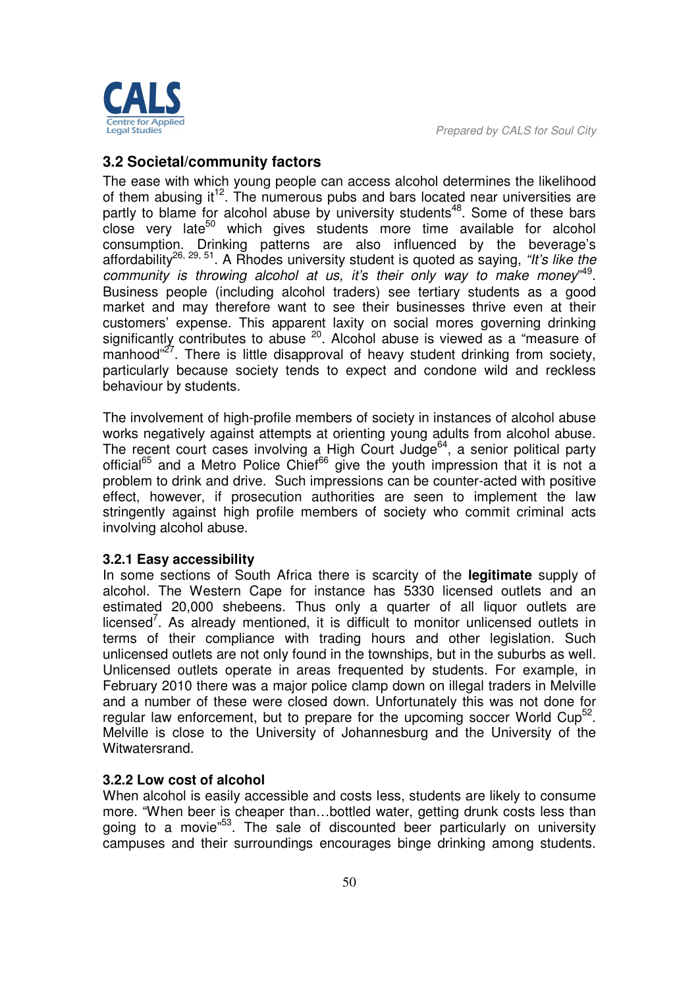

# **3.2 Societal/community factors**

The ease with which young people can access alcohol determines the likelihood of them abusing it<sup>12</sup>. The numerous pubs and bars located near universities are partly to blame for alcohol abuse by university students<sup>48</sup>. Some of these bars  $\frac{1}{2}$  close very late<sup>50</sup> which gives students more time available for alcohol consumption. Drinking patterns are also influenced by the beverage's affordability26, 29, 51. A Rhodes university student is quoted as saying, *"It's like the*  community is throwing alcohol at us, it's their only way to make money"<sup>49</sup>. Business people (including alcohol traders) see tertiary students as a good market and may therefore want to see their businesses thrive even at their customers' expense. This apparent laxity on social mores governing drinking significantly contributes to abuse  $20$ . Alcohol abuse is viewed as a "measure of  $m$ anhood"<sup>27</sup>. There is little disapproval of heavy student drinking from society, particularly because society tends to expect and condone wild and reckless behaviour by students.

The involvement of high-profile members of society in instances of alcohol abuse works negatively against attempts at orienting young adults from alcohol abuse. The recent court cases involving a High Court Judge<sup>64</sup>, a senior political party official<sup>65</sup> and a Metro Police Chief<sup>66</sup> give the youth impression that it is not a problem to drink and drive. Such impressions can be counter-acted with positive effect, however, if prosecution authorities are seen to implement the law stringently against high profile members of society who commit criminal acts involving alcohol abuse.

#### **3.2.1 Easy accessibility**

In some sections of South Africa there is scarcity of the **legitimate** supply of alcohol. The Western Cape for instance has 5330 licensed outlets and an estimated 20,000 shebeens. Thus only a quarter of all liquor outlets are licensed<sup>7</sup>. As already mentioned, it is difficult to monitor unlicensed outlets in terms of their compliance with trading hours and other legislation. Such unlicensed outlets are not only found in the townships, but in the suburbs as well. Unlicensed outlets operate in areas frequented by students. For example, in February 2010 there was a major police clamp down on illegal traders in Melville and a number of these were closed down. Unfortunately this was not done for regular law enforcement, but to prepare for the upcoming soccer World Cup<sup>52</sup>. Melville is close to the University of Johannesburg and the University of the Witwatersrand.

#### **3.2.2 Low cost of alcohol**

When alcohol is easily accessible and costs less, students are likely to consume more. "When beer is cheaper than…bottled water, getting drunk costs less than going to a movie<sup>"53</sup>. The sale of discounted beer particularly on university campuses and their surroundings encourages binge drinking among students.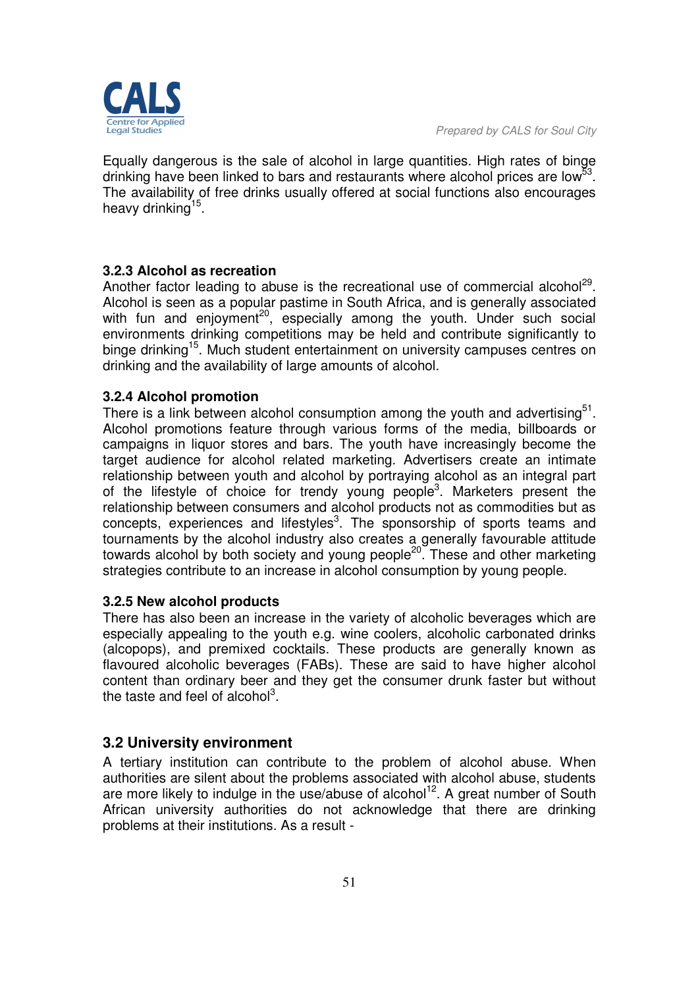

Equally dangerous is the sale of alcohol in large quantities. High rates of binge drinking have been linked to bars and restaurants where alcohol prices are low<sup>53</sup>. The availability of free drinks usually offered at social functions also encourages heavy drinking<sup>15</sup>.

#### **3.2.3 Alcohol as recreation**

Another factor leading to abuse is the recreational use of commercial alcohol<sup>29</sup>. Alcohol is seen as a popular pastime in South Africa, and is generally associated with fun and enjoyment<sup>20</sup>, especially among the youth. Under such social environments drinking competitions may be held and contribute significantly to binge drinking<sup>15</sup>. Much student entertainment on university campuses centres on drinking and the availability of large amounts of alcohol.

#### **3.2.4 Alcohol promotion**

There is a link between alcohol consumption among the youth and advertising $51$ . Alcohol promotions feature through various forms of the media, billboards or campaigns in liquor stores and bars. The youth have increasingly become the target audience for alcohol related marketing. Advertisers create an intimate relationship between youth and alcohol by portraying alcohol as an integral part of the lifestyle of choice for trendy young people<sup>3</sup>. Marketers present the relationship between consumers and alcohol products not as commodities but as concepts, experiences and lifestyles<sup>3</sup>. The sponsorship of sports teams and tournaments by the alcohol industry also creates a generally favourable attitude towards alcohol by both society and young people<sup>20</sup>. These and other marketing strategies contribute to an increase in alcohol consumption by young people.

#### **3.2.5 New alcohol products**

There has also been an increase in the variety of alcoholic beverages which are especially appealing to the youth e.g. wine coolers, alcoholic carbonated drinks (alcopops), and premixed cocktails. These products are generally known as flavoured alcoholic beverages (FABs). These are said to have higher alcohol content than ordinary beer and they get the consumer drunk faster but without the taste and feel of alcohol<sup>3</sup>.

#### **3.2 University environment**

A tertiary institution can contribute to the problem of alcohol abuse. When authorities are silent about the problems associated with alcohol abuse, students are more likely to indulge in the use/abuse of alcohol<sup>12</sup>. A great number of South African university authorities do not acknowledge that there are drinking problems at their institutions. As a result -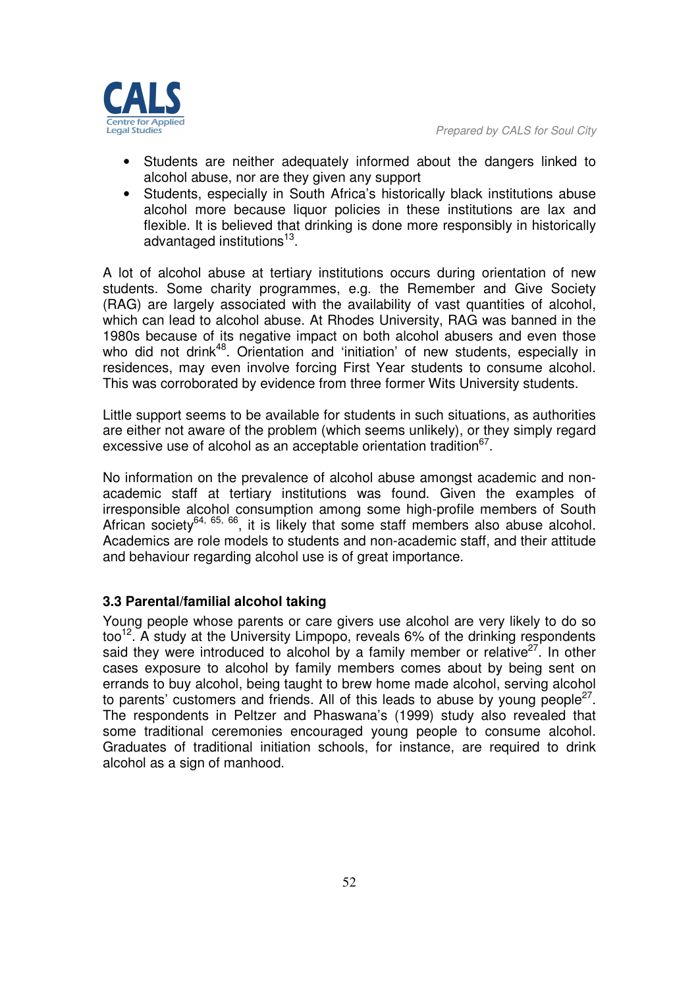

- Students are neither adequately informed about the dangers linked to alcohol abuse, nor are they given any support
- Students, especially in South Africa's historically black institutions abuse alcohol more because liquor policies in these institutions are lax and flexible. It is believed that drinking is done more responsibly in historically advantaged institutions<sup>13</sup>.

A lot of alcohol abuse at tertiary institutions occurs during orientation of new students. Some charity programmes, e.g. the Remember and Give Society (RAG) are largely associated with the availability of vast quantities of alcohol, which can lead to alcohol abuse. At Rhodes University, RAG was banned in the 1980s because of its negative impact on both alcohol abusers and even those who did not drink<sup>48</sup>. Orientation and 'initiation' of new students, especially in residences, may even involve forcing First Year students to consume alcohol. This was corroborated by evidence from three former Wits University students.

Little support seems to be available for students in such situations, as authorities are either not aware of the problem (which seems unlikely), or they simply regard excessive use of alcohol as an acceptable orientation tradition $^{67}$ .

No information on the prevalence of alcohol abuse amongst academic and nonacademic staff at tertiary institutions was found. Given the examples of irresponsible alcohol consumption among some high-profile members of South African society<sup>64, 65, 66</sup>, it is likely that some staff members also abuse alcohol. Academics are role models to students and non-academic staff, and their attitude and behaviour regarding alcohol use is of great importance.

#### **3.3 Parental/familial alcohol taking**

Young people whose parents or care givers use alcohol are very likely to do so  $100^{12}$ . A study at the University Limpopo, reveals 6% of the drinking respondents said they were introduced to alcohol by a family member or relative<sup>27</sup>. In other cases exposure to alcohol by family members comes about by being sent on errands to buy alcohol, being taught to brew home made alcohol, serving alcohol to parents' customers and friends. All of this leads to abuse by young people<sup>27</sup>. The respondents in Peltzer and Phaswana's (1999) study also revealed that some traditional ceremonies encouraged young people to consume alcohol. Graduates of traditional initiation schools, for instance, are required to drink alcohol as a sign of manhood.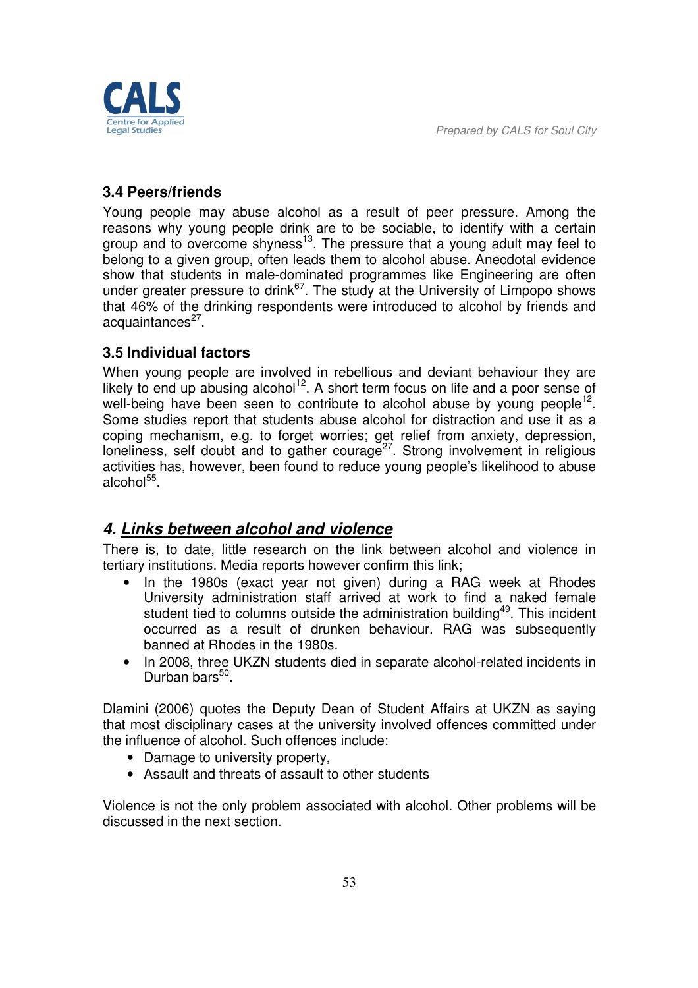*Prepared by CALS for Soul City* 



# **3.4 Peers/friends**

Young people may abuse alcohol as a result of peer pressure. Among the reasons why young people drink are to be sociable, to identify with a certain group and to overcome shyness<sup>13</sup>. The pressure that a young adult may feel to belong to a given group, often leads them to alcohol abuse. Anecdotal evidence show that students in male-dominated programmes like Engineering are often under greater pressure to drink<sup>67</sup>. The study at the University of Limpopo shows that 46% of the drinking respondents were introduced to alcohol by friends and acquaintances<sup>27</sup>.

# **3.5 Individual factors**

When young people are involved in rebellious and deviant behaviour they are likely to end up abusing alcohol<sup>12</sup>. A short term focus on life and a poor sense of well-being have been seen to contribute to alcohol abuse by young people<sup>12</sup>. Some studies report that students abuse alcohol for distraction and use it as a coping mechanism, e.g. to forget worries; get relief from anxiety, depression, loneliness, self doubt and to gather courage<sup>27</sup>. Strong involvement in religious activities has, however, been found to reduce young people's likelihood to abuse alcohol<sup>55</sup>.

# *4. Links between alcohol and violence*

There is, to date, little research on the link between alcohol and violence in tertiary institutions. Media reports however confirm this link;

- In the 1980s (exact year not given) during a RAG week at Rhodes University administration staff arrived at work to find a naked female student tied to columns outside the administration building<sup>49</sup>. This incident occurred as a result of drunken behaviour. RAG was subsequently banned at Rhodes in the 1980s.
- In 2008, three UKZN students died in separate alcohol-related incidents in Durban bars<sup>50</sup>.

Dlamini (2006) quotes the Deputy Dean of Student Affairs at UKZN as saying that most disciplinary cases at the university involved offences committed under the influence of alcohol. Such offences include:

- Damage to university property,
- Assault and threats of assault to other students

Violence is not the only problem associated with alcohol. Other problems will be discussed in the next section.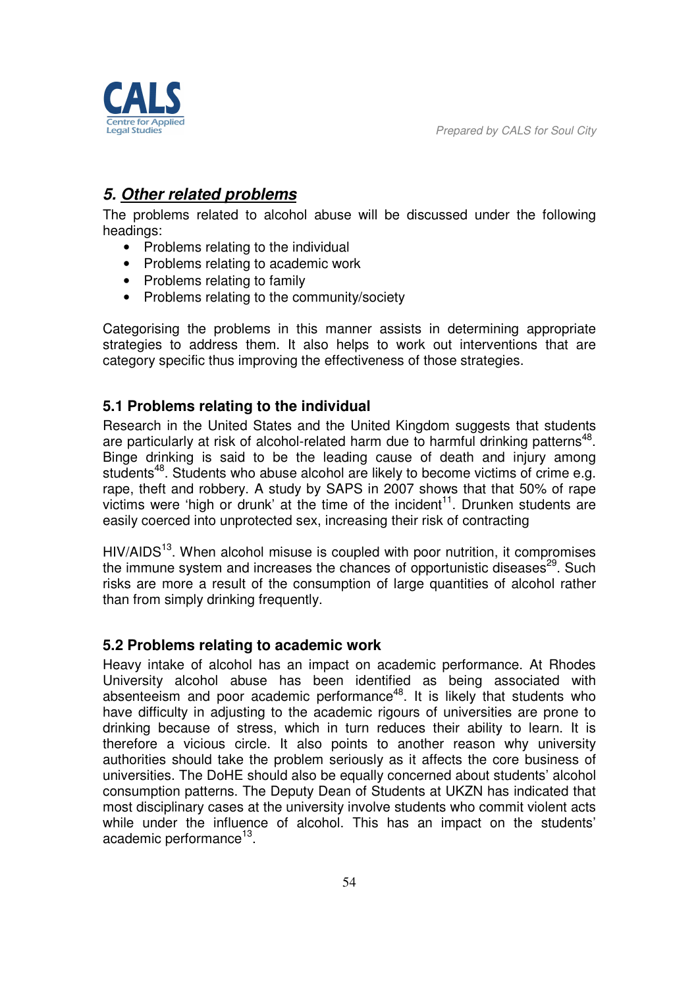edal Studie

*Prepared by CALS for Soul City* 

# *5. Other related problems*

The problems related to alcohol abuse will be discussed under the following headings:

- Problems relating to the individual
- Problems relating to academic work
- Problems relating to family
- Problems relating to the community/society

Categorising the problems in this manner assists in determining appropriate strategies to address them. It also helps to work out interventions that are category specific thus improving the effectiveness of those strategies.

# **5.1 Problems relating to the individual**

Research in the United States and the United Kingdom suggests that students are particularly at risk of alcohol-related harm due to harmful drinking patterns<sup>48</sup>. Binge drinking is said to be the leading cause of death and injury among students<sup>48</sup>. Students who abuse alcohol are likely to become victims of crime e.g. rape, theft and robbery. A study by SAPS in 2007 shows that that 50% of rape victims were 'high or drunk' at the time of the incident<sup>11</sup>. Drunken students are easily coerced into unprotected sex, increasing their risk of contracting

 $HIV/AIDS<sup>13</sup>$ . When alcohol misuse is coupled with poor nutrition, it compromises the immune system and increases the chances of opportunistic diseases<sup>29</sup>. Such risks are more a result of the consumption of large quantities of alcohol rather than from simply drinking frequently.

### **5.2 Problems relating to academic work**

Heavy intake of alcohol has an impact on academic performance. At Rhodes University alcohol abuse has been identified as being associated with absenteeism and poor academic performance<sup>48</sup>. It is likely that students who have difficulty in adjusting to the academic rigours of universities are prone to drinking because of stress, which in turn reduces their ability to learn. It is therefore a vicious circle. It also points to another reason why university authorities should take the problem seriously as it affects the core business of universities. The DoHE should also be equally concerned about students' alcohol consumption patterns. The Deputy Dean of Students at UKZN has indicated that most disciplinary cases at the university involve students who commit violent acts while under the influence of alcohol. This has an impact on the students' academic performance<sup>13</sup>.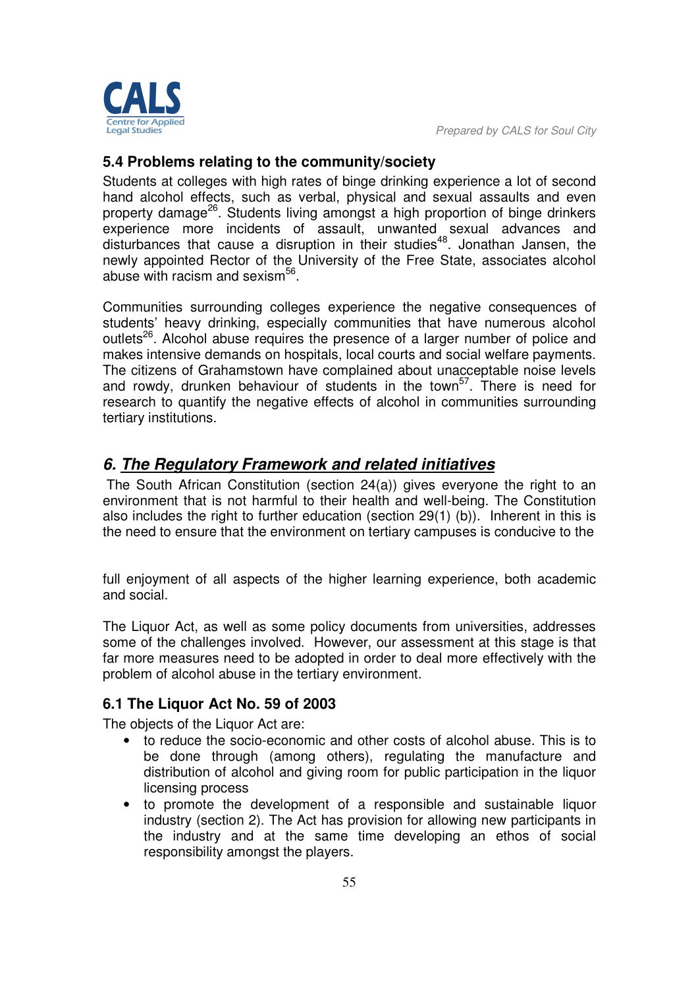

## **5.4 Problems relating to the community/society**

Students at colleges with high rates of binge drinking experience a lot of second hand alcohol effects, such as verbal, physical and sexual assaults and even property damage<sup>26</sup>. Students living amongst a high proportion of binge drinkers experience more incidents of assault, unwanted sexual advances and disturbances that cause a disruption in their studies<sup>48</sup>. Jonathan Jansen, the newly appointed Rector of the University of the Free State, associates alcohol abuse with racism and sexism<sup>56</sup>.

Communities surrounding colleges experience the negative consequences of students' heavy drinking, especially communities that have numerous alcohol outlets<sup>26</sup>. Alcohol abuse requires the presence of a larger number of police and makes intensive demands on hospitals, local courts and social welfare payments. The citizens of Grahamstown have complained about unacceptable noise levels and rowdy, drunken behaviour of students in the town<sup>57</sup>. There is need for research to quantify the negative effects of alcohol in communities surrounding tertiary institutions.

# *6. The Regulatory Framework and related initiatives*

 The South African Constitution (section 24(a)) gives everyone the right to an environment that is not harmful to their health and well-being. The Constitution also includes the right to further education (section 29(1) (b)). Inherent in this is the need to ensure that the environment on tertiary campuses is conducive to the

full enjoyment of all aspects of the higher learning experience, both academic and social.

The Liquor Act, as well as some policy documents from universities, addresses some of the challenges involved. However, our assessment at this stage is that far more measures need to be adopted in order to deal more effectively with the problem of alcohol abuse in the tertiary environment.

### **6.1 The Liquor Act No. 59 of 2003**

The objects of the Liquor Act are:

- to reduce the socio-economic and other costs of alcohol abuse. This is to be done through (among others), regulating the manufacture and distribution of alcohol and giving room for public participation in the liquor licensing process
- to promote the development of a responsible and sustainable liquor industry (section 2). The Act has provision for allowing new participants in the industry and at the same time developing an ethos of social responsibility amongst the players.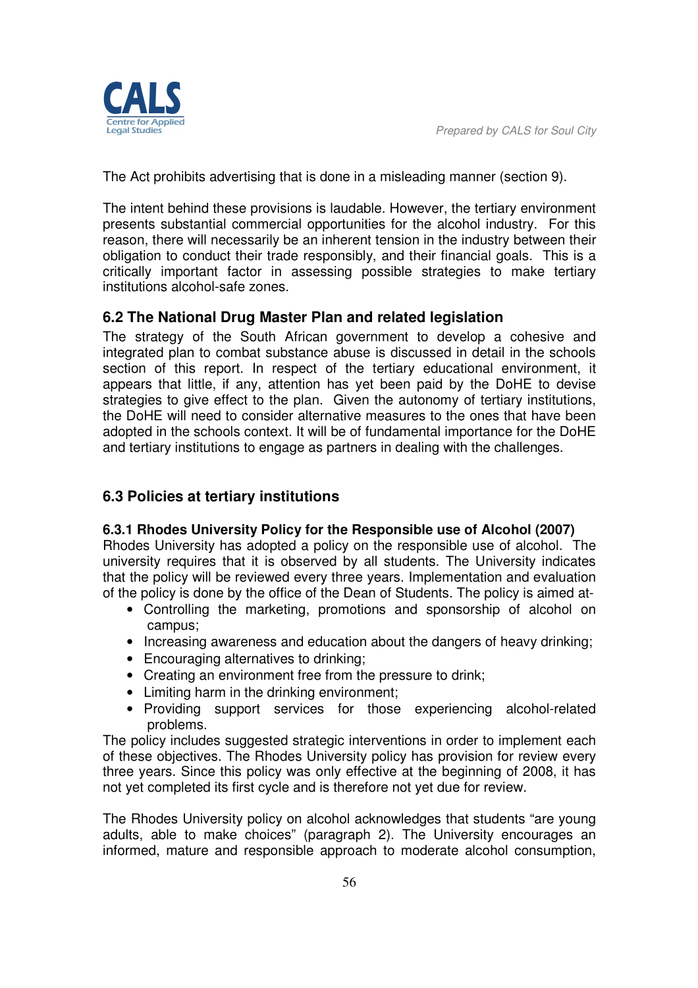

The Act prohibits advertising that is done in a misleading manner (section 9).

The intent behind these provisions is laudable. However, the tertiary environment presents substantial commercial opportunities for the alcohol industry. For this reason, there will necessarily be an inherent tension in the industry between their obligation to conduct their trade responsibly, and their financial goals. This is a critically important factor in assessing possible strategies to make tertiary institutions alcohol-safe zones.

### **6.2 The National Drug Master Plan and related legislation**

The strategy of the South African government to develop a cohesive and integrated plan to combat substance abuse is discussed in detail in the schools section of this report. In respect of the tertiary educational environment, it appears that little, if any, attention has yet been paid by the DoHE to devise strategies to give effect to the plan. Given the autonomy of tertiary institutions, the DoHE will need to consider alternative measures to the ones that have been adopted in the schools context. It will be of fundamental importance for the DoHE and tertiary institutions to engage as partners in dealing with the challenges.

# **6.3 Policies at tertiary institutions**

#### **6.3.1 Rhodes University Policy for the Responsible use of Alcohol (2007)**

Rhodes University has adopted a policy on the responsible use of alcohol. The university requires that it is observed by all students. The University indicates that the policy will be reviewed every three years. Implementation and evaluation of the policy is done by the office of the Dean of Students. The policy is aimed at-

- Controlling the marketing, promotions and sponsorship of alcohol on campus;
- Increasing awareness and education about the dangers of heavy drinking;
- Encouraging alternatives to drinking;
- Creating an environment free from the pressure to drink;
- Limiting harm in the drinking environment;
- Providing support services for those experiencing alcohol-related problems.

The policy includes suggested strategic interventions in order to implement each of these objectives. The Rhodes University policy has provision for review every three years. Since this policy was only effective at the beginning of 2008, it has not yet completed its first cycle and is therefore not yet due for review.

The Rhodes University policy on alcohol acknowledges that students "are young adults, able to make choices" (paragraph 2). The University encourages an informed, mature and responsible approach to moderate alcohol consumption,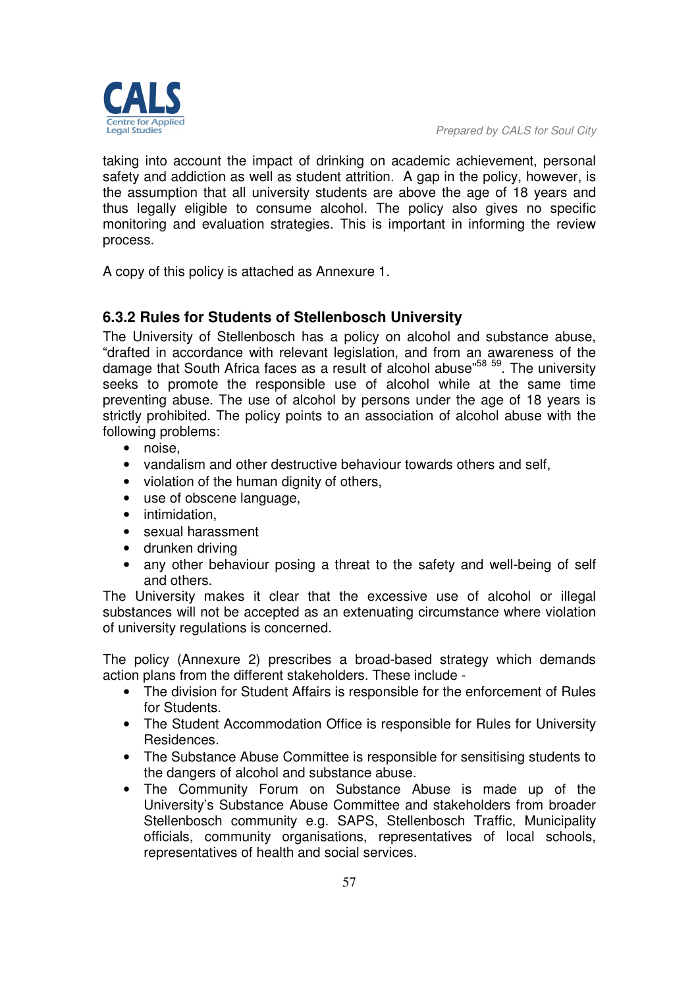taking into account the impact of drinking on academic achievement, personal safety and addiction as well as student attrition. A gap in the policy, however, is the assumption that all university students are above the age of 18 years and thus legally eligible to consume alcohol. The policy also gives no specific monitoring and evaluation strategies. This is important in informing the review process.

A copy of this policy is attached as Annexure 1.

# **6.3.2 Rules for Students of Stellenbosch University**

The University of Stellenbosch has a policy on alcohol and substance abuse, "drafted in accordance with relevant legislation, and from an awareness of the damage that South Africa faces as a result of alcohol abuse"<sup>58</sup> <sup>59</sup>. The university seeks to promote the responsible use of alcohol while at the same time preventing abuse. The use of alcohol by persons under the age of 18 years is strictly prohibited. The policy points to an association of alcohol abuse with the following problems:

- noise,
- vandalism and other destructive behaviour towards others and self,
- violation of the human dignity of others,
- use of obscene language,
- intimidation,
- sexual harassment
- drunken driving
- any other behaviour posing a threat to the safety and well-being of self and others.

The University makes it clear that the excessive use of alcohol or illegal substances will not be accepted as an extenuating circumstance where violation of university regulations is concerned.

The policy (Annexure 2) prescribes a broad-based strategy which demands action plans from the different stakeholders. These include -

- The division for Student Affairs is responsible for the enforcement of Rules for Students.
- The Student Accommodation Office is responsible for Rules for University Residences.
- The Substance Abuse Committee is responsible for sensitising students to the dangers of alcohol and substance abuse.
- The Community Forum on Substance Abuse is made up of the University's Substance Abuse Committee and stakeholders from broader Stellenbosch community e.g. SAPS, Stellenbosch Traffic, Municipality officials, community organisations, representatives of local schools, representatives of health and social services.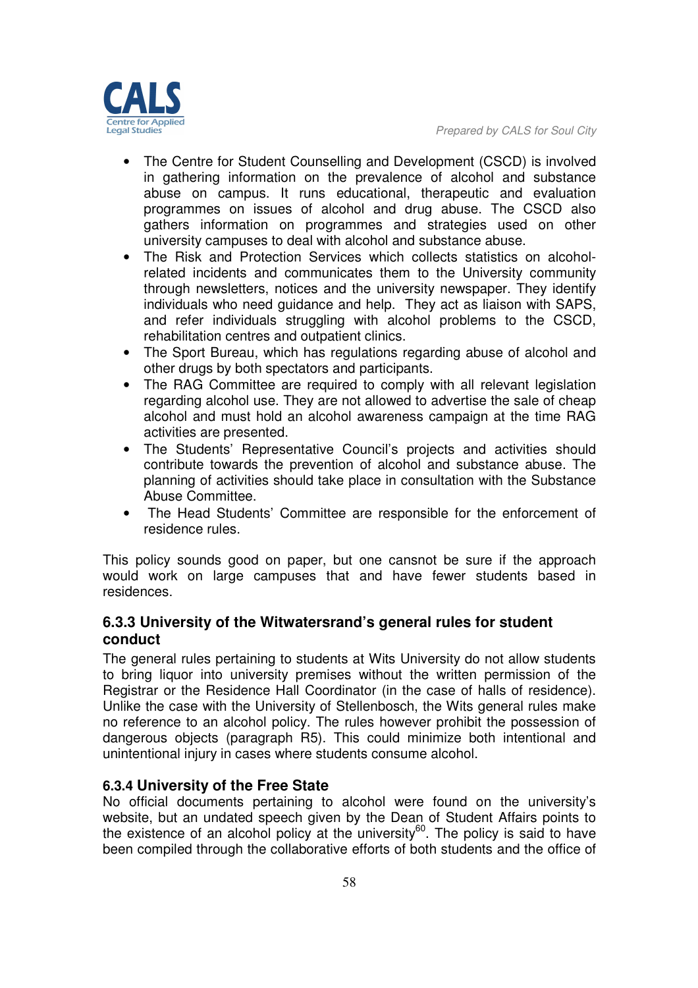

- The Centre for Student Counselling and Development (CSCD) is involved in gathering information on the prevalence of alcohol and substance abuse on campus. It runs educational, therapeutic and evaluation programmes on issues of alcohol and drug abuse. The CSCD also gathers information on programmes and strategies used on other university campuses to deal with alcohol and substance abuse.
- The Risk and Protection Services which collects statistics on alcoholrelated incidents and communicates them to the University community through newsletters, notices and the university newspaper. They identify individuals who need guidance and help. They act as liaison with SAPS, and refer individuals struggling with alcohol problems to the CSCD, rehabilitation centres and outpatient clinics.
- The Sport Bureau, which has regulations regarding abuse of alcohol and other drugs by both spectators and participants.
- The RAG Committee are required to comply with all relevant legislation regarding alcohol use. They are not allowed to advertise the sale of cheap alcohol and must hold an alcohol awareness campaign at the time RAG activities are presented.
- The Students' Representative Council's projects and activities should contribute towards the prevention of alcohol and substance abuse. The planning of activities should take place in consultation with the Substance Abuse Committee.
- The Head Students' Committee are responsible for the enforcement of residence rules.

This policy sounds good on paper, but one cansnot be sure if the approach would work on large campuses that and have fewer students based in residences.

# **6.3.3 University of the Witwatersrand's general rules for student conduct**

The general rules pertaining to students at Wits University do not allow students to bring liquor into university premises without the written permission of the Registrar or the Residence Hall Coordinator (in the case of halls of residence). Unlike the case with the University of Stellenbosch, the Wits general rules make no reference to an alcohol policy. The rules however prohibit the possession of dangerous objects (paragraph R5). This could minimize both intentional and unintentional injury in cases where students consume alcohol.

### **6.3.4 University of the Free State**

No official documents pertaining to alcohol were found on the university's website, but an undated speech given by the Dean of Student Affairs points to the existence of an alcohol policy at the university $^{60}$ . The policy is said to have been compiled through the collaborative efforts of both students and the office of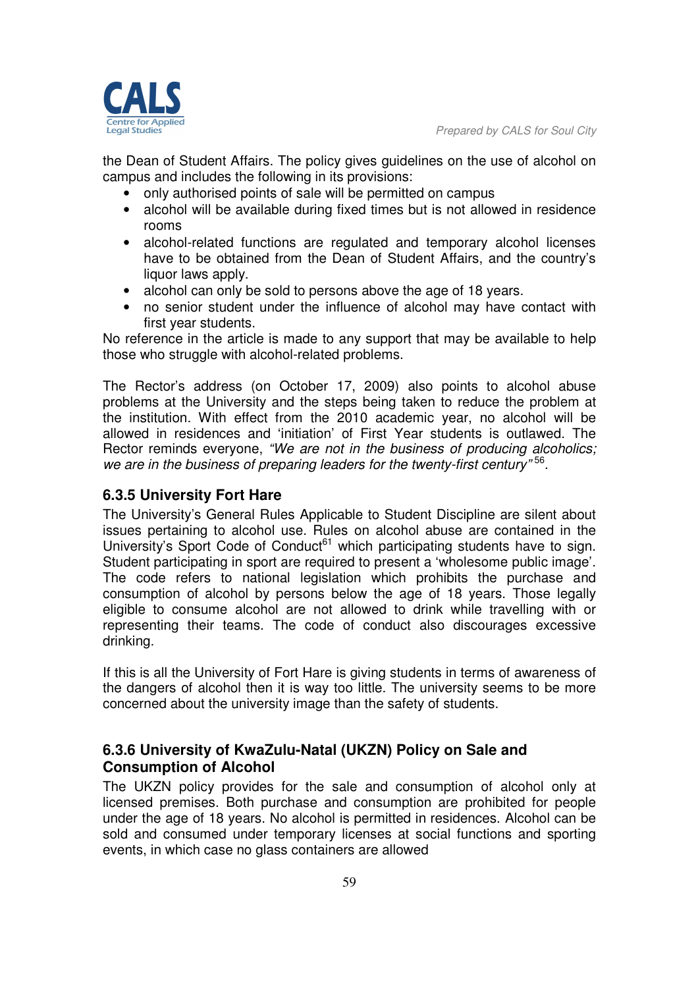

the Dean of Student Affairs. The policy gives guidelines on the use of alcohol on campus and includes the following in its provisions:

- only authorised points of sale will be permitted on campus
- alcohol will be available during fixed times but is not allowed in residence rooms
- alcohol-related functions are regulated and temporary alcohol licenses have to be obtained from the Dean of Student Affairs, and the country's liquor laws apply.
- alcohol can only be sold to persons above the age of 18 years.
- no senior student under the influence of alcohol may have contact with first year students.

No reference in the article is made to any support that may be available to help those who struggle with alcohol-related problems.

The Rector's address (on October 17, 2009) also points to alcohol abuse problems at the University and the steps being taken to reduce the problem at the institution. With effect from the 2010 academic year, no alcohol will be allowed in residences and 'initiation' of First Year students is outlawed. The Rector reminds everyone, *"We are not in the business of producing alcoholics; we are in the business of preparing leaders for the twenty-first century"* <sup>56</sup> .

### **6.3.5 University Fort Hare**

The University's General Rules Applicable to Student Discipline are silent about issues pertaining to alcohol use. Rules on alcohol abuse are contained in the University's Sport Code of Conduct<sup>61</sup> which participating students have to sign. Student participating in sport are required to present a 'wholesome public image'. The code refers to national legislation which prohibits the purchase and consumption of alcohol by persons below the age of 18 years. Those legally eligible to consume alcohol are not allowed to drink while travelling with or representing their teams. The code of conduct also discourages excessive drinking.

If this is all the University of Fort Hare is giving students in terms of awareness of the dangers of alcohol then it is way too little. The university seems to be more concerned about the university image than the safety of students.

# **6.3.6 University of KwaZulu-Natal (UKZN) Policy on Sale and Consumption of Alcohol**

The UKZN policy provides for the sale and consumption of alcohol only at licensed premises. Both purchase and consumption are prohibited for people under the age of 18 years. No alcohol is permitted in residences. Alcohol can be sold and consumed under temporary licenses at social functions and sporting events, in which case no glass containers are allowed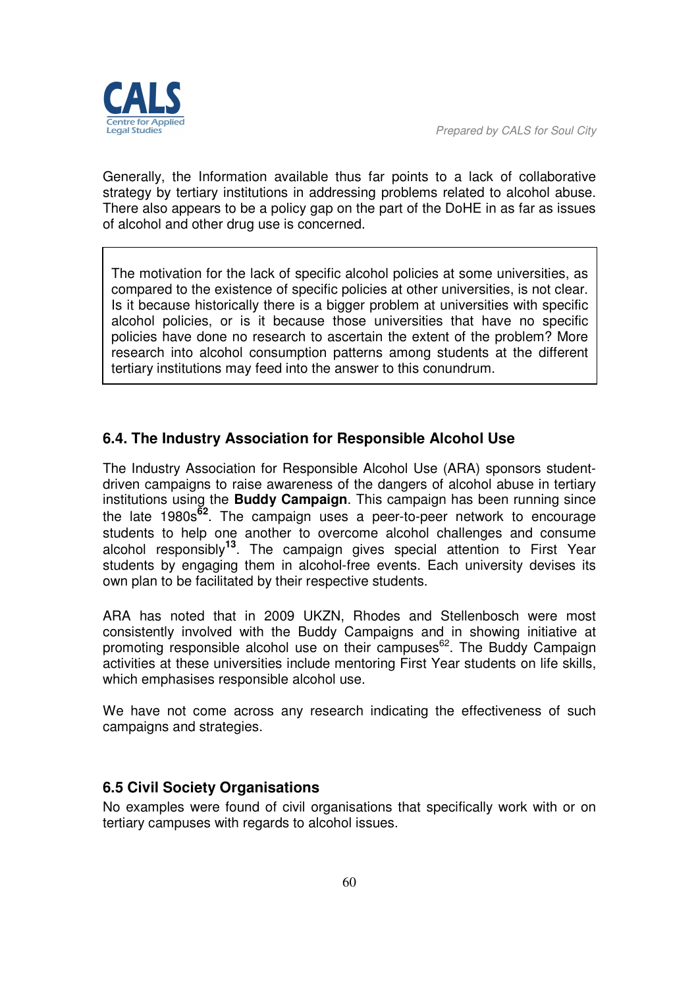

*Prepared by CALS for Soul City* 

Generally, the Information available thus far points to a lack of collaborative strategy by tertiary institutions in addressing problems related to alcohol abuse. There also appears to be a policy gap on the part of the DoHE in as far as issues of alcohol and other drug use is concerned.

The motivation for the lack of specific alcohol policies at some universities, as compared to the existence of specific policies at other universities, is not clear. Is it because historically there is a bigger problem at universities with specific alcohol policies, or is it because those universities that have no specific policies have done no research to ascertain the extent of the problem? More research into alcohol consumption patterns among students at the different tertiary institutions may feed into the answer to this conundrum.

# **6.4. The Industry Association for Responsible Alcohol Use**

The Industry Association for Responsible Alcohol Use (ARA) sponsors studentdriven campaigns to raise awareness of the dangers of alcohol abuse in tertiary institutions using the **Buddy Campaign**. This campaign has been running since the late 1980s**62**. The campaign uses a peer-to-peer network to encourage students to help one another to overcome alcohol challenges and consume alcohol responsibly**13**. The campaign gives special attention to First Year students by engaging them in alcohol-free events. Each university devises its own plan to be facilitated by their respective students.

ARA has noted that in 2009 UKZN, Rhodes and Stellenbosch were most consistently involved with the Buddy Campaigns and in showing initiative at promoting responsible alcohol use on their campuses $62$ . The Buddy Campaign activities at these universities include mentoring First Year students on life skills, which emphasises responsible alcohol use.

We have not come across any research indicating the effectiveness of such campaigns and strategies.

### **6.5 Civil Society Organisations**

No examples were found of civil organisations that specifically work with or on tertiary campuses with regards to alcohol issues.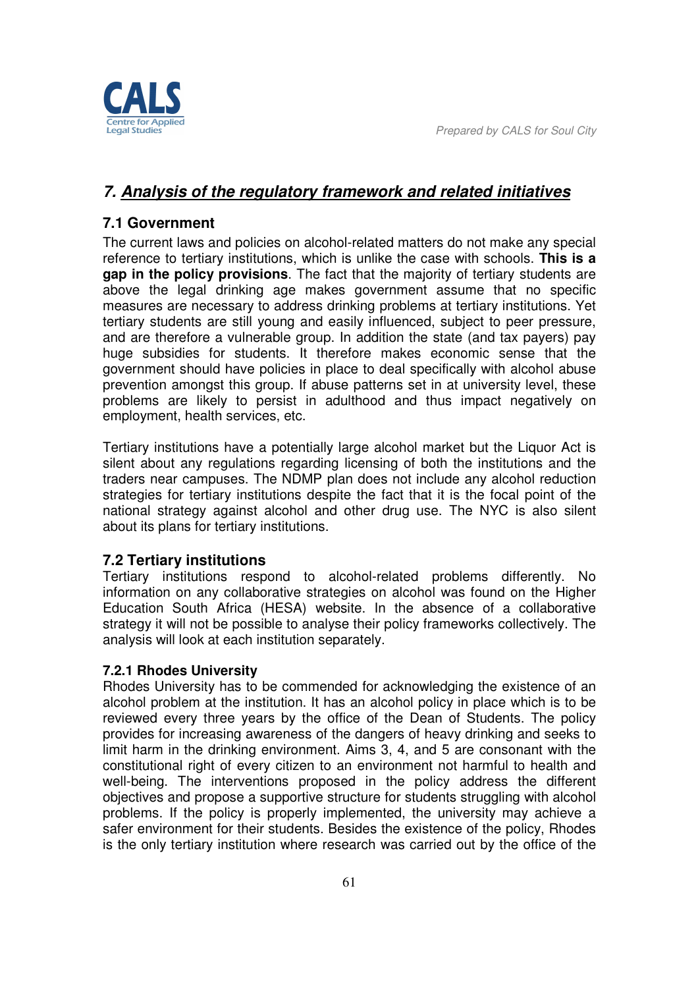



# *7. Analysis of the regulatory framework and related initiatives*

# **7.1 Government**

The current laws and policies on alcohol-related matters do not make any special reference to tertiary institutions, which is unlike the case with schools. **This is a gap in the policy provisions**. The fact that the majority of tertiary students are above the legal drinking age makes government assume that no specific measures are necessary to address drinking problems at tertiary institutions. Yet tertiary students are still young and easily influenced, subject to peer pressure, and are therefore a vulnerable group. In addition the state (and tax payers) pay huge subsidies for students. It therefore makes economic sense that the government should have policies in place to deal specifically with alcohol abuse prevention amongst this group. If abuse patterns set in at university level, these problems are likely to persist in adulthood and thus impact negatively on employment, health services, etc.

Tertiary institutions have a potentially large alcohol market but the Liquor Act is silent about any regulations regarding licensing of both the institutions and the traders near campuses. The NDMP plan does not include any alcohol reduction strategies for tertiary institutions despite the fact that it is the focal point of the national strategy against alcohol and other drug use. The NYC is also silent about its plans for tertiary institutions.

### **7.2 Tertiary institutions**

Tertiary institutions respond to alcohol-related problems differently. No information on any collaborative strategies on alcohol was found on the Higher Education South Africa (HESA) website. In the absence of a collaborative strategy it will not be possible to analyse their policy frameworks collectively. The analysis will look at each institution separately.

### **7.2.1 Rhodes University**

Rhodes University has to be commended for acknowledging the existence of an alcohol problem at the institution. It has an alcohol policy in place which is to be reviewed every three years by the office of the Dean of Students. The policy provides for increasing awareness of the dangers of heavy drinking and seeks to limit harm in the drinking environment. Aims 3, 4, and 5 are consonant with the constitutional right of every citizen to an environment not harmful to health and well-being. The interventions proposed in the policy address the different objectives and propose a supportive structure for students struggling with alcohol problems. If the policy is properly implemented, the university may achieve a safer environment for their students. Besides the existence of the policy, Rhodes is the only tertiary institution where research was carried out by the office of the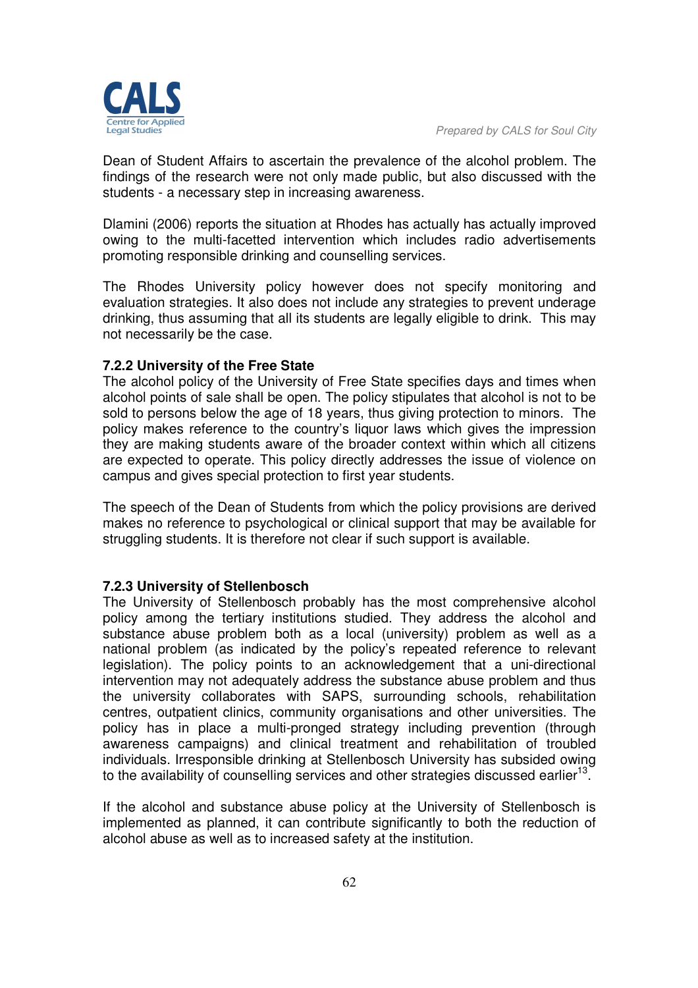

Dean of Student Affairs to ascertain the prevalence of the alcohol problem. The findings of the research were not only made public, but also discussed with the students - a necessary step in increasing awareness.

Dlamini (2006) reports the situation at Rhodes has actually has actually improved owing to the multi-facetted intervention which includes radio advertisements promoting responsible drinking and counselling services.

The Rhodes University policy however does not specify monitoring and evaluation strategies. It also does not include any strategies to prevent underage drinking, thus assuming that all its students are legally eligible to drink. This may not necessarily be the case.

#### **7.2.2 University of the Free State**

The alcohol policy of the University of Free State specifies days and times when alcohol points of sale shall be open. The policy stipulates that alcohol is not to be sold to persons below the age of 18 years, thus giving protection to minors. The policy makes reference to the country's liquor laws which gives the impression they are making students aware of the broader context within which all citizens are expected to operate. This policy directly addresses the issue of violence on campus and gives special protection to first year students.

The speech of the Dean of Students from which the policy provisions are derived makes no reference to psychological or clinical support that may be available for struggling students. It is therefore not clear if such support is available.

#### **7.2.3 University of Stellenbosch**

The University of Stellenbosch probably has the most comprehensive alcohol policy among the tertiary institutions studied. They address the alcohol and substance abuse problem both as a local (university) problem as well as a national problem (as indicated by the policy's repeated reference to relevant legislation). The policy points to an acknowledgement that a uni-directional intervention may not adequately address the substance abuse problem and thus the university collaborates with SAPS, surrounding schools, rehabilitation centres, outpatient clinics, community organisations and other universities. The policy has in place a multi-pronged strategy including prevention (through awareness campaigns) and clinical treatment and rehabilitation of troubled individuals. Irresponsible drinking at Stellenbosch University has subsided owing to the availability of counselling services and other strategies discussed earlier<sup>13</sup>.

If the alcohol and substance abuse policy at the University of Stellenbosch is implemented as planned, it can contribute significantly to both the reduction of alcohol abuse as well as to increased safety at the institution.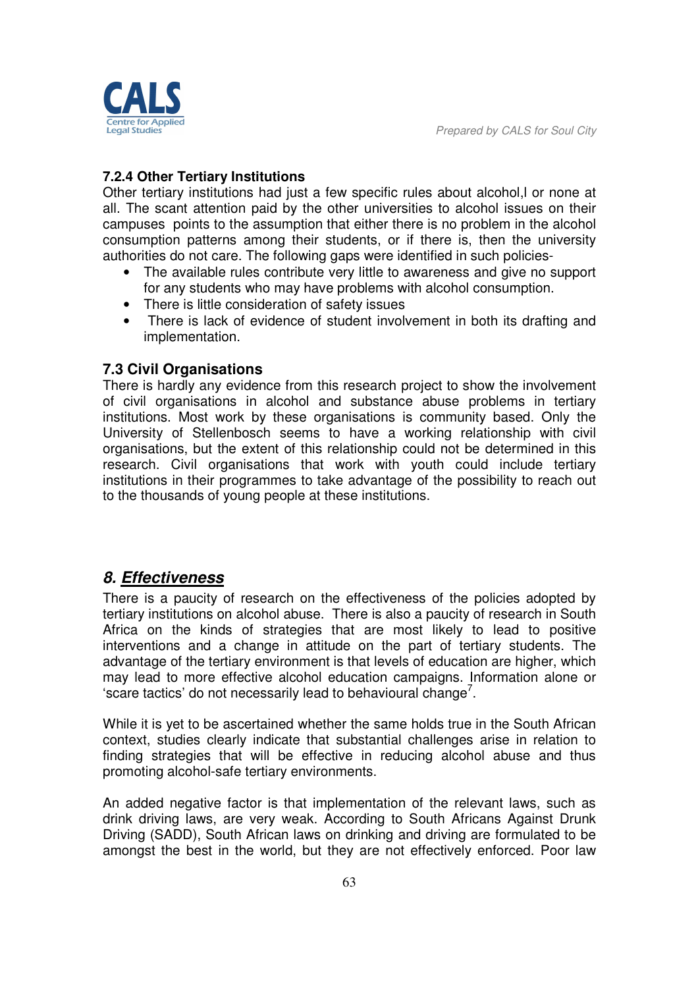

#### **7.2.4 Other Tertiary Institutions**

Other tertiary institutions had just a few specific rules about alcohol,l or none at all. The scant attention paid by the other universities to alcohol issues on their campuses points to the assumption that either there is no problem in the alcohol consumption patterns among their students, or if there is, then the university authorities do not care. The following gaps were identified in such policies-

- The available rules contribute very little to awareness and give no support for any students who may have problems with alcohol consumption.
- There is little consideration of safety issues
- There is lack of evidence of student involvement in both its drafting and implementation.

#### **7.3 Civil Organisations**

There is hardly any evidence from this research project to show the involvement of civil organisations in alcohol and substance abuse problems in tertiary institutions. Most work by these organisations is community based. Only the University of Stellenbosch seems to have a working relationship with civil organisations, but the extent of this relationship could not be determined in this research. Civil organisations that work with youth could include tertiary institutions in their programmes to take advantage of the possibility to reach out to the thousands of young people at these institutions.

### *8. Effectiveness*

There is a paucity of research on the effectiveness of the policies adopted by tertiary institutions on alcohol abuse. There is also a paucity of research in South Africa on the kinds of strategies that are most likely to lead to positive interventions and a change in attitude on the part of tertiary students. The advantage of the tertiary environment is that levels of education are higher, which may lead to more effective alcohol education campaigns. Information alone or 'scare tactics' do not necessarily lead to behavioural change<sup>7</sup>.

While it is yet to be ascertained whether the same holds true in the South African context, studies clearly indicate that substantial challenges arise in relation to finding strategies that will be effective in reducing alcohol abuse and thus promoting alcohol-safe tertiary environments.

An added negative factor is that implementation of the relevant laws, such as drink driving laws, are very weak. According to South Africans Against Drunk Driving (SADD), South African laws on drinking and driving are formulated to be amongst the best in the world, but they are not effectively enforced. Poor law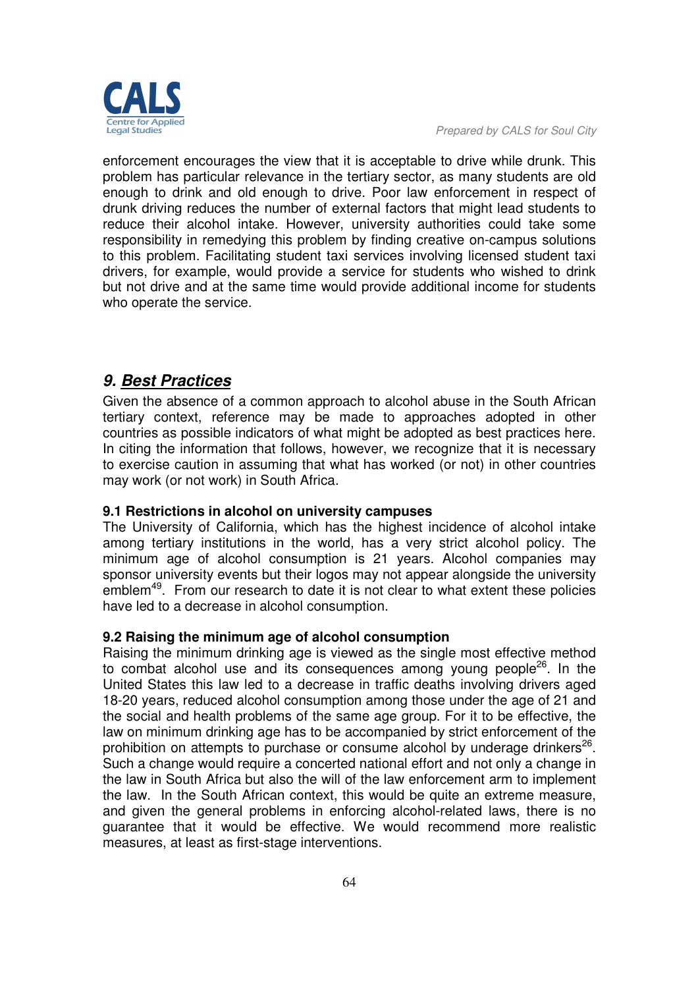

enforcement encourages the view that it is acceptable to drive while drunk. This problem has particular relevance in the tertiary sector, as many students are old enough to drink and old enough to drive. Poor law enforcement in respect of drunk driving reduces the number of external factors that might lead students to reduce their alcohol intake. However, university authorities could take some responsibility in remedying this problem by finding creative on-campus solutions to this problem. Facilitating student taxi services involving licensed student taxi drivers, for example, would provide a service for students who wished to drink but not drive and at the same time would provide additional income for students who operate the service.

# *9. Best Practices*

Given the absence of a common approach to alcohol abuse in the South African tertiary context, reference may be made to approaches adopted in other countries as possible indicators of what might be adopted as best practices here. In citing the information that follows, however, we recognize that it is necessary to exercise caution in assuming that what has worked (or not) in other countries may work (or not work) in South Africa.

#### **9.1 Restrictions in alcohol on university campuses**

The University of California, which has the highest incidence of alcohol intake among tertiary institutions in the world, has a very strict alcohol policy. The minimum age of alcohol consumption is 21 years. Alcohol companies may sponsor university events but their logos may not appear alongside the university emblem<sup>49</sup>. From our research to date it is not clear to what extent these policies have led to a decrease in alcohol consumption.

#### **9.2 Raising the minimum age of alcohol consumption**

Raising the minimum drinking age is viewed as the single most effective method to combat alcohol use and its consequences among young people $26$ . In the United States this law led to a decrease in traffic deaths involving drivers aged 18-20 years, reduced alcohol consumption among those under the age of 21 and the social and health problems of the same age group. For it to be effective, the law on minimum drinking age has to be accompanied by strict enforcement of the prohibition on attempts to purchase or consume alcohol by underage drinkers $^{26}$ . Such a change would require a concerted national effort and not only a change in the law in South Africa but also the will of the law enforcement arm to implement the law. In the South African context, this would be quite an extreme measure, and given the general problems in enforcing alcohol-related laws, there is no guarantee that it would be effective. We would recommend more realistic measures, at least as first-stage interventions.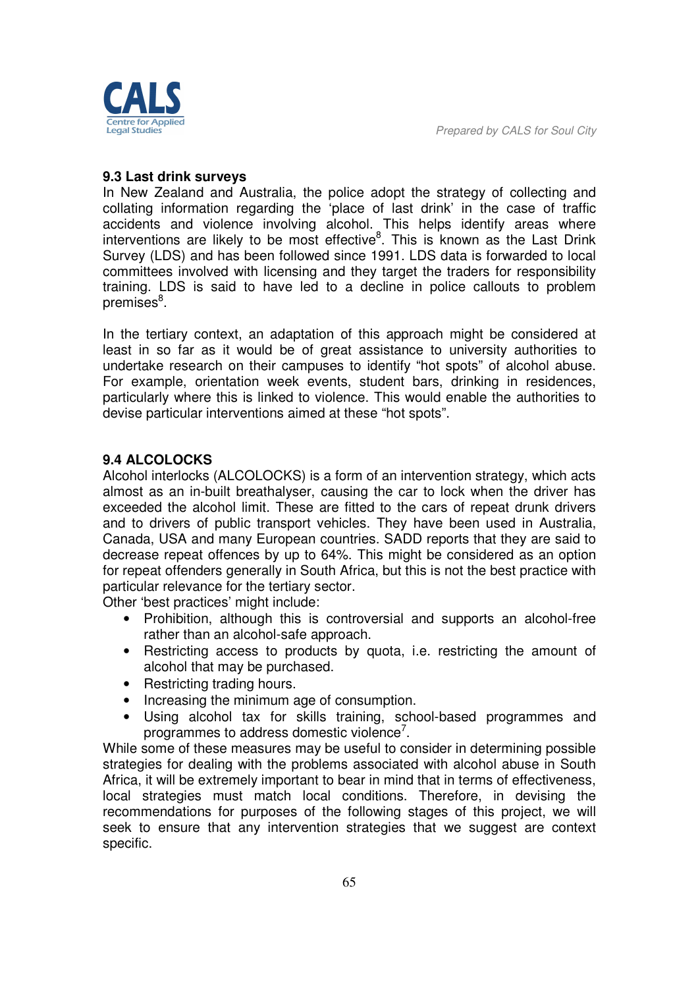

#### **9.3 Last drink surveys**

In New Zealand and Australia, the police adopt the strategy of collecting and collating information regarding the 'place of last drink' in the case of traffic accidents and violence involving alcohol. This helps identify areas where interventions are likely to be most effective ${}^{8}$ . This is known as the Last Drink Survey (LDS) and has been followed since 1991. LDS data is forwarded to local committees involved with licensing and they target the traders for responsibility training. LDS is said to have led to a decline in police callouts to problem premises<sup>8</sup>.

In the tertiary context, an adaptation of this approach might be considered at least in so far as it would be of great assistance to university authorities to undertake research on their campuses to identify "hot spots" of alcohol abuse. For example, orientation week events, student bars, drinking in residences, particularly where this is linked to violence. This would enable the authorities to devise particular interventions aimed at these "hot spots".

#### **9.4 ALCOLOCKS**

Alcohol interlocks (ALCOLOCKS) is a form of an intervention strategy, which acts almost as an in-built breathalyser, causing the car to lock when the driver has exceeded the alcohol limit. These are fitted to the cars of repeat drunk drivers and to drivers of public transport vehicles. They have been used in Australia, Canada, USA and many European countries. SADD reports that they are said to decrease repeat offences by up to 64%. This might be considered as an option for repeat offenders generally in South Africa, but this is not the best practice with particular relevance for the tertiary sector.

Other 'best practices' might include:

- Prohibition, although this is controversial and supports an alcohol-free rather than an alcohol-safe approach.
- Restricting access to products by quota, i.e. restricting the amount of alcohol that may be purchased.
- Restricting trading hours.
- Increasing the minimum age of consumption.
- Using alcohol tax for skills training, school-based programmes and programmes to address domestic violence<sup>7</sup>.

While some of these measures may be useful to consider in determining possible strategies for dealing with the problems associated with alcohol abuse in South Africa, it will be extremely important to bear in mind that in terms of effectiveness, local strategies must match local conditions. Therefore, in devising the recommendations for purposes of the following stages of this project, we will seek to ensure that any intervention strategies that we suggest are context specific.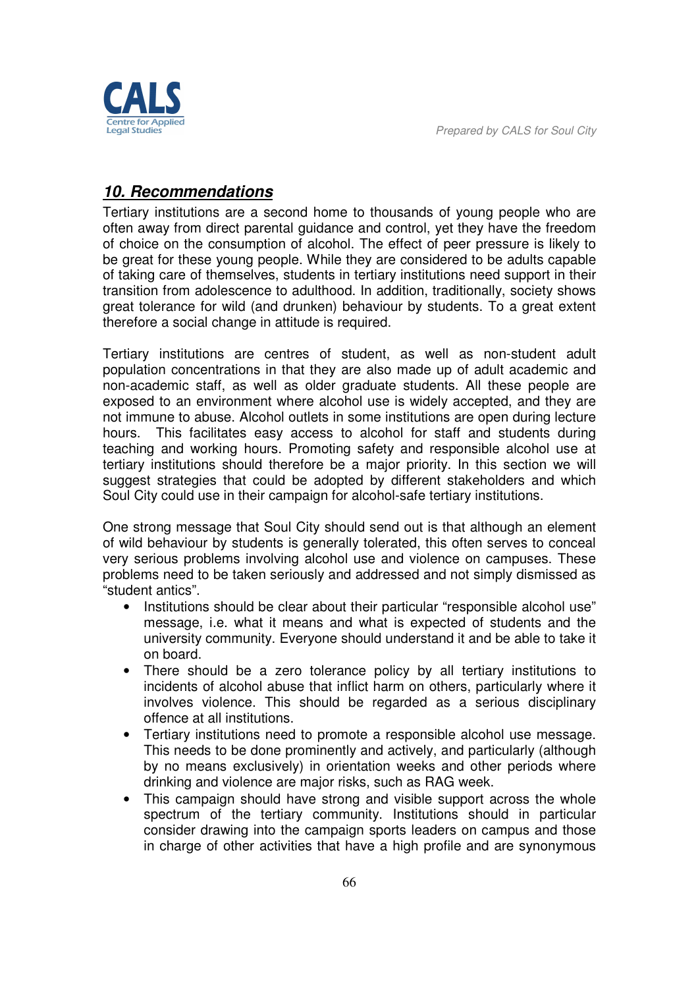egal Studies

# *10. Recommendations*

Tertiary institutions are a second home to thousands of young people who are often away from direct parental guidance and control, yet they have the freedom of choice on the consumption of alcohol. The effect of peer pressure is likely to be great for these young people. While they are considered to be adults capable of taking care of themselves, students in tertiary institutions need support in their transition from adolescence to adulthood. In addition, traditionally, society shows great tolerance for wild (and drunken) behaviour by students. To a great extent therefore a social change in attitude is required.

Tertiary institutions are centres of student, as well as non-student adult population concentrations in that they are also made up of adult academic and non-academic staff, as well as older graduate students. All these people are exposed to an environment where alcohol use is widely accepted, and they are not immune to abuse. Alcohol outlets in some institutions are open during lecture hours. This facilitates easy access to alcohol for staff and students during teaching and working hours. Promoting safety and responsible alcohol use at tertiary institutions should therefore be a major priority. In this section we will suggest strategies that could be adopted by different stakeholders and which Soul City could use in their campaign for alcohol-safe tertiary institutions.

One strong message that Soul City should send out is that although an element of wild behaviour by students is generally tolerated, this often serves to conceal very serious problems involving alcohol use and violence on campuses. These problems need to be taken seriously and addressed and not simply dismissed as "student antics".

- Institutions should be clear about their particular "responsible alcohol use" message, i.e. what it means and what is expected of students and the university community. Everyone should understand it and be able to take it on board.
- There should be a zero tolerance policy by all tertiary institutions to incidents of alcohol abuse that inflict harm on others, particularly where it involves violence. This should be regarded as a serious disciplinary offence at all institutions.
- Tertiary institutions need to promote a responsible alcohol use message. This needs to be done prominently and actively, and particularly (although by no means exclusively) in orientation weeks and other periods where drinking and violence are major risks, such as RAG week.
- This campaign should have strong and visible support across the whole spectrum of the tertiary community. Institutions should in particular consider drawing into the campaign sports leaders on campus and those in charge of other activities that have a high profile and are synonymous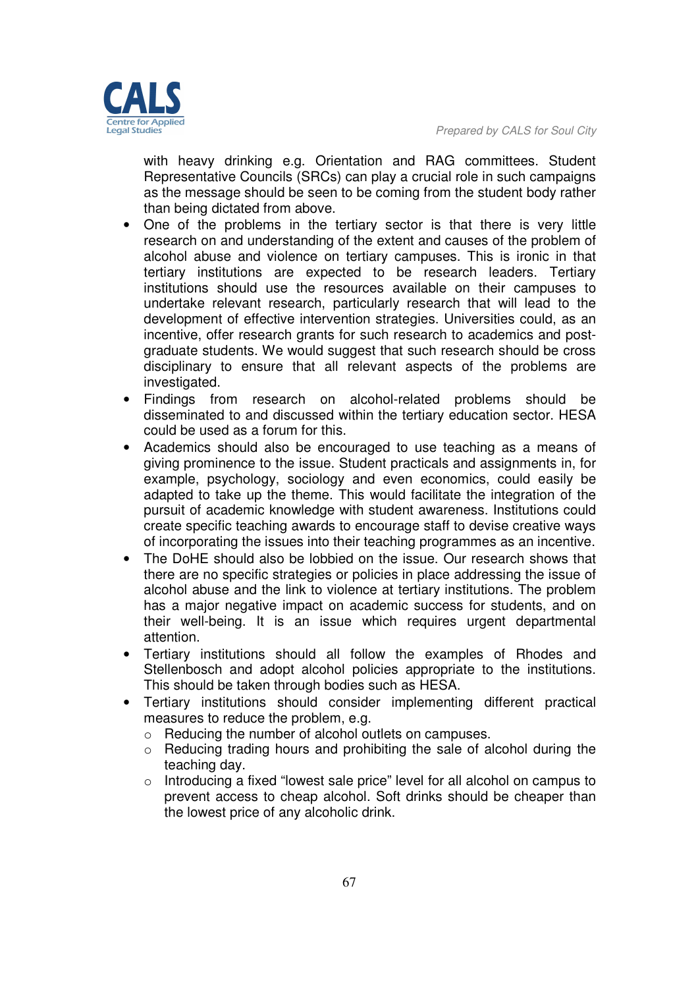

with heavy drinking e.g. Orientation and RAG committees. Student Representative Councils (SRCs) can play a crucial role in such campaigns as the message should be seen to be coming from the student body rather than being dictated from above.

- One of the problems in the tertiary sector is that there is very little research on and understanding of the extent and causes of the problem of alcohol abuse and violence on tertiary campuses. This is ironic in that tertiary institutions are expected to be research leaders. Tertiary institutions should use the resources available on their campuses to undertake relevant research, particularly research that will lead to the development of effective intervention strategies. Universities could, as an incentive, offer research grants for such research to academics and postgraduate students. We would suggest that such research should be cross disciplinary to ensure that all relevant aspects of the problems are investigated.
- Findings from research on alcohol-related problems should be disseminated to and discussed within the tertiary education sector. HESA could be used as a forum for this.
- Academics should also be encouraged to use teaching as a means of giving prominence to the issue. Student practicals and assignments in, for example, psychology, sociology and even economics, could easily be adapted to take up the theme. This would facilitate the integration of the pursuit of academic knowledge with student awareness. Institutions could create specific teaching awards to encourage staff to devise creative ways of incorporating the issues into their teaching programmes as an incentive.
- The DoHE should also be lobbied on the issue. Our research shows that there are no specific strategies or policies in place addressing the issue of alcohol abuse and the link to violence at tertiary institutions. The problem has a major negative impact on academic success for students, and on their well-being. It is an issue which requires urgent departmental attention.
- Tertiary institutions should all follow the examples of Rhodes and Stellenbosch and adopt alcohol policies appropriate to the institutions. This should be taken through bodies such as HESA.
- Tertiary institutions should consider implementing different practical measures to reduce the problem, e.g.
	- o Reducing the number of alcohol outlets on campuses.
	- o Reducing trading hours and prohibiting the sale of alcohol during the teaching day.
	- $\circ$  Introducing a fixed "lowest sale price" level for all alcohol on campus to prevent access to cheap alcohol. Soft drinks should be cheaper than the lowest price of any alcoholic drink.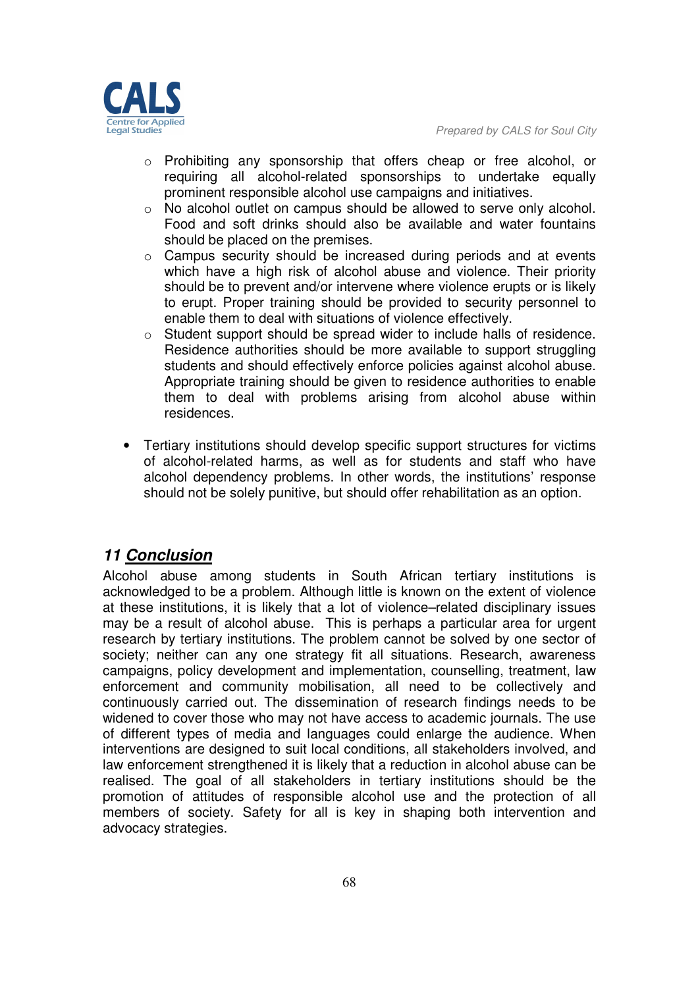

- o Prohibiting any sponsorship that offers cheap or free alcohol, or requiring all alcohol-related sponsorships to undertake equally prominent responsible alcohol use campaigns and initiatives.
- o No alcohol outlet on campus should be allowed to serve only alcohol. Food and soft drinks should also be available and water fountains should be placed on the premises.
- o Campus security should be increased during periods and at events which have a high risk of alcohol abuse and violence. Their priority should be to prevent and/or intervene where violence erupts or is likely to erupt. Proper training should be provided to security personnel to enable them to deal with situations of violence effectively.
- o Student support should be spread wider to include halls of residence. Residence authorities should be more available to support struggling students and should effectively enforce policies against alcohol abuse. Appropriate training should be given to residence authorities to enable them to deal with problems arising from alcohol abuse within residences.
- Tertiary institutions should develop specific support structures for victims of alcohol-related harms, as well as for students and staff who have alcohol dependency problems. In other words, the institutions' response should not be solely punitive, but should offer rehabilitation as an option.

# *11 Conclusion*

Alcohol abuse among students in South African tertiary institutions is acknowledged to be a problem. Although little is known on the extent of violence at these institutions, it is likely that a lot of violence–related disciplinary issues may be a result of alcohol abuse. This is perhaps a particular area for urgent research by tertiary institutions. The problem cannot be solved by one sector of society; neither can any one strategy fit all situations. Research, awareness campaigns, policy development and implementation, counselling, treatment, law enforcement and community mobilisation, all need to be collectively and continuously carried out. The dissemination of research findings needs to be widened to cover those who may not have access to academic journals. The use of different types of media and languages could enlarge the audience. When interventions are designed to suit local conditions, all stakeholders involved, and law enforcement strengthened it is likely that a reduction in alcohol abuse can be realised. The goal of all stakeholders in tertiary institutions should be the promotion of attitudes of responsible alcohol use and the protection of all members of society. Safety for all is key in shaping both intervention and advocacy strategies.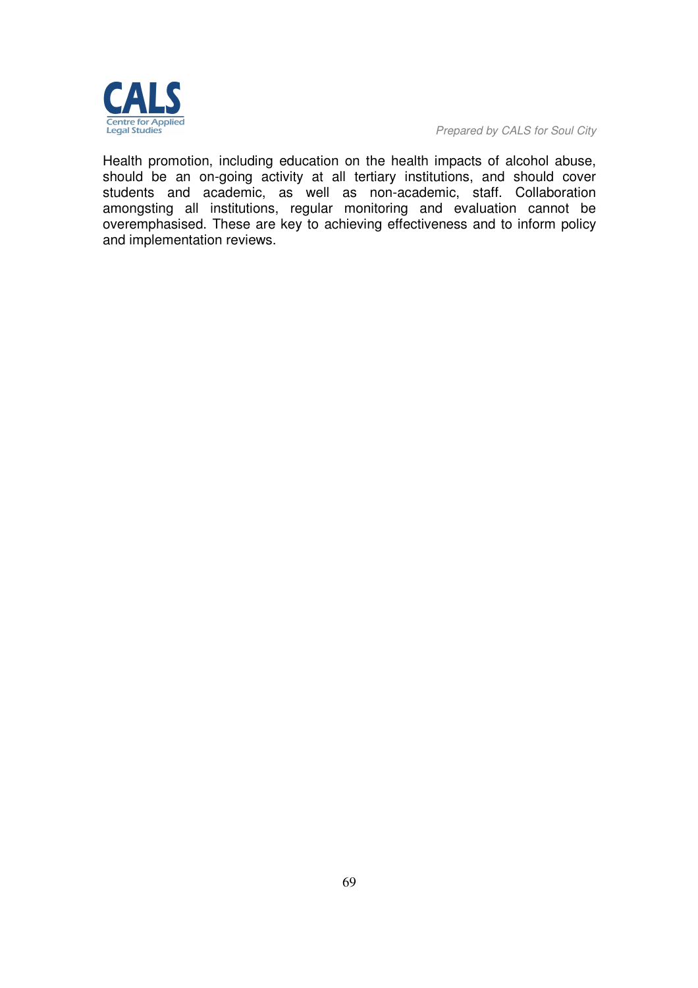

*Prepared by CALS for Soul City* 

Health promotion, including education on the health impacts of alcohol abuse, should be an on-going activity at all tertiary institutions, and should cover students and academic, as well as non-academic, staff. Collaboration amongsting all institutions, regular monitoring and evaluation cannot be overemphasised. These are key to achieving effectiveness and to inform policy and implementation reviews.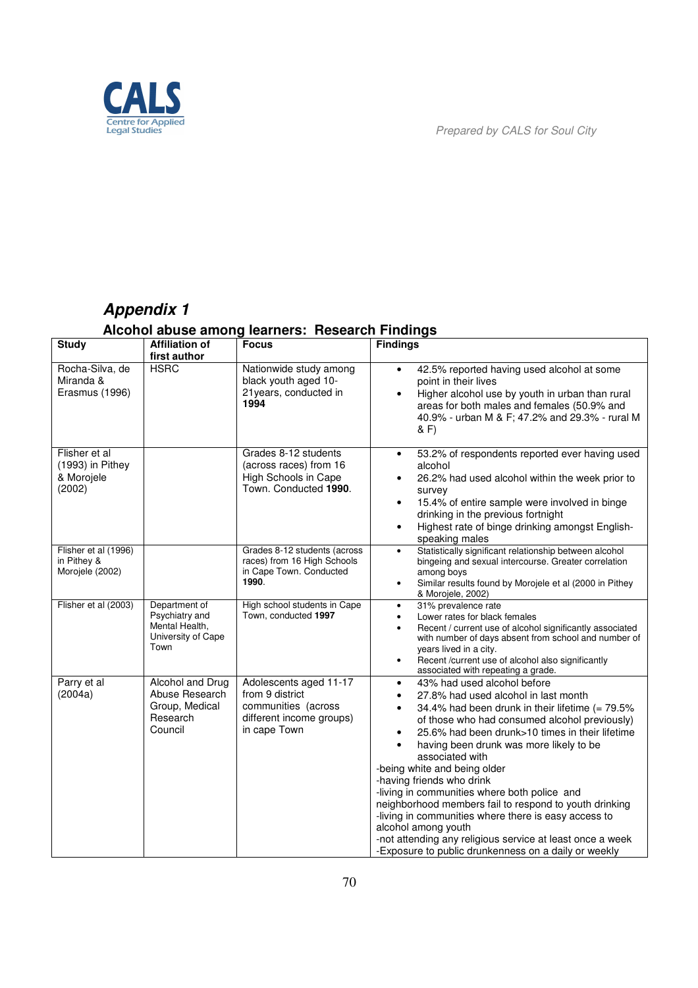

# *Appendix 1*

# **Alcohol abuse among learners: Research Findings**

| <b>Study</b>                                                | <b>Affiliation of</b><br>first author                                           | <b>Focus</b>                                                                                                 | <b>Findings</b>                                                                                                                                                                                                                                                                                                                                                                                                                                                                                                                                                                                                                                                                                                                         |
|-------------------------------------------------------------|---------------------------------------------------------------------------------|--------------------------------------------------------------------------------------------------------------|-----------------------------------------------------------------------------------------------------------------------------------------------------------------------------------------------------------------------------------------------------------------------------------------------------------------------------------------------------------------------------------------------------------------------------------------------------------------------------------------------------------------------------------------------------------------------------------------------------------------------------------------------------------------------------------------------------------------------------------------|
| Rocha-Silva, de<br>Miranda &<br>Erasmus (1996)              | <b>HSRC</b>                                                                     | Nationwide study among<br>black youth aged 10-<br>21 years, conducted in<br>1994                             | 42.5% reported having used alcohol at some<br>$\bullet$<br>point in their lives<br>Higher alcohol use by youth in urban than rural<br>$\bullet$<br>areas for both males and females (50.9% and<br>40.9% - urban M & F; 47.2% and 29.3% - rural M<br>& F)                                                                                                                                                                                                                                                                                                                                                                                                                                                                                |
| Flisher et al<br>$(1993)$ in Pithey<br>& Morojele<br>(2002) |                                                                                 | Grades 8-12 students<br>(across races) from 16<br>High Schools in Cape<br>Town. Conducted 1990.              | 53.2% of respondents reported ever having used<br>$\bullet$<br>alcohol<br>26.2% had used alcohol within the week prior to<br>$\bullet$<br>survey<br>15.4% of entire sample were involved in binge<br>$\bullet$<br>drinking in the previous fortnight<br>Highest rate of binge drinking amongst English-<br>$\bullet$<br>speaking males                                                                                                                                                                                                                                                                                                                                                                                                  |
| Flisher et al (1996)<br>in Pithey &<br>Morojele (2002)      |                                                                                 | Grades 8-12 students (across<br>races) from 16 High Schools<br>in Cape Town. Conducted<br>1990.              | Statistically significant relationship between alcohol<br>$\bullet$<br>bingeing and sexual intercourse. Greater correlation<br>among boys<br>Similar results found by Morojele et al (2000 in Pithey<br>$\bullet$<br>& Morojele, 2002)                                                                                                                                                                                                                                                                                                                                                                                                                                                                                                  |
| Flisher et al (2003)                                        | Department of<br>Psychiatry and<br>Mental Health,<br>University of Cape<br>Town | High school students in Cape<br>Town, conducted 1997                                                         | 31% prevalence rate<br>$\bullet$<br>Lower rates for black females<br>$\bullet$<br>Recent / current use of alcohol significantly associated<br>$\bullet$<br>with number of days absent from school and number of<br>years lived in a city.<br>Recent /current use of alcohol also significantly<br>$\bullet$<br>associated with repeating a grade.                                                                                                                                                                                                                                                                                                                                                                                       |
| Parry et al<br>(2004a)                                      | Alcohol and Drug<br>Abuse Research<br>Group, Medical<br>Research<br>Council     | Adolescents aged 11-17<br>from 9 district<br>communities (across<br>different income groups)<br>in cape Town | 43% had used alcohol before<br>$\bullet$<br>27.8% had used alcohol in last month<br>$\bullet$<br>34.4% had been drunk in their lifetime $(= 79.5\%$<br>$\bullet$<br>of those who had consumed alcohol previously)<br>25.6% had been drunk>10 times in their lifetime<br>$\bullet$<br>having been drunk was more likely to be<br>$\bullet$<br>associated with<br>-being white and being older<br>-having friends who drink<br>-living in communities where both police and<br>neighborhood members fail to respond to youth drinking<br>-living in communities where there is easy access to<br>alcohol among youth<br>-not attending any religious service at least once a week<br>-Exposure to public drunkenness on a daily or weekly |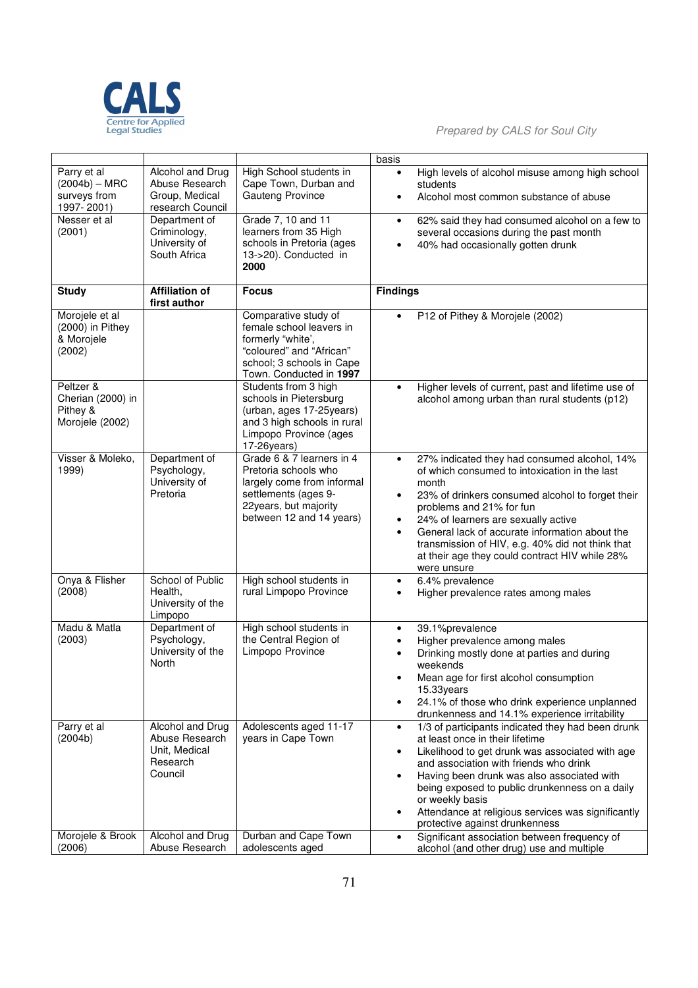

**Prepared by CALS for Soul City**<br> **Prepared by CALS for Soul City** 

|                                                                                        |                                                                                                                                            |                                                                                                                                                                                          | basis                                                                                                                                                                                                                                                                                                                                                                                                                                                    |
|----------------------------------------------------------------------------------------|--------------------------------------------------------------------------------------------------------------------------------------------|------------------------------------------------------------------------------------------------------------------------------------------------------------------------------------------|----------------------------------------------------------------------------------------------------------------------------------------------------------------------------------------------------------------------------------------------------------------------------------------------------------------------------------------------------------------------------------------------------------------------------------------------------------|
| Parry et al<br>$(2004b) - MRC$<br>surveys from<br>1997-2001)<br>Nesser et al<br>(2001) | Alcohol and Drug<br>Abuse Research<br>Group, Medical<br>research Council<br>Department of<br>Criminology,<br>University of<br>South Africa | High School students in<br>Cape Town, Durban and<br><b>Gauteng Province</b><br>Grade 7, 10 and 11<br>learners from 35 High<br>schools in Pretoria (ages<br>13->20). Conducted in<br>2000 | High levels of alcohol misuse among high school<br>students<br>Alcohol most common substance of abuse<br>$\bullet$<br>62% said they had consumed alcohol on a few to<br>$\bullet$<br>several occasions during the past month<br>40% had occasionally gotten drunk<br>$\bullet$                                                                                                                                                                           |
| <b>Study</b>                                                                           | <b>Affiliation of</b>                                                                                                                      | <b>Focus</b>                                                                                                                                                                             | <b>Findings</b>                                                                                                                                                                                                                                                                                                                                                                                                                                          |
| Morojele et al<br>(2000) in Pithey<br>& Morojele<br>(2002)                             | first author                                                                                                                               | Comparative study of<br>female school leavers in<br>formerly "white',<br>"coloured" and "African"<br>school; 3 schools in Cape<br>Town. Conducted in 1997                                | P12 of Pithey & Morojele (2002)<br>$\bullet$                                                                                                                                                                                                                                                                                                                                                                                                             |
| Peltzer &<br>Cherian (2000) in<br>Pithey &<br>Morojele (2002)                          |                                                                                                                                            | Students from 3 high<br>schools in Pietersburg<br>(urban, ages 17-25years)<br>and 3 high schools in rural<br>Limpopo Province (ages<br>17-26years)                                       | Higher levels of current, past and lifetime use of<br>$\bullet$<br>alcohol among urban than rural students (p12)                                                                                                                                                                                                                                                                                                                                         |
| Visser & Moleko,<br>1999)                                                              | Department of<br>Psychology,<br>University of<br>Pretoria                                                                                  | Grade 6 & 7 learners in 4<br>Pretoria schools who<br>largely come from informal<br>settlements (ages 9-<br>22years, but majority<br>between 12 and 14 years)                             | 27% indicated they had consumed alcohol, 14%<br>$\bullet$<br>of which consumed to intoxication in the last<br>month<br>23% of drinkers consumed alcohol to forget their<br>$\bullet$<br>problems and 21% for fun<br>24% of learners are sexually active<br>$\bullet$<br>General lack of accurate information about the<br>$\bullet$<br>transmission of HIV, e.g. 40% did not think that<br>at their age they could contract HIV while 28%<br>were unsure |
| Onya & Flisher<br>(2008)                                                               | School of Public<br>Health,<br>University of the<br>Limpopo                                                                                | High school students in<br>rural Limpopo Province                                                                                                                                        | 6.4% prevalence<br>$\bullet$<br>Higher prevalence rates among males<br>$\bullet$                                                                                                                                                                                                                                                                                                                                                                         |
| Madu & Matla<br>(2003)                                                                 | Department of<br>Psychology,<br>University of the<br>North                                                                                 | High school students in<br>the Central Region of<br>Limpopo Province                                                                                                                     | 39.1%prevalence<br>$\bullet$<br>Higher prevalence among males<br>$\bullet$<br>Drinking mostly done at parties and during<br>$\bullet$<br>weekends<br>Mean age for first alcohol consumption<br>15.33years<br>24.1% of those who drink experience unplanned<br>$\bullet$<br>drunkenness and 14.1% experience irritability                                                                                                                                 |
| Parry et al<br>(2004b)                                                                 | Alcohol and Drug<br>Abuse Research<br>Unit, Medical<br>Research<br>Council                                                                 | Adolescents aged 11-17<br>years in Cape Town                                                                                                                                             | 1/3 of participants indicated they had been drunk<br>$\bullet$<br>at least once in their lifetime<br>Likelihood to get drunk was associated with age<br>$\bullet$<br>and association with friends who drink<br>Having been drunk was also associated with<br>$\bullet$<br>being exposed to public drunkenness on a daily<br>or weekly basis<br>Attendance at religious services was significantly<br>$\bullet$<br>protective against drunkenness         |
| Morojele & Brook<br>(2006)                                                             | Alcohol and Drug<br>Abuse Research                                                                                                         | Durban and Cape Town<br>adolescents aged                                                                                                                                                 | Significant association between frequency of<br>$\bullet$<br>alcohol (and other drug) use and multiple                                                                                                                                                                                                                                                                                                                                                   |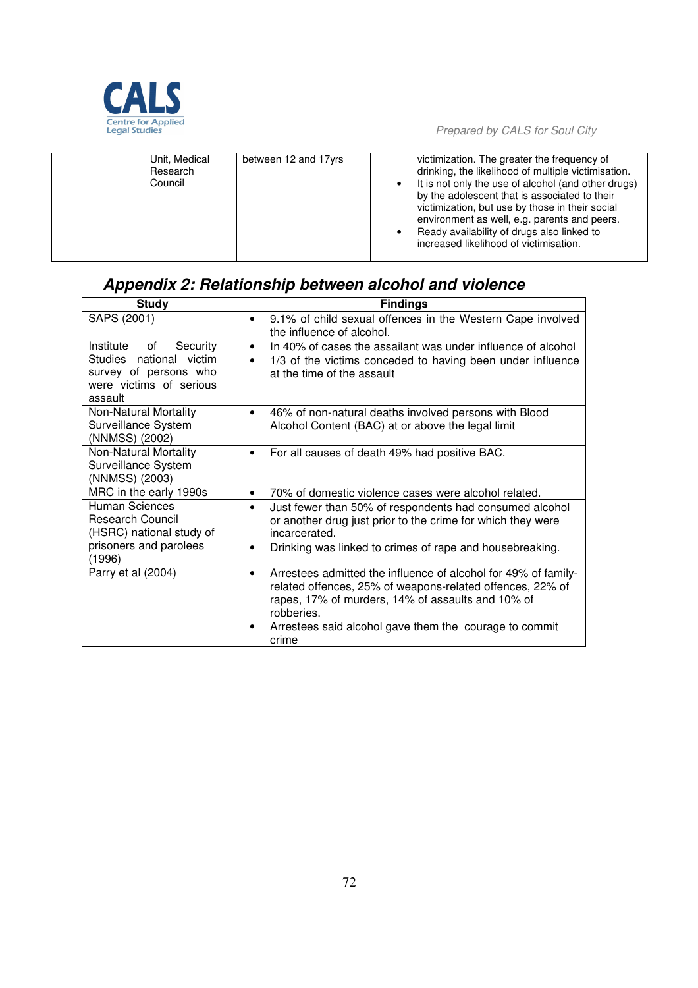

*Prepared by CALS for Soul City* 

| Unit, Medical<br>Research<br>Council | between 12 and 17yrs | victimization. The greater the frequency of<br>drinking, the likelihood of multiple victimisation.<br>It is not only the use of alcohol (and other drugs)<br>by the adolescent that is associated to their<br>victimization, but use by those in their social<br>environment as well, e.g. parents and peers. |
|--------------------------------------|----------------------|---------------------------------------------------------------------------------------------------------------------------------------------------------------------------------------------------------------------------------------------------------------------------------------------------------------|
|                                      |                      | Ready availability of drugs also linked to<br>increased likelihood of victimisation.                                                                                                                                                                                                                          |

# *Appendix 2: Relationship between alcohol and violence*

| <b>Study</b>                                                                                                          | <b>Findings</b>                                                                                                                                                                                                                                                                |
|-----------------------------------------------------------------------------------------------------------------------|--------------------------------------------------------------------------------------------------------------------------------------------------------------------------------------------------------------------------------------------------------------------------------|
| SAPS (2001)                                                                                                           | 9.1% of child sexual offences in the Western Cape involved<br>$\bullet$<br>the influence of alcohol.                                                                                                                                                                           |
| of<br>Institute<br>Security<br>Studies national victim<br>survey of persons who<br>were victims of serious<br>assault | In 40% of cases the assailant was under influence of alcohol<br>$\bullet$<br>1/3 of the victims conceded to having been under influence<br>at the time of the assault                                                                                                          |
| Non-Natural Mortality<br>Surveillance System<br>(NNMSS) (2002)                                                        | 46% of non-natural deaths involved persons with Blood<br>$\bullet$<br>Alcohol Content (BAC) at or above the legal limit                                                                                                                                                        |
| Non-Natural Mortality<br>Surveillance System<br>(NNMSS) (2003)                                                        | For all causes of death 49% had positive BAC.                                                                                                                                                                                                                                  |
| MRC in the early 1990s                                                                                                | 70% of domestic violence cases were alcohol related.<br>$\bullet$                                                                                                                                                                                                              |
| <b>Human Sciences</b><br>Research Council<br>(HSRC) national study of<br>prisoners and parolees<br>(1996)             | Just fewer than 50% of respondents had consumed alcohol<br>$\bullet$<br>or another drug just prior to the crime for which they were<br>incarcerated.<br>Drinking was linked to crimes of rape and housebreaking.<br>٠                                                          |
| Parry et al (2004)                                                                                                    | Arrestees admitted the influence of alcohol for 49% of family-<br>$\bullet$<br>related offences, 25% of weapons-related offences, 22% of<br>rapes, 17% of murders, 14% of assaults and 10% of<br>robberies.<br>Arrestees said alcohol gave them the courage to commit<br>crime |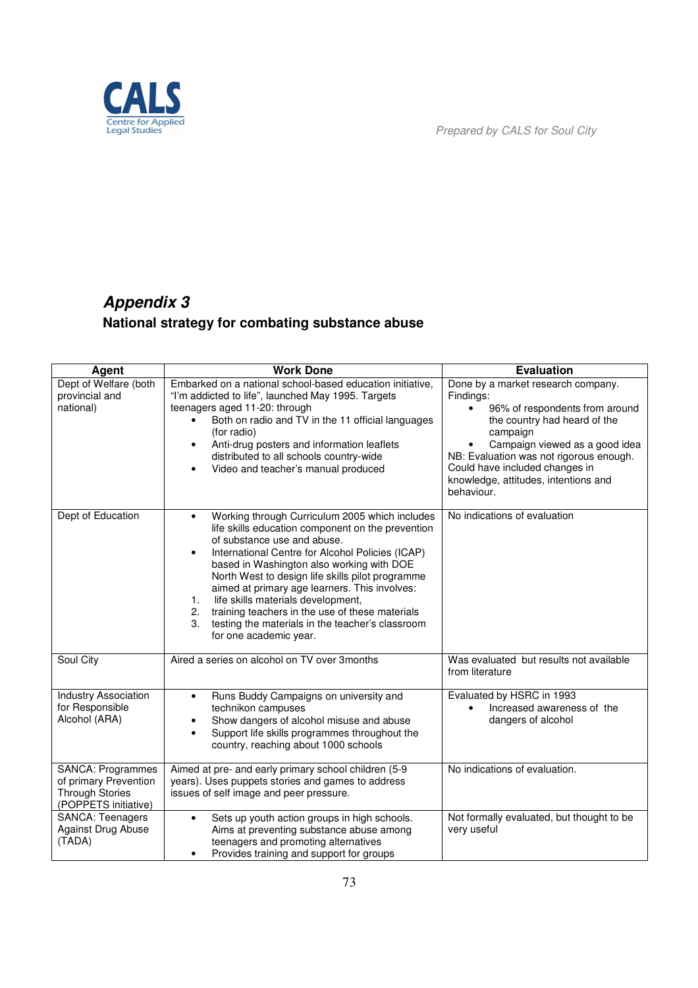

# *Appendix 3*  **National strategy for combating substance abuse**

| Agent                                                                                               | <b>Work Done</b>                                                                                                                                                                                                                                                                                                                                                                                                                                                                                                                                            | <b>Evaluation</b>                                                                                                                                                                                                                                                                                                    |
|-----------------------------------------------------------------------------------------------------|-------------------------------------------------------------------------------------------------------------------------------------------------------------------------------------------------------------------------------------------------------------------------------------------------------------------------------------------------------------------------------------------------------------------------------------------------------------------------------------------------------------------------------------------------------------|----------------------------------------------------------------------------------------------------------------------------------------------------------------------------------------------------------------------------------------------------------------------------------------------------------------------|
| Dept of Welfare (both<br>provincial and<br>national)                                                | Embarked on a national school-based education initiative,<br>"I'm addicted to life", launched May 1995. Targets<br>teenagers aged 11-20: through<br>Both on radio and TV in the 11 official languages<br>(for radio)<br>Anti-drug posters and information leaflets<br>$\bullet$<br>distributed to all schools country-wide<br>Video and teacher's manual produced                                                                                                                                                                                           | Done by a market research company.<br>Findings:<br>96% of respondents from around<br>$\bullet$<br>the country had heard of the<br>campaign<br>Campaign viewed as a good idea<br>٠<br>NB: Evaluation was not rigorous enough.<br>Could have included changes in<br>knowledge, attitudes, intentions and<br>behaviour. |
| Dept of Education                                                                                   | Working through Curriculum 2005 which includes<br>$\bullet$<br>life skills education component on the prevention<br>of substance use and abuse.<br>International Centre for Alcohol Policies (ICAP)<br>$\bullet$<br>based in Washington also working with DOE<br>North West to design life skills pilot programme<br>aimed at primary age learners. This involves:<br>life skills materials development,<br>1.<br>training teachers in the use of these materials<br>2.<br>3.<br>testing the materials in the teacher's classroom<br>for one academic year. | No indications of evaluation                                                                                                                                                                                                                                                                                         |
| Soul City                                                                                           | Aired a series on alcohol on TV over 3months                                                                                                                                                                                                                                                                                                                                                                                                                                                                                                                | Was evaluated but results not available<br>from literature                                                                                                                                                                                                                                                           |
| <b>Industry Association</b><br>for Responsible<br>Alcohol (ARA)                                     | Runs Buddy Campaigns on university and<br>$\bullet$<br>technikon campuses<br>Show dangers of alcohol misuse and abuse<br>$\bullet$<br>Support life skills programmes throughout the<br>$\bullet$<br>country, reaching about 1000 schools                                                                                                                                                                                                                                                                                                                    | Evaluated by HSRC in 1993<br>Increased awareness of the<br>$\bullet$<br>dangers of alcohol                                                                                                                                                                                                                           |
| <b>SANCA: Programmes</b><br>of primary Prevention<br><b>Through Stories</b><br>(POPPETS initiative) | Aimed at pre- and early primary school children (5-9<br>years). Uses puppets stories and games to address<br>issues of self image and peer pressure.                                                                                                                                                                                                                                                                                                                                                                                                        | No indications of evaluation.                                                                                                                                                                                                                                                                                        |
| <b>SANCA: Teenagers</b><br>Against Drug Abuse<br>(TADA)                                             | Sets up youth action groups in high schools.<br>Aims at preventing substance abuse among<br>teenagers and promoting alternatives<br>Provides training and support for groups                                                                                                                                                                                                                                                                                                                                                                                | Not formally evaluated, but thought to be<br>very useful                                                                                                                                                                                                                                                             |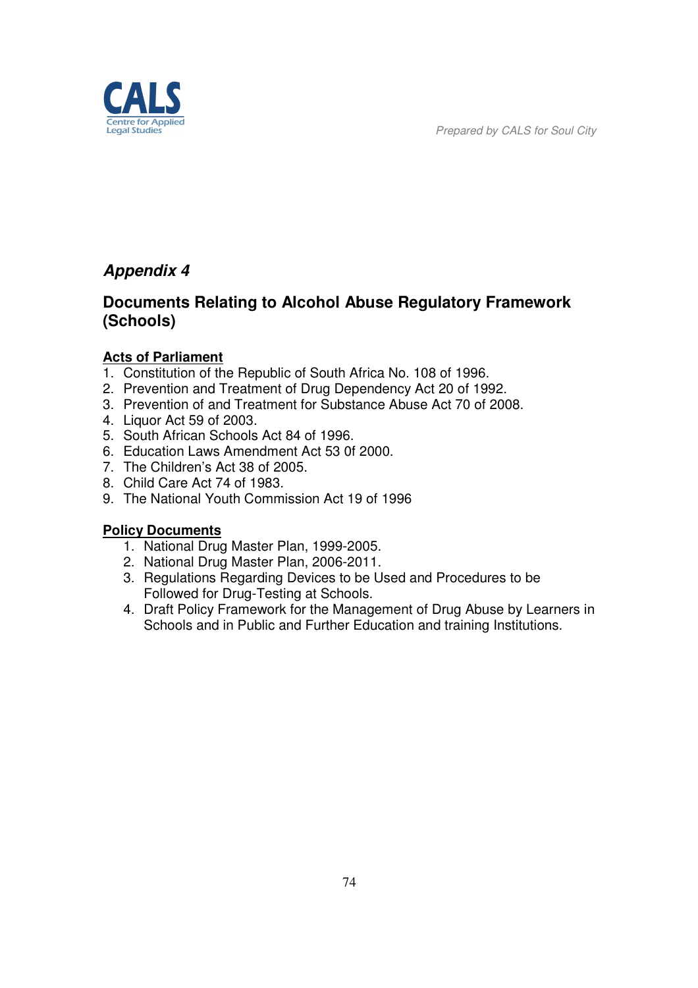

# *Appendix 4*

## **Documents Relating to Alcohol Abuse Regulatory Framework (Schools)**

#### **Acts of Parliament**

- 1. Constitution of the Republic of South Africa No. 108 of 1996.
- 2. Prevention and Treatment of Drug Dependency Act 20 of 1992.
- 3. Prevention of and Treatment for Substance Abuse Act 70 of 2008.
- 4. Liquor Act 59 of 2003.
- 5. South African Schools Act 84 of 1996.
- 6. Education Laws Amendment Act 53 0f 2000.
- 7. The Children's Act 38 of 2005.
- 8. Child Care Act 74 of 1983.
- 9. The National Youth Commission Act 19 of 1996

### **Policy Documents**

- 1. National Drug Master Plan, 1999-2005.
- 2. National Drug Master Plan, 2006-2011.
- 3. Regulations Regarding Devices to be Used and Procedures to be Followed for Drug-Testing at Schools.
- 4. Draft Policy Framework for the Management of Drug Abuse by Learners in Schools and in Public and Further Education and training Institutions.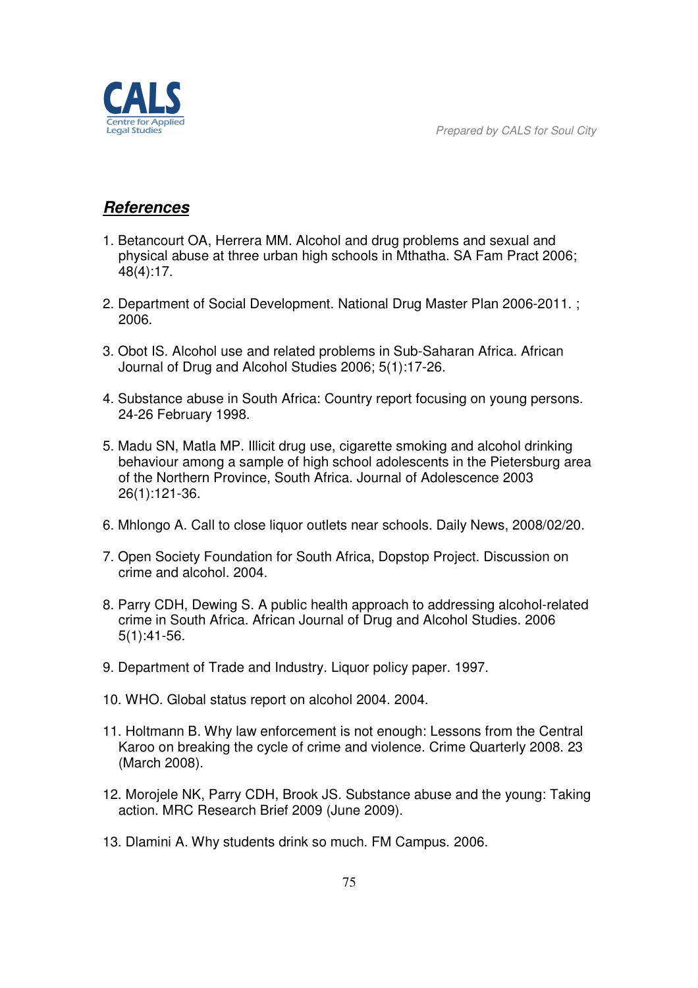

### *References*

- 1. Betancourt OA, Herrera MM. Alcohol and drug problems and sexual and physical abuse at three urban high schools in Mthatha. SA Fam Pract 2006; 48(4):17.
- 2. Department of Social Development. National Drug Master Plan 2006-2011. ; 2006.
- 3. Obot IS. Alcohol use and related problems in Sub-Saharan Africa. African Journal of Drug and Alcohol Studies 2006; 5(1):17-26.
- 4. Substance abuse in South Africa: Country report focusing on young persons. 24-26 February 1998.
- 5. Madu SN, Matla MP. Illicit drug use, cigarette smoking and alcohol drinking behaviour among a sample of high school adolescents in the Pietersburg area of the Northern Province, South Africa. Journal of Adolescence 2003 26(1):121-36.
- 6. Mhlongo A. Call to close liquor outlets near schools. Daily News, 2008/02/20.
- 7. Open Society Foundation for South Africa, Dopstop Project. Discussion on crime and alcohol. 2004.
- 8. Parry CDH, Dewing S. A public health approach to addressing alcohol-related crime in South Africa. African Journal of Drug and Alcohol Studies. 2006 5(1):41-56.
- 9. Department of Trade and Industry. Liquor policy paper. 1997.
- 10. WHO. Global status report on alcohol 2004. 2004.
- 11. Holtmann B. Why law enforcement is not enough: Lessons from the Central Karoo on breaking the cycle of crime and violence. Crime Quarterly 2008. 23 (March 2008).
- 12. Morojele NK, Parry CDH, Brook JS. Substance abuse and the young: Taking action. MRC Research Brief 2009 (June 2009).
- 13. Dlamini A. Why students drink so much. FM Campus. 2006.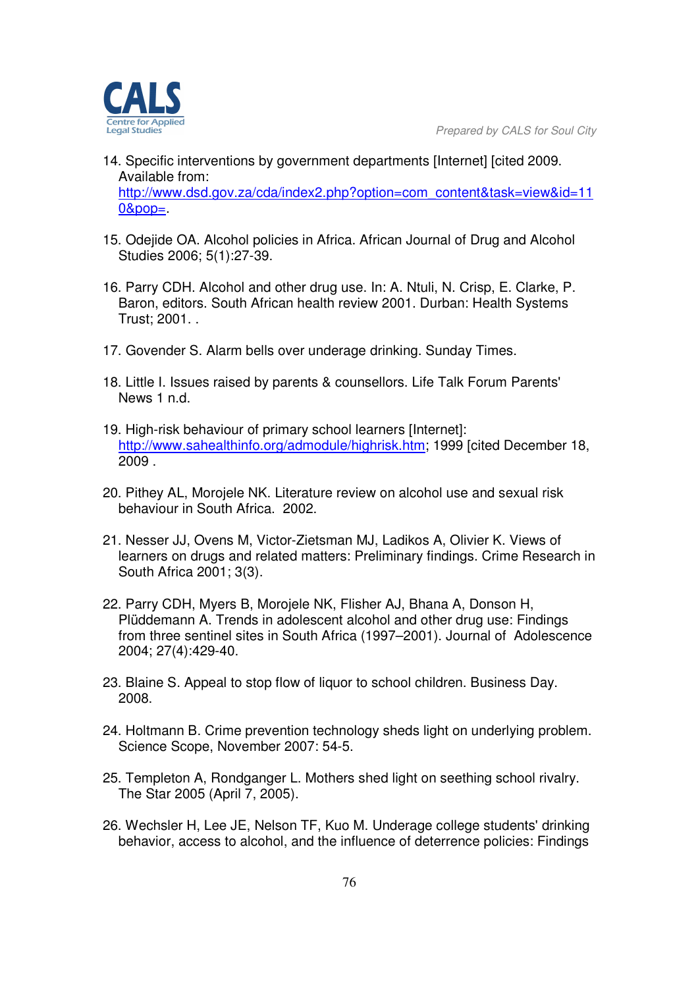

- 14. Specific interventions by government departments [Internet] [cited 2009. Available from: http://www.dsd.gov.za/cda/index2.php?option=com\_content&task=view&id=11  $0&pop=$ .
- 15. Odejide OA. Alcohol policies in Africa. African Journal of Drug and Alcohol Studies 2006; 5(1):27-39.
- 16. Parry CDH. Alcohol and other drug use. In: A. Ntuli, N. Crisp, E. Clarke, P. Baron, editors. South African health review 2001. Durban: Health Systems Trust; 2001. .
- 17. Govender S. Alarm bells over underage drinking. Sunday Times.
- 18. Little I. Issues raised by parents & counsellors. Life Talk Forum Parents' News 1 n.d.
- 19. High-risk behaviour of primary school learners [Internet]: http://www.sahealthinfo.org/admodule/highrisk.htm; 1999 [cited December 18, 2009 .
- 20. Pithey AL, Morojele NK. Literature review on alcohol use and sexual risk behaviour in South Africa. 2002.
- 21. Nesser JJ, Ovens M, Victor-Zietsman MJ, Ladikos A, Olivier K. Views of learners on drugs and related matters: Preliminary findings. Crime Research in South Africa 2001; 3(3).
- 22. Parry CDH, Myers B, Morojele NK, Flisher AJ, Bhana A, Donson H, Plüddemann A. Trends in adolescent alcohol and other drug use: Findings from three sentinel sites in South Africa (1997–2001). Journal of Adolescence 2004; 27(4):429-40.
- 23. Blaine S. Appeal to stop flow of liquor to school children. Business Day. 2008.
- 24. Holtmann B. Crime prevention technology sheds light on underlying problem. Science Scope, November 2007: 54-5.
- 25. Templeton A, Rondganger L. Mothers shed light on seething school rivalry. The Star 2005 (April 7, 2005).
- 26. Wechsler H, Lee JE, Nelson TF, Kuo M. Underage college students' drinking behavior, access to alcohol, and the influence of deterrence policies: Findings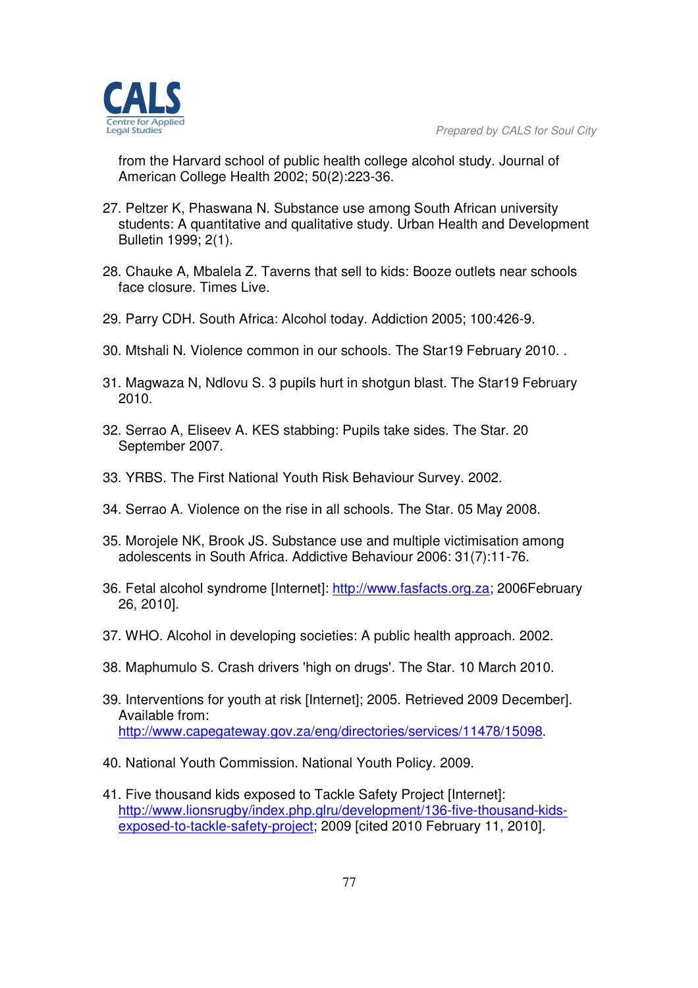

from the Harvard school of public health college alcohol study. Journal of American College Health 2002; 50(2):223-36.

- 27. Peltzer K, Phaswana N. Substance use among South African university students: A quantitative and qualitative study. Urban Health and Development Bulletin 1999; 2(1).
- 28. Chauke A, Mbalela Z. Taverns that sell to kids: Booze outlets near schools face closure. Times Live.
- 29. Parry CDH. South Africa: Alcohol today. Addiction 2005; 100:426-9.
- 30. Mtshali N. Violence common in our schools. The Star19 February 2010. .
- 31. Magwaza N, Ndlovu S. 3 pupils hurt in shotgun blast. The Star19 February 2010.
- 32. Serrao A, Eliseev A. KES stabbing: Pupils take sides. The Star. 20 September 2007.
- 33. YRBS. The First National Youth Risk Behaviour Survey. 2002.
- 34. Serrao A. Violence on the rise in all schools. The Star. 05 May 2008.
- 35. Morojele NK, Brook JS. Substance use and multiple victimisation among adolescents in South Africa. Addictive Behaviour 2006: 31(7):11-76.
- 36. Fetal alcohol syndrome [Internet]: http://www.fasfacts.org.za; 2006February 26, 2010].
- 37. WHO. Alcohol in developing societies: A public health approach. 2002.
- 38. Maphumulo S. Crash drivers 'high on drugs'. The Star. 10 March 2010.
- 39. Interventions for youth at risk [Internet]; 2005. Retrieved 2009 December]. Available from: http://www.capegateway.gov.za/eng/directories/services/11478/15098.
- 40. National Youth Commission. National Youth Policy. 2009.
- 41. Five thousand kids exposed to Tackle Safety Project [Internet]: http://www.lionsrugby/index.php.glru/development/136-five-thousand-kidsexposed-to-tackle-safety-project; 2009 [cited 2010 February 11, 2010].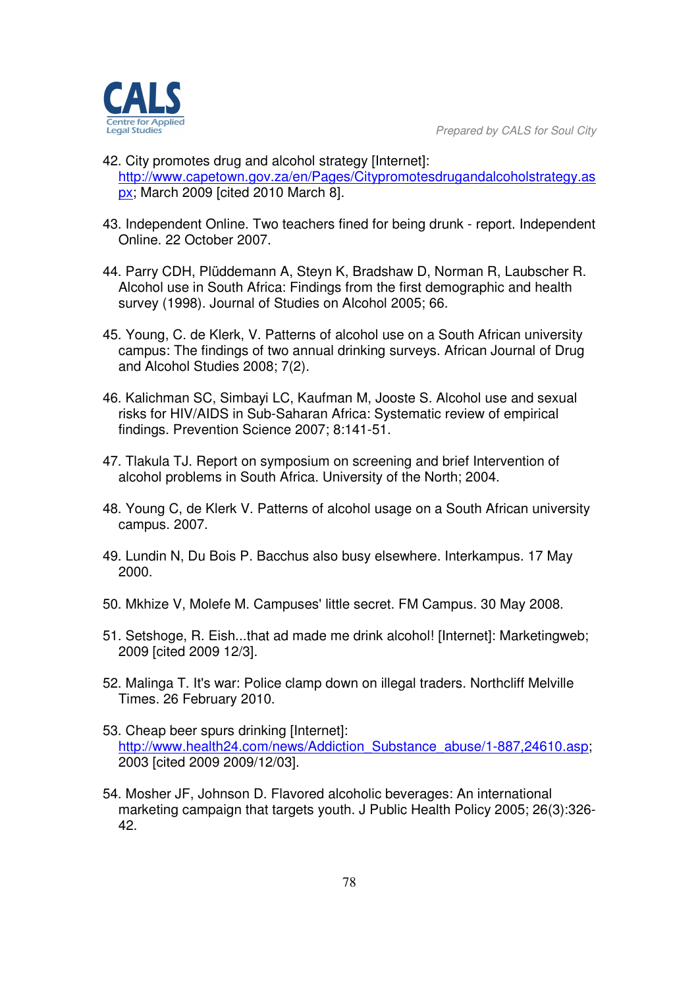

- 42. City promotes drug and alcohol strategy [Internet]: http://www.capetown.gov.za/en/Pages/Citypromotesdrugandalcoholstrategy.as px; March 2009 [cited 2010 March 8].
- 43. Independent Online. Two teachers fined for being drunk report. Independent Online. 22 October 2007.
- 44. Parry CDH, Plüddemann A, Steyn K, Bradshaw D, Norman R, Laubscher R. Alcohol use in South Africa: Findings from the first demographic and health survey (1998). Journal of Studies on Alcohol 2005; 66.
- 45. Young, C. de Klerk, V. Patterns of alcohol use on a South African university campus: The findings of two annual drinking surveys. African Journal of Drug and Alcohol Studies 2008; 7(2).
- 46. Kalichman SC, Simbayi LC, Kaufman M, Jooste S. Alcohol use and sexual risks for HIV/AIDS in Sub-Saharan Africa: Systematic review of empirical findings. Prevention Science 2007; 8:141-51.
- 47. Tlakula TJ. Report on symposium on screening and brief Intervention of alcohol problems in South Africa. University of the North; 2004.
- 48. Young C, de Klerk V. Patterns of alcohol usage on a South African university campus. 2007.
- 49. Lundin N, Du Bois P. Bacchus also busy elsewhere. Interkampus. 17 May 2000.
- 50. Mkhize V, Molefe M. Campuses' little secret. FM Campus. 30 May 2008.
- 51. Setshoge, R. Eish...that ad made me drink alcohol! [Internet]: Marketingweb; 2009 [cited 2009 12/3].
- 52. Malinga T. It's war: Police clamp down on illegal traders. Northcliff Melville Times. 26 February 2010.
- 53. Cheap beer spurs drinking [Internet]: http://www.health24.com/news/Addiction\_Substance\_abuse/1-887,24610.asp; 2003 [cited 2009 2009/12/03].
- 54. Mosher JF, Johnson D. Flavored alcoholic beverages: An international marketing campaign that targets youth. J Public Health Policy 2005; 26(3):326- 42.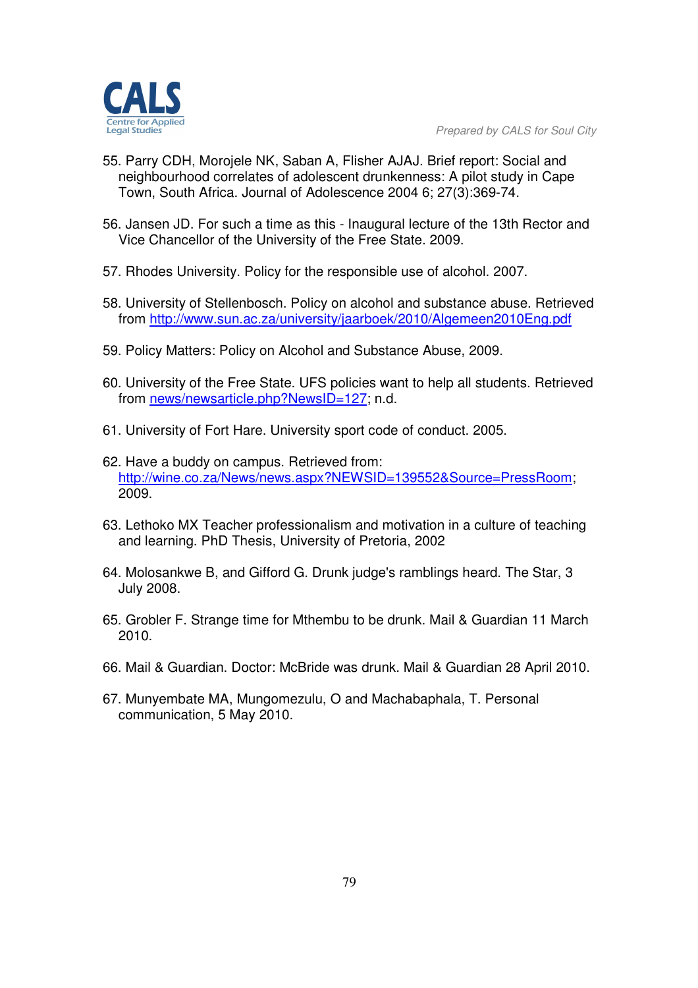- 55. Parry CDH, Morojele NK, Saban A, Flisher AJAJ. Brief report: Social and neighbourhood correlates of adolescent drunkenness: A pilot study in Cape Town, South Africa. Journal of Adolescence 2004 6; 27(3):369-74.
- 56. Jansen JD. For such a time as this Inaugural lecture of the 13th Rector and Vice Chancellor of the University of the Free State. 2009.
- 57. Rhodes University. Policy for the responsible use of alcohol. 2007.
- 58. University of Stellenbosch. Policy on alcohol and substance abuse. Retrieved from http://www.sun.ac.za/university/jaarboek/2010/Algemeen2010Eng.pdf
- 59. Policy Matters: Policy on Alcohol and Substance Abuse, 2009.
- 60. University of the Free State. UFS policies want to help all students. Retrieved from news/newsarticle.php?NewsID=127; n.d.
- 61. University of Fort Hare. University sport code of conduct. 2005.
- 62. Have a buddy on campus. Retrieved from: http://wine.co.za/News/news.aspx?NEWSID=139552&Source=PressRoom; 2009.
- 63. Lethoko MX Teacher professionalism and motivation in a culture of teaching and learning. PhD Thesis, University of Pretoria, 2002
- 64. Molosankwe B, and Gifford G. Drunk judge's ramblings heard. The Star, 3 July 2008.
- 65. Grobler F. Strange time for Mthembu to be drunk. Mail & Guardian 11 March 2010.
- 66. Mail & Guardian. Doctor: McBride was drunk. Mail & Guardian 28 April 2010.
- 67. Munyembate MA, Mungomezulu, O and Machabaphala, T. Personal communication, 5 May 2010.